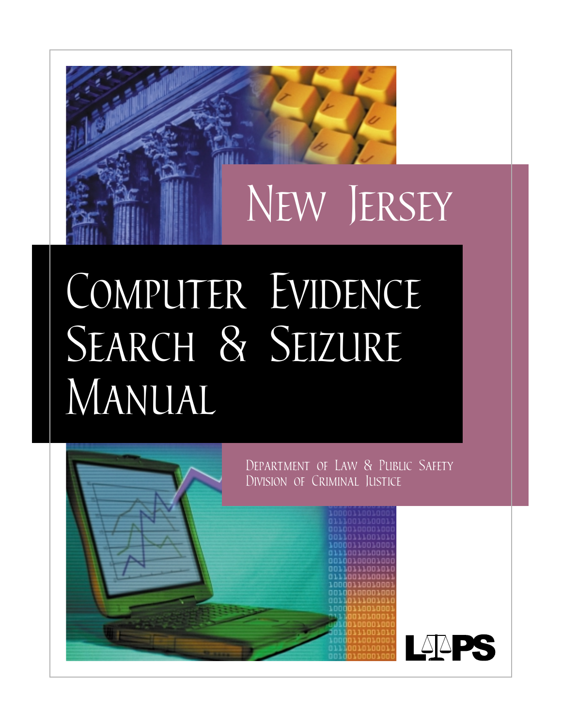

# *Computer Evidence Search & Seizure Manual*

*Department of Law & Public Safety Division of Criminal Justice*LAPS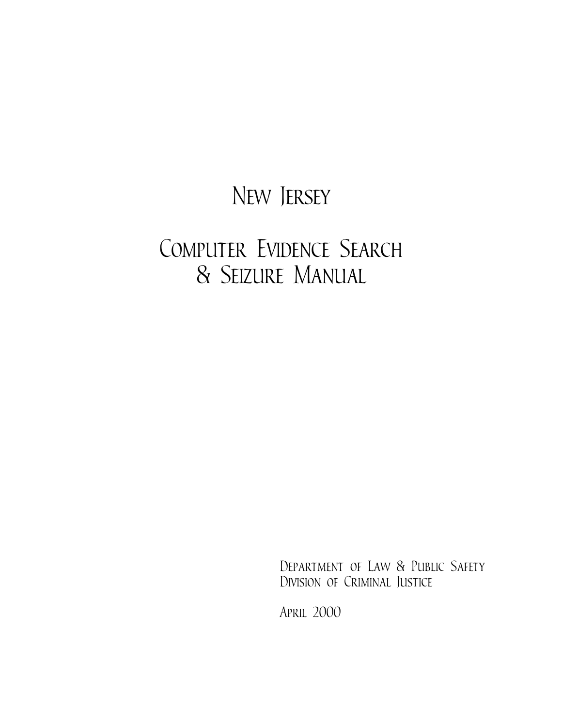# *New Jersey*

# *Computer Evidence Search & Seizure Manual*

*Department of Law & Public Safety Division of Criminal Justice*

*April 2000*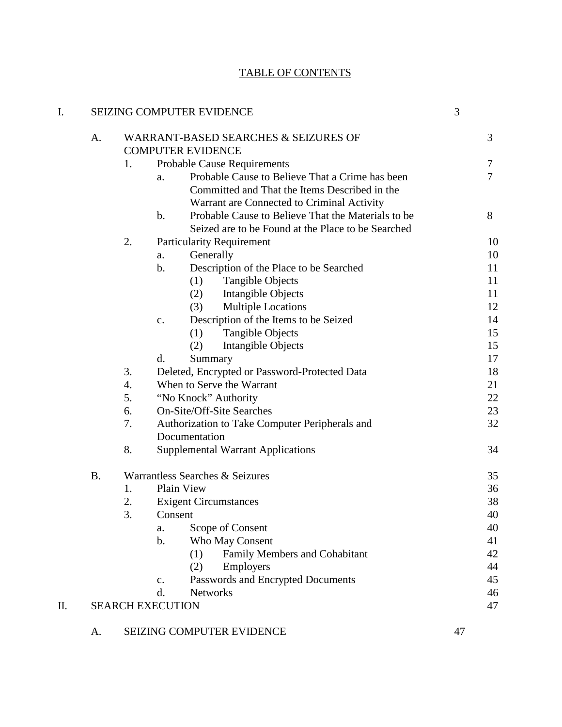# TABLE OF CONTENTS

| I. |           |    | SEIZING COMPUTER EVIDENCE                                           | 3  |          |
|----|-----------|----|---------------------------------------------------------------------|----|----------|
|    | A.        |    | <b>WARRANT-BASED SEARCHES &amp; SEIZURES OF</b>                     |    | 3        |
|    |           |    | <b>COMPUTER EVIDENCE</b>                                            |    |          |
|    |           | 1. | <b>Probable Cause Requirements</b>                                  |    | 7        |
|    |           |    | Probable Cause to Believe That a Crime has been<br>a.               |    | $\tau$   |
|    |           |    | Committed and That the Items Described in the                       |    |          |
|    |           |    | Warrant are Connected to Criminal Activity                          |    |          |
|    |           |    | Probable Cause to Believe That the Materials to be<br>$\mathbf b$ . |    | 8        |
|    |           |    | Seized are to be Found at the Place to be Searched                  |    |          |
|    |           | 2. | <b>Particularity Requirement</b>                                    |    | 10       |
|    |           |    | Generally<br>a.                                                     |    | 10       |
|    |           |    | Description of the Place to be Searched<br>b.                       |    | 11       |
|    |           |    | <b>Tangible Objects</b><br>(1)                                      |    | 11       |
|    |           |    | (2)<br>Intangible Objects                                           |    | 11       |
|    |           |    | <b>Multiple Locations</b><br>(3)                                    |    | 12       |
|    |           |    | Description of the Items to be Seized<br>$\mathbf{c}$ .             |    | 14       |
|    |           |    | Tangible Objects<br>(1)                                             |    | 15       |
|    |           |    | (2)<br>Intangible Objects                                           |    | 15       |
|    |           |    | d.<br>Summary                                                       |    | 17       |
|    |           | 3. | Deleted, Encrypted or Password-Protected Data                       |    | 18       |
|    |           | 4. | When to Serve the Warrant                                           |    | 21       |
|    |           | 5. | "No Knock" Authority                                                |    | 22       |
|    |           | 6. | <b>On-Site/Off-Site Searches</b>                                    |    | 23<br>32 |
|    |           | 7. | Authorization to Take Computer Peripherals and<br>Documentation     |    |          |
|    |           | 8. | <b>Supplemental Warrant Applications</b>                            |    | 34       |
|    |           |    |                                                                     |    |          |
|    | <b>B.</b> |    | Warrantless Searches & Seizures                                     |    | 35       |
|    |           | 1. | Plain View                                                          |    | 36       |
|    |           | 2. | <b>Exigent Circumstances</b>                                        |    | 38       |
|    |           | 3. | Consent                                                             |    | 40       |
|    |           |    | Scope of Consent<br>a.                                              |    | 40       |
|    |           |    | $\mathbf b$ .<br><b>Who May Consent</b>                             |    | 41       |
|    |           |    | Family Members and Cohabitant<br>(1)                                |    | 42       |
|    |           |    | (2)<br>Employers                                                    |    | 44       |
|    |           |    | Passwords and Encrypted Documents<br>$\mathbf{c}$ .                 |    | 45       |
|    |           |    | <b>Networks</b><br>d.                                               |    | 46       |
| П. |           |    | <b>SEARCH EXECUTION</b>                                             |    | 47       |
|    | A.        |    | SEIZING COMPUTER EVIDENCE                                           | 47 |          |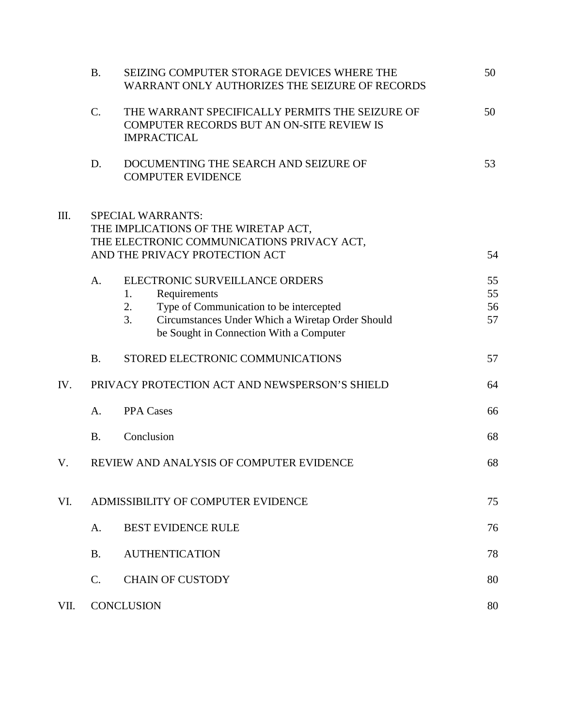|      | <b>B.</b>                                                                                                                                        | SEIZING COMPUTER STORAGE DEVICES WHERE THE<br>WARRANT ONLY AUTHORIZES THE SEIZURE OF RECORDS                                                                                                               | 50                   |  |
|------|--------------------------------------------------------------------------------------------------------------------------------------------------|------------------------------------------------------------------------------------------------------------------------------------------------------------------------------------------------------------|----------------------|--|
|      | $\mathcal{C}$ .                                                                                                                                  | THE WARRANT SPECIFICALLY PERMITS THE SEIZURE OF<br>COMPUTER RECORDS BUT AN ON-SITE REVIEW IS<br><b>IMPRACTICAL</b>                                                                                         | 50                   |  |
|      | D.                                                                                                                                               | DOCUMENTING THE SEARCH AND SEIZURE OF<br><b>COMPUTER EVIDENCE</b>                                                                                                                                          | 53                   |  |
| Ш.   | <b>SPECIAL WARRANTS:</b><br>THE IMPLICATIONS OF THE WIRETAP ACT,<br>THE ELECTRONIC COMMUNICATIONS PRIVACY ACT,<br>AND THE PRIVACY PROTECTION ACT |                                                                                                                                                                                                            |                      |  |
|      | A.                                                                                                                                               | ELECTRONIC SURVEILLANCE ORDERS<br>Requirements<br>1.<br>2.<br>Type of Communication to be intercepted<br>3.<br>Circumstances Under Which a Wiretap Order Should<br>be Sought in Connection With a Computer | 55<br>55<br>56<br>57 |  |
|      | <b>B.</b>                                                                                                                                        | STORED ELECTRONIC COMMUNICATIONS                                                                                                                                                                           | 57                   |  |
| IV.  | PRIVACY PROTECTION ACT AND NEWSPERSON'S SHIELD                                                                                                   |                                                                                                                                                                                                            |                      |  |
|      | A.                                                                                                                                               | <b>PPA Cases</b>                                                                                                                                                                                           | 66                   |  |
|      | <b>B.</b>                                                                                                                                        | Conclusion                                                                                                                                                                                                 | 68                   |  |
| V.   |                                                                                                                                                  | REVIEW AND ANALYSIS OF COMPUTER EVIDENCE                                                                                                                                                                   | 68                   |  |
| VI.  | ADMISSIBILITY OF COMPUTER EVIDENCE                                                                                                               |                                                                                                                                                                                                            |                      |  |
|      | A.                                                                                                                                               | <b>BEST EVIDENCE RULE</b>                                                                                                                                                                                  | 76                   |  |
|      | <b>B.</b>                                                                                                                                        | <b>AUTHENTICATION</b>                                                                                                                                                                                      | 78                   |  |
|      | $\mathbf{C}$ .                                                                                                                                   | <b>CHAIN OF CUSTODY</b>                                                                                                                                                                                    | 80                   |  |
| VII. |                                                                                                                                                  | <b>CONCLUSION</b>                                                                                                                                                                                          | 80                   |  |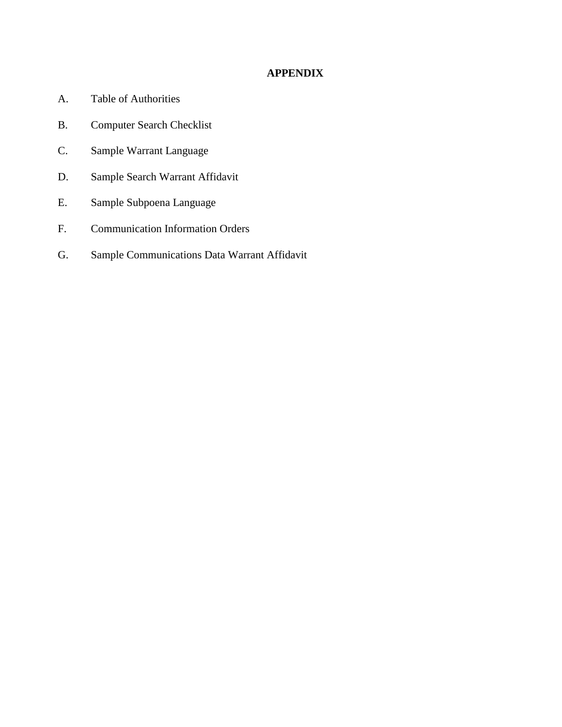## **APPENDIX**

- A. Table of Authorities
- B. Computer Search Checklist
- C. Sample Warrant Language
- D. Sample Search Warrant Affidavit
- E. Sample Subpoena Language
- F. Communication Information Orders
- G. Sample Communications Data Warrant Affidavit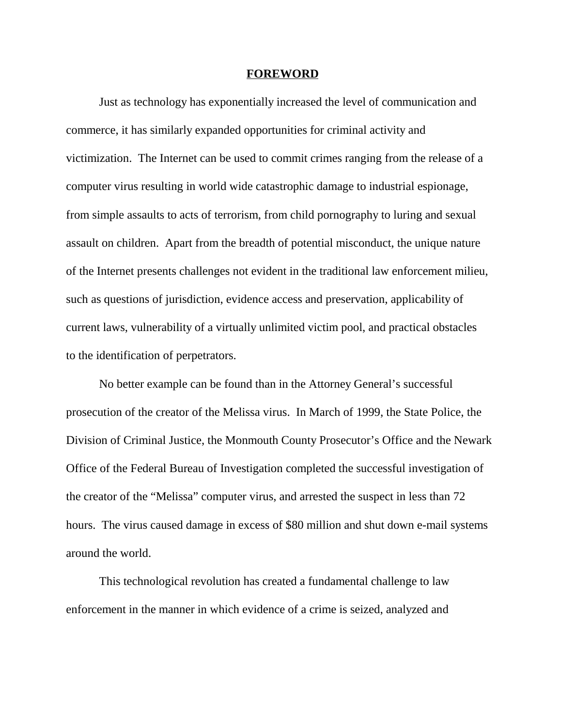#### **FOREWORD**

Just as technology has exponentially increased the level of communication and commerce, it has similarly expanded opportunities for criminal activity and victimization. The Internet can be used to commit crimes ranging from the release of a computer virus resulting in world wide catastrophic damage to industrial espionage, from simple assaults to acts of terrorism, from child pornography to luring and sexual assault on children. Apart from the breadth of potential misconduct, the unique nature of the Internet presents challenges not evident in the traditional law enforcement milieu, such as questions of jurisdiction, evidence access and preservation, applicability of current laws, vulnerability of a virtually unlimited victim pool, and practical obstacles to the identification of perpetrators.

No better example can be found than in the Attorney General's successful prosecution of the creator of the Melissa virus. In March of 1999, the State Police, the Division of Criminal Justice, the Monmouth County Prosecutor's Office and the Newark Office of the Federal Bureau of Investigation completed the successful investigation of the creator of the "Melissa" computer virus, and arrested the suspect in less than 72 hours. The virus caused damage in excess of \$80 million and shut down e-mail systems around the world.

This technological revolution has created a fundamental challenge to law enforcement in the manner in which evidence of a crime is seized, analyzed and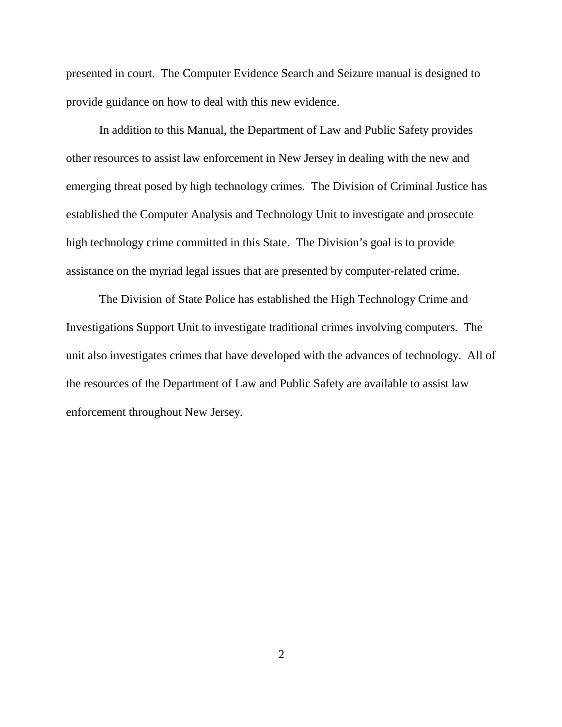presented in court. The Computer Evidence Search and Seizure manual is designed to provide guidance on how to deal with this new evidence.

In addition to this Manual, the Department of Law and Public Safety provides other resources to assist law enforcement in New Jersey in dealing with the new and emerging threat posed by high technology crimes. The Division of Criminal Justice has established the Computer Analysis and Technology Unit to investigate and prosecute high technology crime committed in this State. The Division's goal is to provide assistance on the myriad legal issues that are presented by computer-related crime.

The Division of State Police has established the High Technology Crime and Investigations Support Unit to investigate traditional crimes involving computers. The unit also investigates crimes that have developed with the advances of technology. All of the resources of the Department of Law and Public Safety are available to assist law enforcement throughout New Jersey.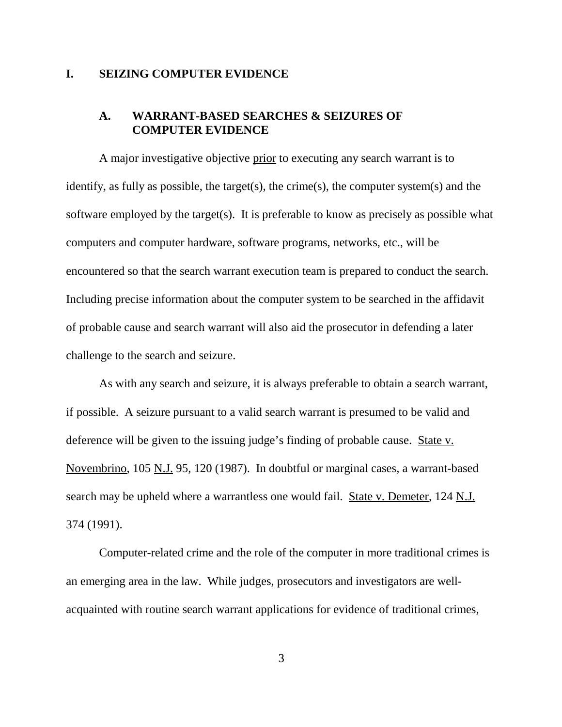#### **I. SEIZING COMPUTER EVIDENCE**

### **A. WARRANT-BASED SEARCHES & SEIZURES OF COMPUTER EVIDENCE**

A major investigative objective prior to executing any search warrant is to identify, as fully as possible, the target(s), the crime(s), the computer system(s) and the software employed by the target(s). It is preferable to know as precisely as possible what computers and computer hardware, software programs, networks, etc., will be encountered so that the search warrant execution team is prepared to conduct the search. Including precise information about the computer system to be searched in the affidavit of probable cause and search warrant will also aid the prosecutor in defending a later challenge to the search and seizure.

As with any search and seizure, it is always preferable to obtain a search warrant, if possible. A seizure pursuant to a valid search warrant is presumed to be valid and deference will be given to the issuing judge's finding of probable cause. State v. Novembrino, 105 N.J. 95, 120 (1987). In doubtful or marginal cases, a warrant-based search may be upheld where a warrantless one would fail. State v. Demeter, 124 N.J. 374 (1991).

Computer-related crime and the role of the computer in more traditional crimes is an emerging area in the law. While judges, prosecutors and investigators are wellacquainted with routine search warrant applications for evidence of traditional crimes,

3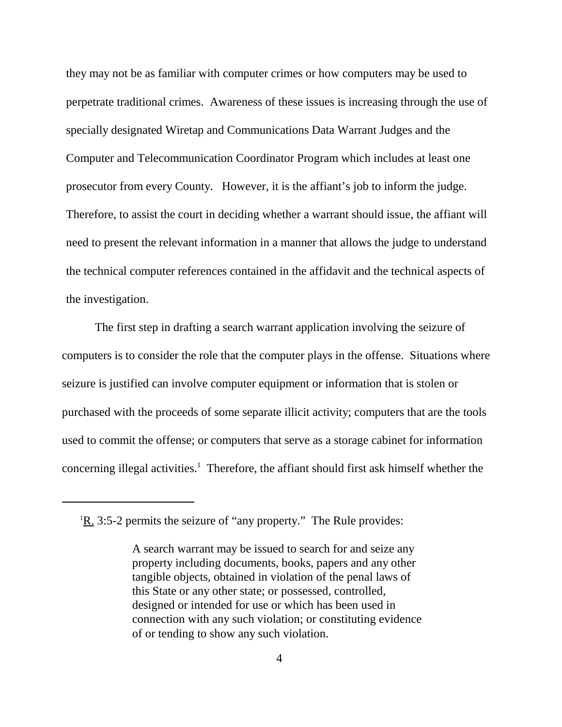they may not be as familiar with computer crimes or how computers may be used to perpetrate traditional crimes. Awareness of these issues is increasing through the use of specially designated Wiretap and Communications Data Warrant Judges and the Computer and Telecommunication Coordinator Program which includes at least one prosecutor from every County. However, it is the affiant's job to inform the judge. Therefore, to assist the court in deciding whether a warrant should issue, the affiant will need to present the relevant information in a manner that allows the judge to understand the technical computer references contained in the affidavit and the technical aspects of the investigation.

The first step in drafting a search warrant application involving the seizure of computers is to consider the role that the computer plays in the offense. Situations where seizure is justified can involve computer equipment or information that is stolen or purchased with the proceeds of some separate illicit activity; computers that are the tools used to commit the offense; or computers that serve as a storage cabinet for information concerning illegal activities.<sup>1</sup> Therefore, the affiant should first ask himself whether the

 ${}^{1}$ <u>R.</u> 3:5-2 permits the seizure of "any property." The Rule provides:

A search warrant may be issued to search for and seize any property including documents, books, papers and any other tangible objects, obtained in violation of the penal laws of this State or any other state; or possessed, controlled, designed or intended for use or which has been used in connection with any such violation; or constituting evidence of or tending to show any such violation.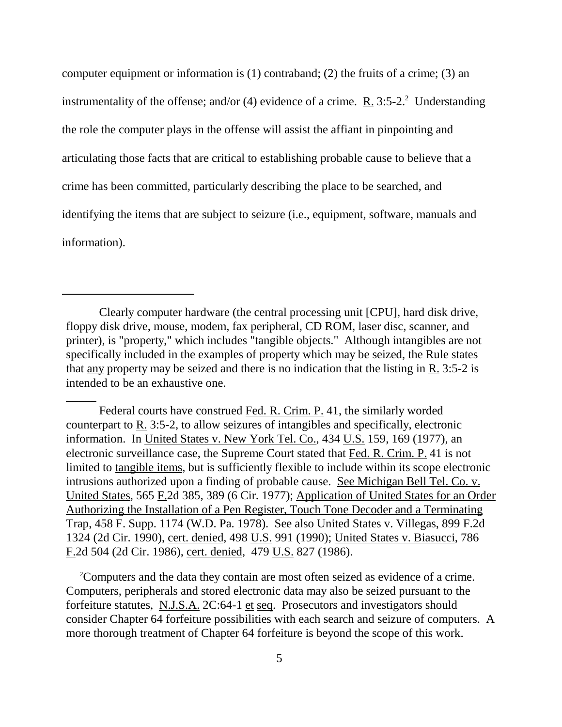computer equipment or information is (1) contraband; (2) the fruits of a crime; (3) an instrumentality of the offense; and/or (4) evidence of a crime.  $R_1$  3:5-2.<sup>2</sup> Understanding the role the computer plays in the offense will assist the affiant in pinpointing and articulating those facts that are critical to establishing probable cause to believe that a crime has been committed, particularly describing the place to be searched, and identifying the items that are subject to seizure (i.e., equipment, software, manuals and information).

\_\_\_\_\_

Federal courts have construed Fed. R. Crim. P. 41, the similarly worded counterpart to R. 3:5-2, to allow seizures of intangibles and specifically, electronic information. In United States v. New York Tel. Co., 434 U.S. 159, 169 (1977), an electronic surveillance case, the Supreme Court stated that Fed. R. Crim. P. 41 is not limited to tangible items, but is sufficiently flexible to include within its scope electronic intrusions authorized upon a finding of probable cause. See Michigan Bell Tel. Co. v. United States, 565 F.2d 385, 389 (6 Cir. 1977); Application of United States for an Order Authorizing the Installation of a Pen Register, Touch Tone Decoder and a Terminating Trap, 458 F. Supp. 1174 (W.D. Pa. 1978). See also United States v. Villegas, 899 F.2d 1324 (2d Cir. 1990), cert. denied, 498 U.S. 991 (1990); United States v. Biasucci, 786 F.2d 504 (2d Cir. 1986), cert. denied, 479 U.S. 827 (1986).

<sup>2</sup>Computers and the data they contain are most often seized as evidence of a crime. Computers, peripherals and stored electronic data may also be seized pursuant to the forfeiture statutes, N.J.S.A. 2C:64-1 et seq. Prosecutors and investigators should consider Chapter 64 forfeiture possibilities with each search and seizure of computers. A more thorough treatment of Chapter 64 forfeiture is beyond the scope of this work.

Clearly computer hardware (the central processing unit [CPU], hard disk drive, floppy disk drive, mouse, modem, fax peripheral, CD ROM, laser disc, scanner, and printer), is "property," which includes "tangible objects." Although intangibles are not specifically included in the examples of property which may be seized, the Rule states that any property may be seized and there is no indication that the listing in R. 3:5-2 is intended to be an exhaustive one.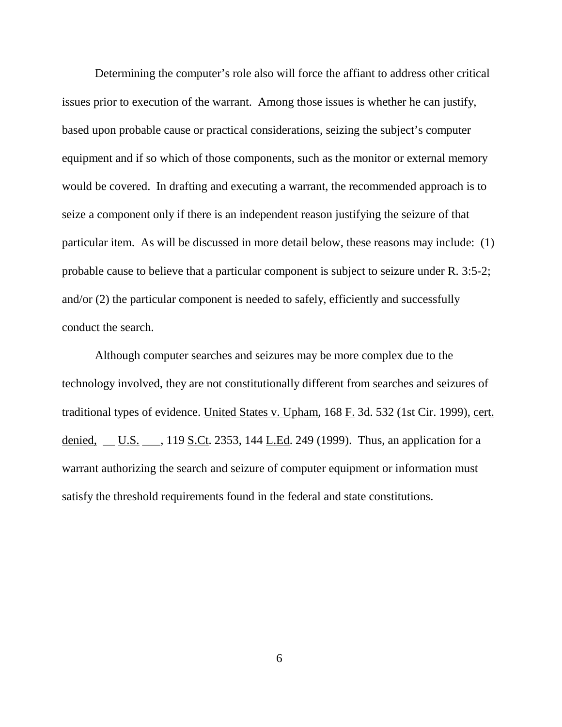Determining the computer's role also will force the affiant to address other critical issues prior to execution of the warrant. Among those issues is whether he can justify, based upon probable cause or practical considerations, seizing the subject's computer equipment and if so which of those components, such as the monitor or external memory would be covered. In drafting and executing a warrant, the recommended approach is to seize a component only if there is an independent reason justifying the seizure of that particular item. As will be discussed in more detail below, these reasons may include: (1) probable cause to believe that a particular component is subject to seizure under  $R_1$ . 3:5-2; and/or (2) the particular component is needed to safely, efficiently and successfully conduct the search.

Although computer searches and seizures may be more complex due to the technology involved, they are not constitutionally different from searches and seizures of traditional types of evidence. United States v. Upham, 168 F. 3d. 532 (1st Cir. 1999), cert. denied,  $\underline{\hspace{1cm}}$  U.S.  $\underline{\hspace{1cm}}$ , 119 S.Ct. 2353, 144 L.Ed. 249 (1999). Thus, an application for a warrant authorizing the search and seizure of computer equipment or information must satisfy the threshold requirements found in the federal and state constitutions.

6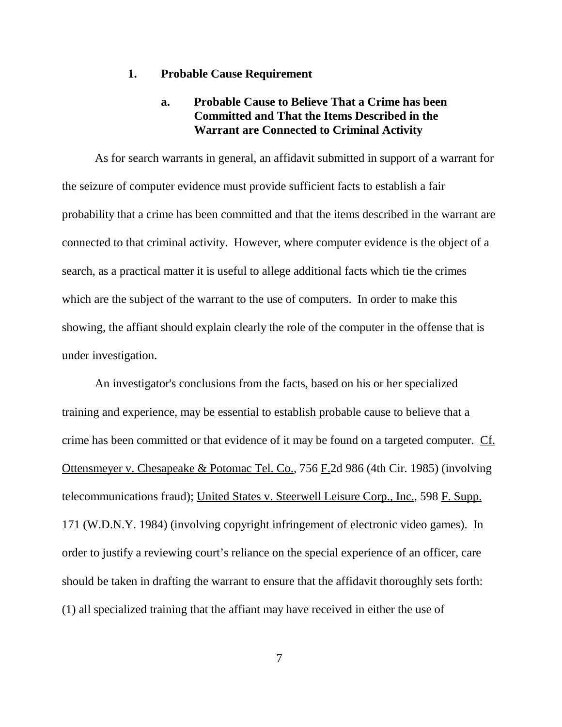#### **1. Probable Cause Requirement**

## **a. Probable Cause to Believe That a Crime has been Committed and That the Items Described in the Warrant are Connected to Criminal Activity**

As for search warrants in general, an affidavit submitted in support of a warrant for the seizure of computer evidence must provide sufficient facts to establish a fair probability that a crime has been committed and that the items described in the warrant are connected to that criminal activity. However, where computer evidence is the object of a search, as a practical matter it is useful to allege additional facts which tie the crimes which are the subject of the warrant to the use of computers. In order to make this showing, the affiant should explain clearly the role of the computer in the offense that is under investigation.

An investigator's conclusions from the facts, based on his or her specialized training and experience, may be essential to establish probable cause to believe that a crime has been committed or that evidence of it may be found on a targeted computer. Cf. Ottensmeyer v. Chesapeake & Potomac Tel. Co., 756 F.2d 986 (4th Cir. 1985) (involving telecommunications fraud); United States v. Steerwell Leisure Corp., Inc., 598 F. Supp. 171 (W.D.N.Y. 1984) (involving copyright infringement of electronic video games). In order to justify a reviewing court's reliance on the special experience of an officer, care should be taken in drafting the warrant to ensure that the affidavit thoroughly sets forth: (1) all specialized training that the affiant may have received in either the use of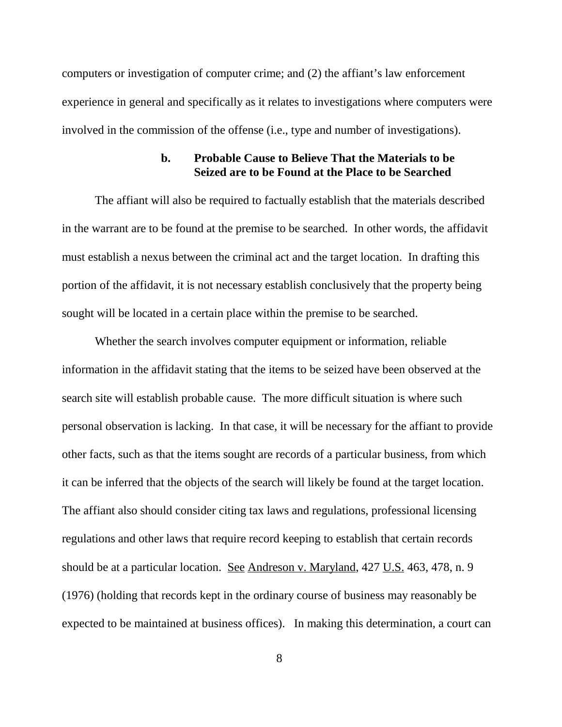computers or investigation of computer crime; and (2) the affiant's law enforcement experience in general and specifically as it relates to investigations where computers were involved in the commission of the offense (i.e., type and number of investigations).

#### **b. Probable Cause to Believe That the Materials to be Seized are to be Found at the Place to be Searched**

The affiant will also be required to factually establish that the materials described in the warrant are to be found at the premise to be searched. In other words, the affidavit must establish a nexus between the criminal act and the target location. In drafting this portion of the affidavit, it is not necessary establish conclusively that the property being sought will be located in a certain place within the premise to be searched.

Whether the search involves computer equipment or information, reliable information in the affidavit stating that the items to be seized have been observed at the search site will establish probable cause. The more difficult situation is where such personal observation is lacking. In that case, it will be necessary for the affiant to provide other facts, such as that the items sought are records of a particular business, from which it can be inferred that the objects of the search will likely be found at the target location. The affiant also should consider citing tax laws and regulations, professional licensing regulations and other laws that require record keeping to establish that certain records should be at a particular location. See Andreson v. Maryland, 427 U.S. 463, 478, n. 9 (1976) (holding that records kept in the ordinary course of business may reasonably be expected to be maintained at business offices). In making this determination, a court can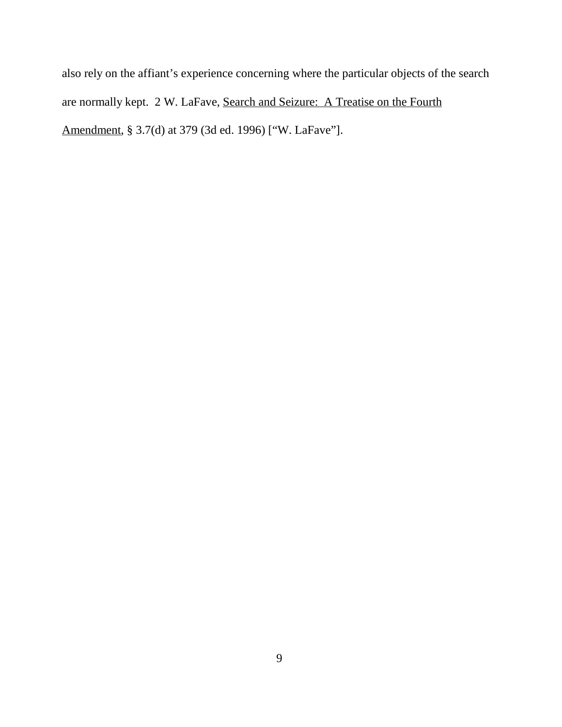also rely on the affiant's experience concerning where the particular objects of the search are normally kept. 2 W. LaFave, Search and Seizure: A Treatise on the Fourth Amendment, § 3.7(d) at 379 (3d ed. 1996) ["W. LaFave"].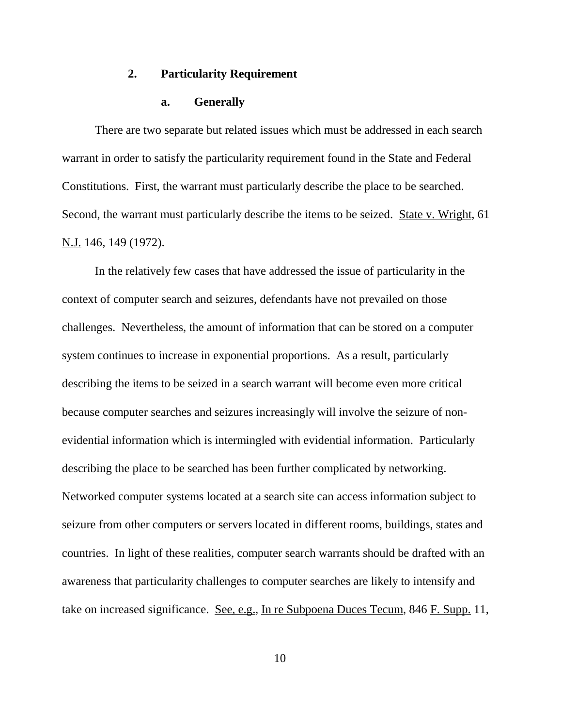#### **2. Particularity Requirement**

#### **a. Generally**

There are two separate but related issues which must be addressed in each search warrant in order to satisfy the particularity requirement found in the State and Federal Constitutions. First, the warrant must particularly describe the place to be searched. Second, the warrant must particularly describe the items to be seized. State v. Wright, 61 N.J. 146, 149 (1972).

In the relatively few cases that have addressed the issue of particularity in the context of computer search and seizures, defendants have not prevailed on those challenges. Nevertheless, the amount of information that can be stored on a computer system continues to increase in exponential proportions. As a result, particularly describing the items to be seized in a search warrant will become even more critical because computer searches and seizures increasingly will involve the seizure of nonevidential information which is intermingled with evidential information. Particularly describing the place to be searched has been further complicated by networking. Networked computer systems located at a search site can access information subject to seizure from other computers or servers located in different rooms, buildings, states and countries. In light of these realities, computer search warrants should be drafted with an awareness that particularity challenges to computer searches are likely to intensify and take on increased significance. See, e.g., In re Subpoena Duces Tecum, 846 F. Supp. 11,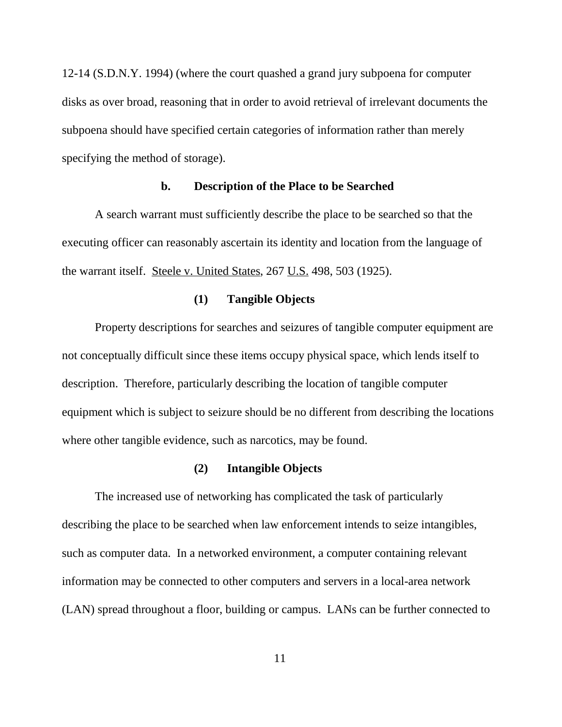12-14 (S.D.N.Y. 1994) (where the court quashed a grand jury subpoena for computer disks as over broad, reasoning that in order to avoid retrieval of irrelevant documents the subpoena should have specified certain categories of information rather than merely specifying the method of storage).

#### **b. Description of the Place to be Searched**

A search warrant must sufficiently describe the place to be searched so that the executing officer can reasonably ascertain its identity and location from the language of the warrant itself. Steele v. United States, 267 U.S. 498, 503 (1925).

#### **(1) Tangible Objects**

Property descriptions for searches and seizures of tangible computer equipment are not conceptually difficult since these items occupy physical space, which lends itself to description. Therefore, particularly describing the location of tangible computer equipment which is subject to seizure should be no different from describing the locations where other tangible evidence, such as narcotics, may be found.

#### **(2) Intangible Objects**

The increased use of networking has complicated the task of particularly describing the place to be searched when law enforcement intends to seize intangibles, such as computer data. In a networked environment, a computer containing relevant information may be connected to other computers and servers in a local-area network (LAN) spread throughout a floor, building or campus. LANs can be further connected to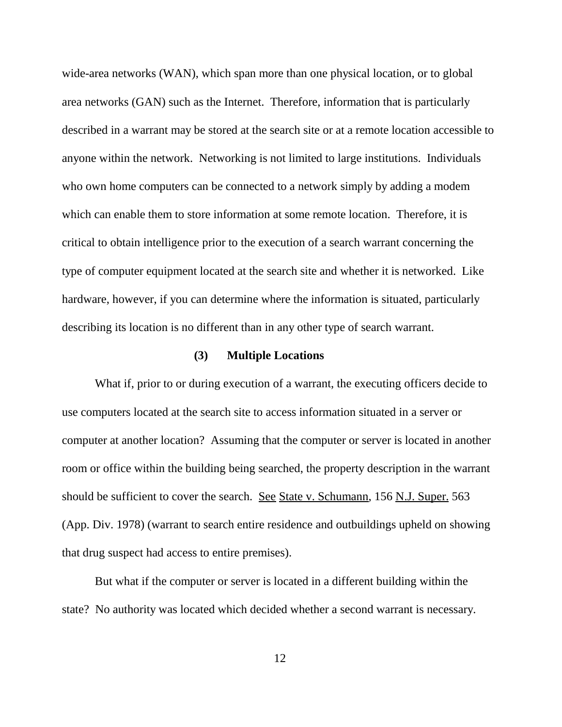wide-area networks (WAN), which span more than one physical location, or to global area networks (GAN) such as the Internet. Therefore, information that is particularly described in a warrant may be stored at the search site or at a remote location accessible to anyone within the network. Networking is not limited to large institutions. Individuals who own home computers can be connected to a network simply by adding a modem which can enable them to store information at some remote location. Therefore, it is critical to obtain intelligence prior to the execution of a search warrant concerning the type of computer equipment located at the search site and whether it is networked. Like hardware, however, if you can determine where the information is situated, particularly describing its location is no different than in any other type of search warrant.

#### **(3) Multiple Locations**

What if, prior to or during execution of a warrant, the executing officers decide to use computers located at the search site to access information situated in a server or computer at another location? Assuming that the computer or server is located in another room or office within the building being searched, the property description in the warrant should be sufficient to cover the search. See State v. Schumann, 156 N.J. Super. 563 (App. Div. 1978) (warrant to search entire residence and outbuildings upheld on showing that drug suspect had access to entire premises).

But what if the computer or server is located in a different building within the state? No authority was located which decided whether a second warrant is necessary.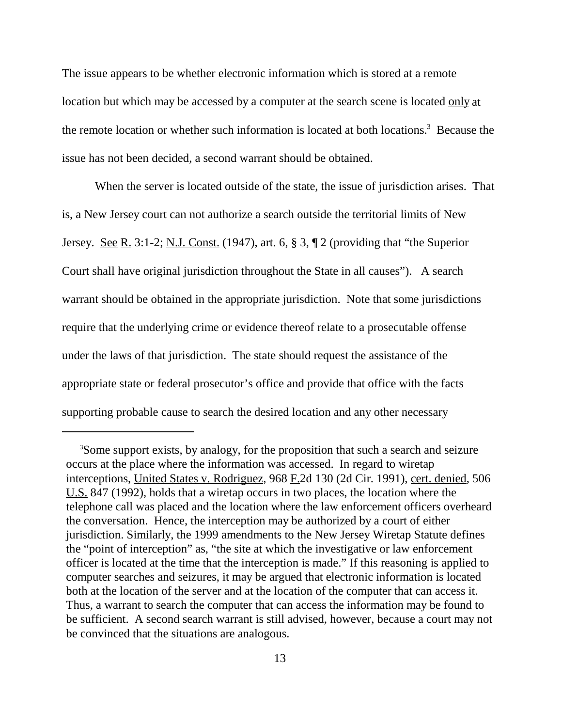The issue appears to be whether electronic information which is stored at a remote location but which may be accessed by a computer at the search scene is located only at the remote location or whether such information is located at both locations.<sup>3</sup> Because the issue has not been decided, a second warrant should be obtained.

When the server is located outside of the state, the issue of jurisdiction arises. That is, a New Jersey court can not authorize a search outside the territorial limits of New Jersey. See R. 3:1-2; N.J. Const. (1947), art. 6,  $\S 3$ ,  $\P 2$  (providing that "the Superior Court shall have original jurisdiction throughout the State in all causes"). A search warrant should be obtained in the appropriate jurisdiction. Note that some jurisdictions require that the underlying crime or evidence thereof relate to a prosecutable offense under the laws of that jurisdiction. The state should request the assistance of the appropriate state or federal prosecutor's office and provide that office with the facts supporting probable cause to search the desired location and any other necessary

<sup>&</sup>lt;sup>3</sup>Some support exists, by analogy, for the proposition that such a search and seizure occurs at the place where the information was accessed. In regard to wiretap interceptions, United States v. Rodriguez, 968 F.2d 130 (2d Cir. 1991), cert. denied, 506 U.S. 847 (1992), holds that a wiretap occurs in two places, the location where the telephone call was placed and the location where the law enforcement officers overheard the conversation. Hence, the interception may be authorized by a court of either jurisdiction. Similarly, the 1999 amendments to the New Jersey Wiretap Statute defines the "point of interception" as, "the site at which the investigative or law enforcement officer is located at the time that the interception is made." If this reasoning is applied to computer searches and seizures, it may be argued that electronic information is located both at the location of the server and at the location of the computer that can access it. Thus, a warrant to search the computer that can access the information may be found to be sufficient. A second search warrant is still advised, however, because a court may not be convinced that the situations are analogous.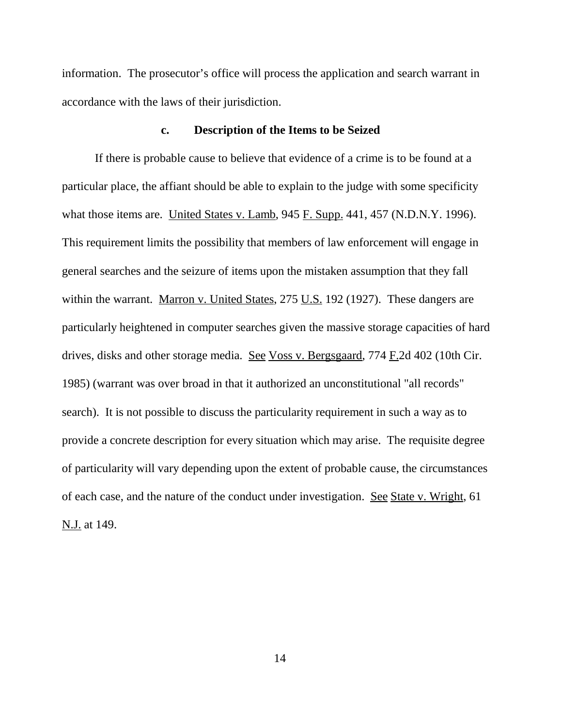information. The prosecutor's office will process the application and search warrant in accordance with the laws of their jurisdiction.

#### **c. Description of the Items to be Seized**

If there is probable cause to believe that evidence of a crime is to be found at a particular place, the affiant should be able to explain to the judge with some specificity what those items are. United States v. Lamb, 945 F. Supp. 441, 457 (N.D.N.Y. 1996). This requirement limits the possibility that members of law enforcement will engage in general searches and the seizure of items upon the mistaken assumption that they fall within the warrant. Marron v. United States,  $275$  U.S. 192 (1927). These dangers are particularly heightened in computer searches given the massive storage capacities of hard drives, disks and other storage media. See Voss v. Bergsgaard, 774 F.2d 402 (10th Cir. 1985) (warrant was over broad in that it authorized an unconstitutional "all records" search). It is not possible to discuss the particularity requirement in such a way as to provide a concrete description for every situation which may arise. The requisite degree of particularity will vary depending upon the extent of probable cause, the circumstances of each case, and the nature of the conduct under investigation. See State v. Wright, 61 N.J. at 149.

14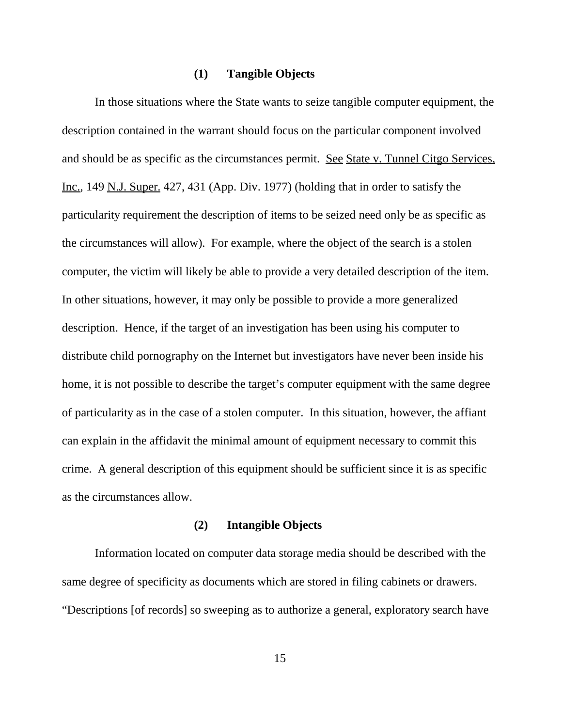#### **(1) Tangible Objects**

In those situations where the State wants to seize tangible computer equipment, the description contained in the warrant should focus on the particular component involved and should be as specific as the circumstances permit. See State v. Tunnel Citgo Services, Inc., 149 N.J. Super. 427, 431 (App. Div. 1977) (holding that in order to satisfy the particularity requirement the description of items to be seized need only be as specific as the circumstances will allow). For example, where the object of the search is a stolen computer, the victim will likely be able to provide a very detailed description of the item. In other situations, however, it may only be possible to provide a more generalized description. Hence, if the target of an investigation has been using his computer to distribute child pornography on the Internet but investigators have never been inside his home, it is not possible to describe the target's computer equipment with the same degree of particularity as in the case of a stolen computer. In this situation, however, the affiant can explain in the affidavit the minimal amount of equipment necessary to commit this crime. A general description of this equipment should be sufficient since it is as specific as the circumstances allow.

#### **(2) Intangible Objects**

Information located on computer data storage media should be described with the same degree of specificity as documents which are stored in filing cabinets or drawers. "Descriptions [of records] so sweeping as to authorize a general, exploratory search have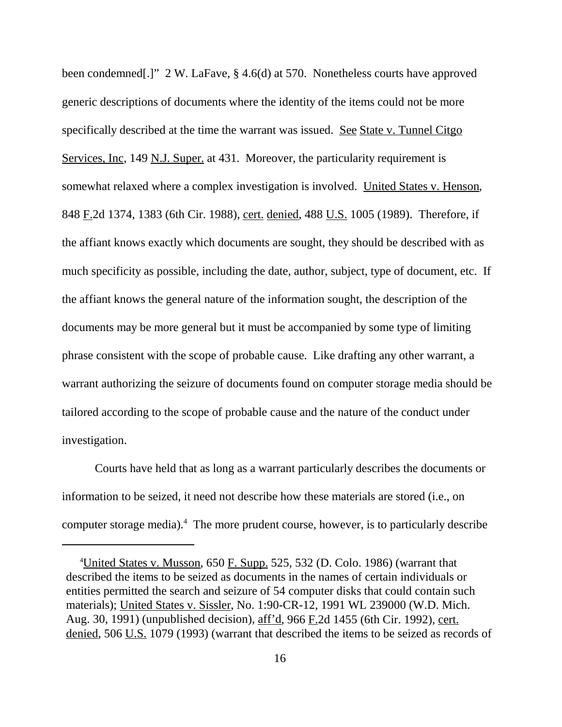been condemned[.]" 2 W. LaFave, § 4.6(d) at 570. Nonetheless courts have approved generic descriptions of documents where the identity of the items could not be more specifically described at the time the warrant was issued. See State v. Tunnel Citgo Services, Inc, 149 N.J. Super. at 431. Moreover, the particularity requirement is somewhat relaxed where a complex investigation is involved. United States v. Henson, 848 F.2d 1374, 1383 (6th Cir. 1988), cert. denied, 488 U.S. 1005 (1989). Therefore, if the affiant knows exactly which documents are sought, they should be described with as much specificity as possible, including the date, author, subject, type of document, etc. If the affiant knows the general nature of the information sought, the description of the documents may be more general but it must be accompanied by some type of limiting phrase consistent with the scope of probable cause. Like drafting any other warrant, a warrant authorizing the seizure of documents found on computer storage media should be tailored according to the scope of probable cause and the nature of the conduct under investigation.

Courts have held that as long as a warrant particularly describes the documents or information to be seized, it need not describe how these materials are stored (i.e., on computer storage media).<sup>4</sup> The more prudent course, however, is to particularly describe

<sup>&</sup>lt;sup>4</sup>United States v. Musson, 650 F. Supp. 525, 532 (D. Colo. 1986) (warrant that described the items to be seized as documents in the names of certain individuals or entities permitted the search and seizure of 54 computer disks that could contain such materials); United States v. Sissler, No. 1:90-CR-12, 1991 WL 239000 (W.D. Mich. Aug. 30, 1991) (unpublished decision), aff'd, 966 F.2d 1455 (6th Cir. 1992), cert. denied, 506 U.S. 1079 (1993) (warrant that described the items to be seized as records of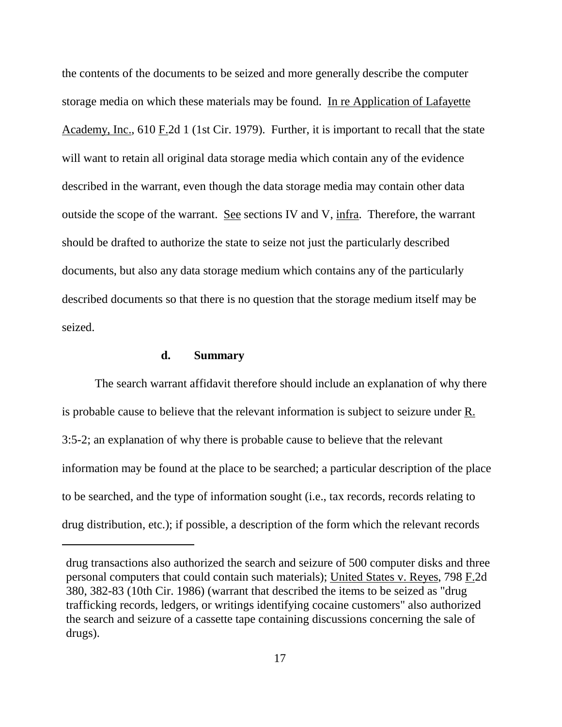the contents of the documents to be seized and more generally describe the computer storage media on which these materials may be found. In re Application of Lafayette Academy, Inc., 610 F.2d 1 (1st Cir. 1979). Further, it is important to recall that the state will want to retain all original data storage media which contain any of the evidence described in the warrant, even though the data storage media may contain other data outside the scope of the warrant. See sections IV and V, infra. Therefore, the warrant should be drafted to authorize the state to seize not just the particularly described documents, but also any data storage medium which contains any of the particularly described documents so that there is no question that the storage medium itself may be seized.

#### **d. Summary**

The search warrant affidavit therefore should include an explanation of why there is probable cause to believe that the relevant information is subject to seizure under  $\underline{R}$ . 3:5-2; an explanation of why there is probable cause to believe that the relevant information may be found at the place to be searched; a particular description of the place to be searched, and the type of information sought (i.e., tax records, records relating to drug distribution, etc.); if possible, a description of the form which the relevant records

drug transactions also authorized the search and seizure of 500 computer disks and three personal computers that could contain such materials); United States v. Reyes, 798 F.2d 380, 382-83 (10th Cir. 1986) (warrant that described the items to be seized as "drug trafficking records, ledgers, or writings identifying cocaine customers" also authorized the search and seizure of a cassette tape containing discussions concerning the sale of drugs).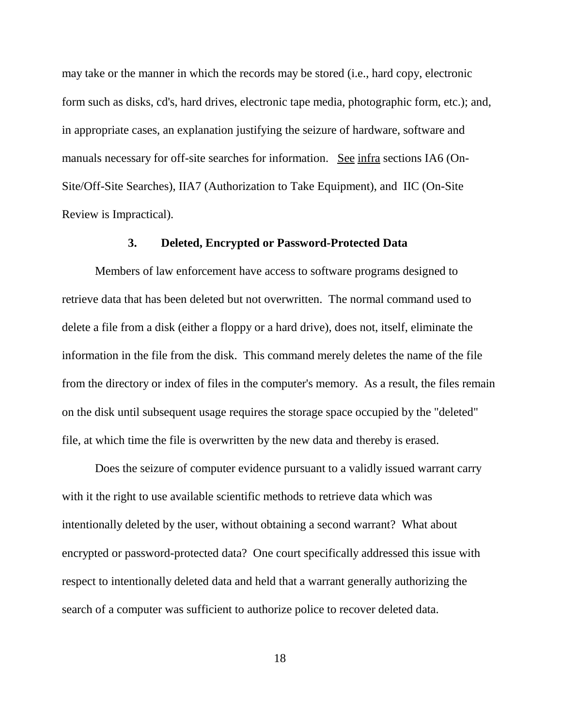may take or the manner in which the records may be stored (i.e., hard copy, electronic form such as disks, cd's, hard drives, electronic tape media, photographic form, etc.); and, in appropriate cases, an explanation justifying the seizure of hardware, software and manuals necessary for off-site searches for information. See infra sections IA6 (On-Site/Off-Site Searches), IIA7 (Authorization to Take Equipment), and IIC (On-Site Review is Impractical).

#### **3. Deleted, Encrypted or Password-Protected Data**

Members of law enforcement have access to software programs designed to retrieve data that has been deleted but not overwritten. The normal command used to delete a file from a disk (either a floppy or a hard drive), does not, itself, eliminate the information in the file from the disk. This command merely deletes the name of the file from the directory or index of files in the computer's memory. As a result, the files remain on the disk until subsequent usage requires the storage space occupied by the "deleted" file, at which time the file is overwritten by the new data and thereby is erased.

Does the seizure of computer evidence pursuant to a validly issued warrant carry with it the right to use available scientific methods to retrieve data which was intentionally deleted by the user, without obtaining a second warrant? What about encrypted or password-protected data? One court specifically addressed this issue with respect to intentionally deleted data and held that a warrant generally authorizing the search of a computer was sufficient to authorize police to recover deleted data.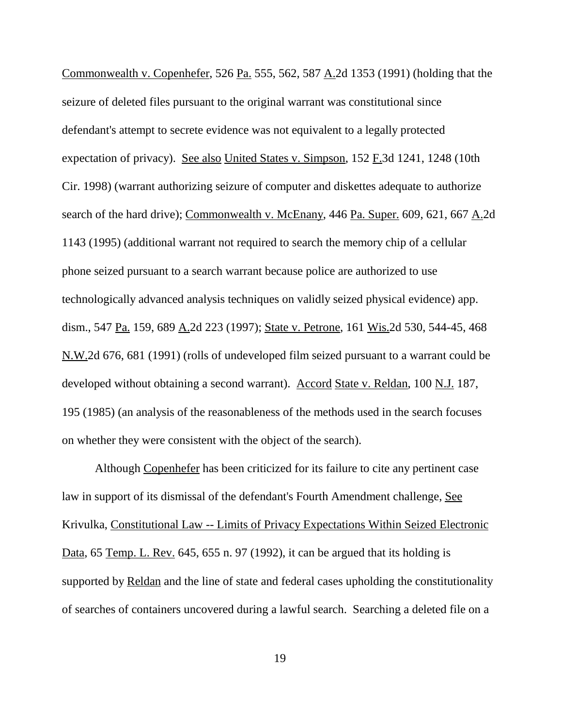Commonwealth v. Copenhefer, 526 Pa. 555, 562, 587 A.2d 1353 (1991) (holding that the seizure of deleted files pursuant to the original warrant was constitutional since defendant's attempt to secrete evidence was not equivalent to a legally protected expectation of privacy). See also United States v. Simpson,  $152$  F.3d  $1241$ ,  $1248$  (10th Cir. 1998) (warrant authorizing seizure of computer and diskettes adequate to authorize search of the hard drive); Commonwealth v. McEnany, 446 Pa. Super. 609, 621, 667 A.2d 1143 (1995) (additional warrant not required to search the memory chip of a cellular phone seized pursuant to a search warrant because police are authorized to use technologically advanced analysis techniques on validly seized physical evidence) app. dism., 547 Pa. 159, 689 A.2d 223 (1997); State v. Petrone, 161 Wis.2d 530, 544-45, 468 N.W.2d 676, 681 (1991) (rolls of undeveloped film seized pursuant to a warrant could be developed without obtaining a second warrant). Accord State v. Reldan, 100 N.J. 187, 195 (1985) (an analysis of the reasonableness of the methods used in the search focuses on whether they were consistent with the object of the search).

Although Copenhefer has been criticized for its failure to cite any pertinent case law in support of its dismissal of the defendant's Fourth Amendment challenge, See Krivulka, Constitutional Law -- Limits of Privacy Expectations Within Seized Electronic Data, 65 Temp. L. Rev. 645, 655 n. 97 (1992), it can be argued that its holding is supported by Reldan and the line of state and federal cases upholding the constitutionality of searches of containers uncovered during a lawful search. Searching a deleted file on a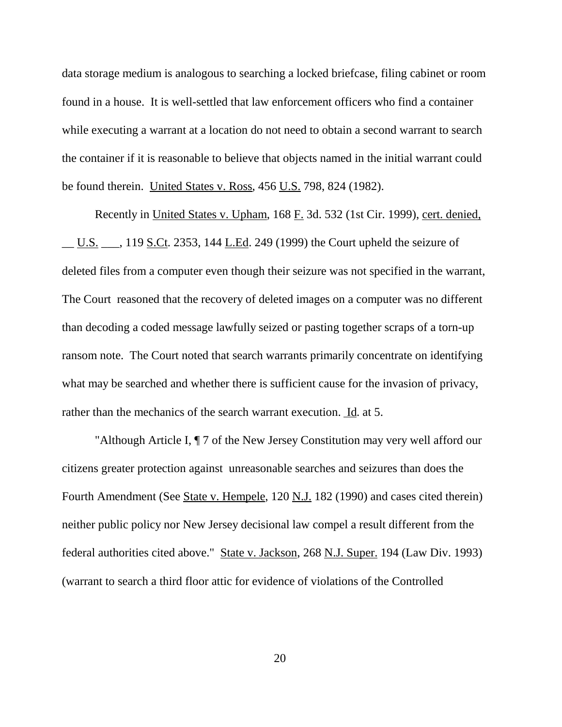data storage medium is analogous to searching a locked briefcase, filing cabinet or room found in a house. It is well-settled that law enforcement officers who find a container while executing a warrant at a location do not need to obtain a second warrant to search the container if it is reasonable to believe that objects named in the initial warrant could be found therein. United States v. Ross, 456 U.S. 798, 824 (1982).

Recently in United States v. Upham, 168 F. 3d. 532 (1st Cir. 1999), cert. denied,  $\underline{\text{U.S.}}$ , 119 S.Ct. 2353, 144 L.Ed. 249 (1999) the Court upheld the seizure of deleted files from a computer even though their seizure was not specified in the warrant, The Court reasoned that the recovery of deleted images on a computer was no different than decoding a coded message lawfully seized or pasting together scraps of a torn-up ransom note. The Court noted that search warrants primarily concentrate on identifying what may be searched and whether there is sufficient cause for the invasion of privacy, rather than the mechanics of the search warrant execution. Id. at 5.

"Although Article I, ¶ 7 of the New Jersey Constitution may very well afford our citizens greater protection against unreasonable searches and seizures than does the Fourth Amendment (See State v. Hempele, 120 N.J. 182 (1990) and cases cited therein) neither public policy nor New Jersey decisional law compel a result different from the federal authorities cited above." State v. Jackson, 268 N.J. Super. 194 (Law Div. 1993) (warrant to search a third floor attic for evidence of violations of the Controlled

20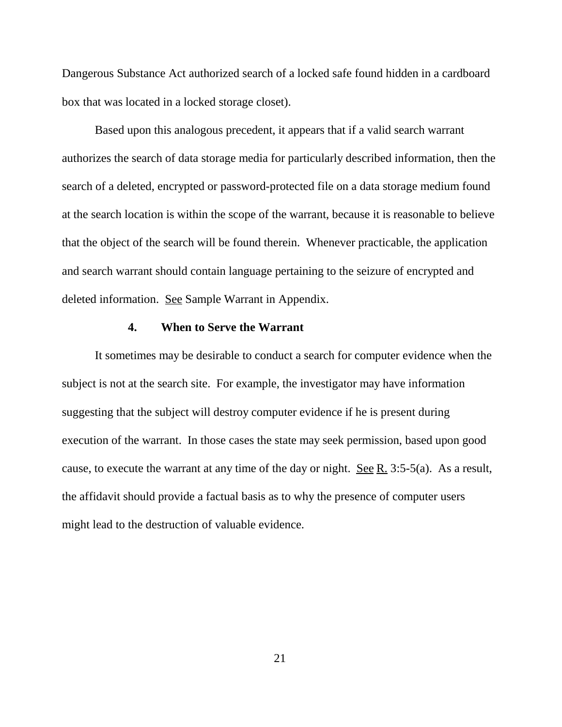Dangerous Substance Act authorized search of a locked safe found hidden in a cardboard box that was located in a locked storage closet).

Based upon this analogous precedent, it appears that if a valid search warrant authorizes the search of data storage media for particularly described information, then the search of a deleted, encrypted or password-protected file on a data storage medium found at the search location is within the scope of the warrant, because it is reasonable to believe that the object of the search will be found therein. Whenever practicable, the application and search warrant should contain language pertaining to the seizure of encrypted and deleted information. See Sample Warrant in Appendix.

#### **4. When to Serve the Warrant**

It sometimes may be desirable to conduct a search for computer evidence when the subject is not at the search site. For example, the investigator may have information suggesting that the subject will destroy computer evidence if he is present during execution of the warrant. In those cases the state may seek permission, based upon good cause, to execute the warrant at any time of the day or night. <u>See R.</u> 3:5-5(a). As a result, the affidavit should provide a factual basis as to why the presence of computer users might lead to the destruction of valuable evidence.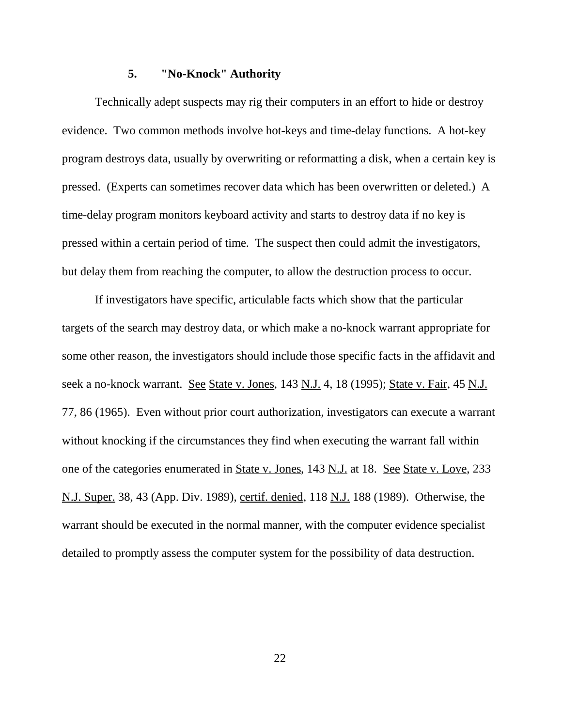#### **5. "No-Knock" Authority**

 Technically adept suspects may rig their computers in an effort to hide or destroy evidence. Two common methods involve hot-keys and time-delay functions. A hot-key program destroys data, usually by overwriting or reformatting a disk, when a certain key is pressed. (Experts can sometimes recover data which has been overwritten or deleted.) A time-delay program monitors keyboard activity and starts to destroy data if no key is pressed within a certain period of time. The suspect then could admit the investigators, but delay them from reaching the computer, to allow the destruction process to occur.

If investigators have specific, articulable facts which show that the particular targets of the search may destroy data, or which make a no-knock warrant appropriate for some other reason, the investigators should include those specific facts in the affidavit and seek a no-knock warrant. See State v. Jones, 143 N.J. 4, 18 (1995); State v. Fair, 45 N.J. 77, 86 (1965). Even without prior court authorization, investigators can execute a warrant without knocking if the circumstances they find when executing the warrant fall within one of the categories enumerated in **State v. Jones**, 143 N.J. at 18. See State v. Love, 233 N.J. Super. 38, 43 (App. Div. 1989), certif. denied, 118 N.J. 188 (1989). Otherwise, the warrant should be executed in the normal manner, with the computer evidence specialist detailed to promptly assess the computer system for the possibility of data destruction.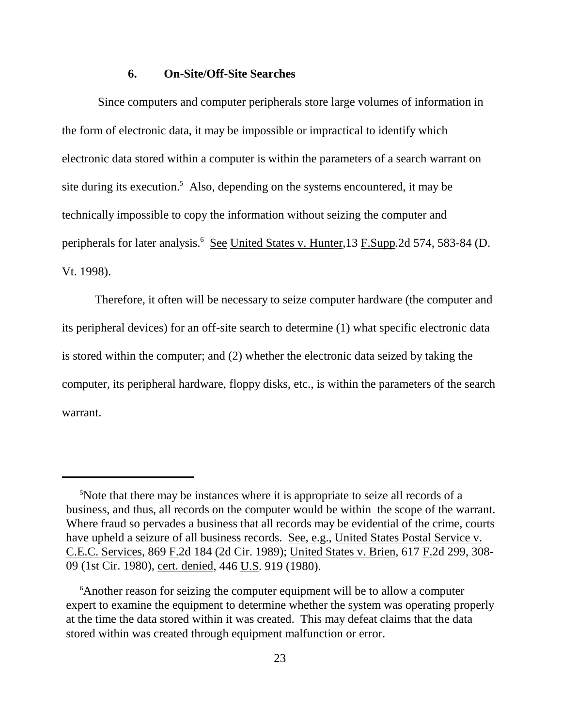#### **6. On-Site/Off-Site Searches**

 Since computers and computer peripherals store large volumes of information in the form of electronic data, it may be impossible or impractical to identify which electronic data stored within a computer is within the parameters of a search warrant on site during its execution.<sup>5</sup> Also, depending on the systems encountered, it may be technically impossible to copy the information without seizing the computer and peripherals for later analysis.<sup>6</sup> See United States v. Hunter, 13 F.Supp. 2d 574, 583-84 (D. Vt. 1998).

Therefore, it often will be necessary to seize computer hardware (the computer and its peripheral devices) for an off-site search to determine (1) what specific electronic data is stored within the computer; and (2) whether the electronic data seized by taking the computer, its peripheral hardware, floppy disks, etc., is within the parameters of the search warrant.

<sup>&</sup>lt;sup>5</sup>Note that there may be instances where it is appropriate to seize all records of a business, and thus, all records on the computer would be within the scope of the warrant. Where fraud so pervades a business that all records may be evidential of the crime, courts have upheld a seizure of all business records. See, e.g., United States Postal Service v. C.E.C. Services, 869 F.2d 184 (2d Cir. 1989); United States v. Brien, 617 F.2d 299, 308- 09 (1st Cir. 1980), cert. denied, 446 U.S. 919 (1980).

<sup>&</sup>lt;sup>6</sup> Another reason for seizing the computer equipment will be to allow a computer expert to examine the equipment to determine whether the system was operating properly at the time the data stored within it was created. This may defeat claims that the data stored within was created through equipment malfunction or error.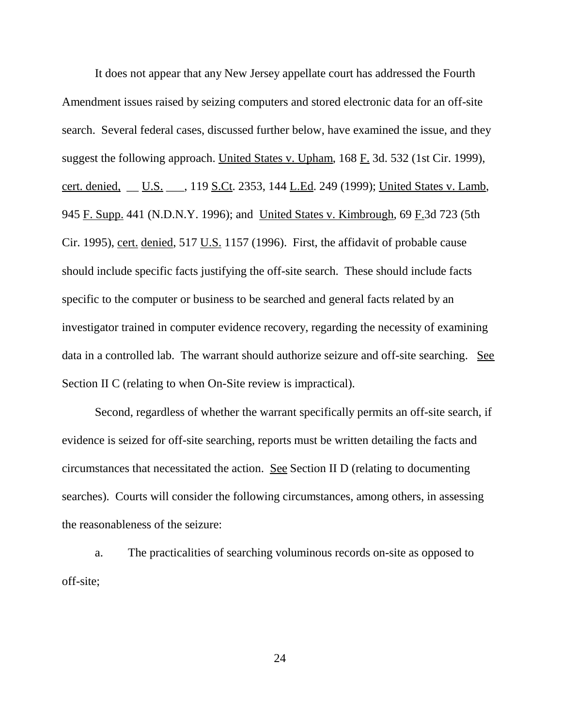It does not appear that any New Jersey appellate court has addressed the Fourth Amendment issues raised by seizing computers and stored electronic data for an off-site search. Several federal cases, discussed further below, have examined the issue, and they suggest the following approach. United States v. Upham, 168 F. 3d. 532 (1st Cir. 1999), cert. denied, U.S. . 119 S.Ct. 2353, 144 L.Ed. 249 (1999); United States v. Lamb, 945 F. Supp. 441 (N.D.N.Y. 1996); and United States v. Kimbrough, 69 F.3d 723 (5th Cir. 1995), cert. denied, 517 U.S. 1157 (1996). First, the affidavit of probable cause should include specific facts justifying the off-site search. These should include facts specific to the computer or business to be searched and general facts related by an investigator trained in computer evidence recovery, regarding the necessity of examining data in a controlled lab. The warrant should authorize seizure and off-site searching. See Section II C (relating to when On-Site review is impractical).

Second, regardless of whether the warrant specifically permits an off-site search, if evidence is seized for off-site searching, reports must be written detailing the facts and circumstances that necessitated the action. See Section II D (relating to documenting searches). Courts will consider the following circumstances, among others, in assessing the reasonableness of the seizure:

a. The practicalities of searching voluminous records on-site as opposed to off-site;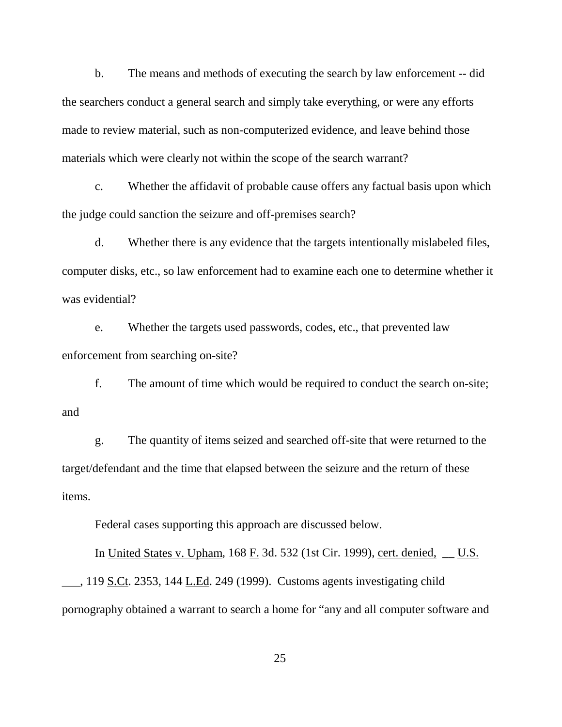b. The means and methods of executing the search by law enforcement -- did the searchers conduct a general search and simply take everything, or were any efforts made to review material, such as non-computerized evidence, and leave behind those materials which were clearly not within the scope of the search warrant?

c. Whether the affidavit of probable cause offers any factual basis upon which the judge could sanction the seizure and off-premises search?

d. Whether there is any evidence that the targets intentionally mislabeled files, computer disks, etc., so law enforcement had to examine each one to determine whether it was evidential?

e. Whether the targets used passwords, codes, etc., that prevented law enforcement from searching on-site?

f. The amount of time which would be required to conduct the search on-site; and

g. The quantity of items seized and searched off-site that were returned to the target/defendant and the time that elapsed between the seizure and the return of these items.

Federal cases supporting this approach are discussed below.

In United States v. Upham, 168 F. 3d. 532 (1st Cir. 1999), cert. denied, \_\_ U.S.  $\_\_$ , 119 <u>S.Ct</u>. 2353, 144 L.Ed. 249 (1999). Customs agents investigating child pornography obtained a warrant to search a home for "any and all computer software and

25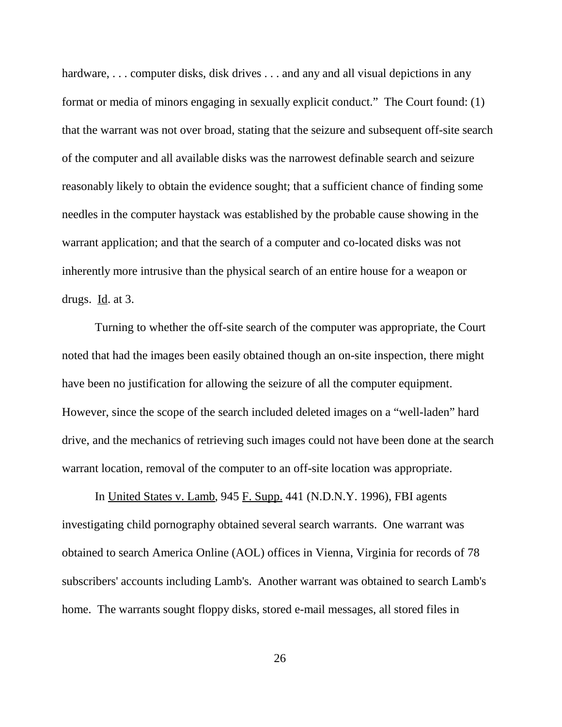hardware, ... computer disks, disk drives ... and any and all visual depictions in any format or media of minors engaging in sexually explicit conduct." The Court found: (1) that the warrant was not over broad, stating that the seizure and subsequent off-site search of the computer and all available disks was the narrowest definable search and seizure reasonably likely to obtain the evidence sought; that a sufficient chance of finding some needles in the computer haystack was established by the probable cause showing in the warrant application; and that the search of a computer and co-located disks was not inherently more intrusive than the physical search of an entire house for a weapon or drugs. Id. at 3.

Turning to whether the off-site search of the computer was appropriate, the Court noted that had the images been easily obtained though an on-site inspection, there might have been no justification for allowing the seizure of all the computer equipment. However, since the scope of the search included deleted images on a "well-laden" hard drive, and the mechanics of retrieving such images could not have been done at the search warrant location, removal of the computer to an off-site location was appropriate.

In United States v. Lamb, 945 F. Supp. 441 (N.D.N.Y. 1996), FBI agents investigating child pornography obtained several search warrants. One warrant was obtained to search America Online (AOL) offices in Vienna, Virginia for records of 78 subscribers' accounts including Lamb's. Another warrant was obtained to search Lamb's home. The warrants sought floppy disks, stored e-mail messages, all stored files in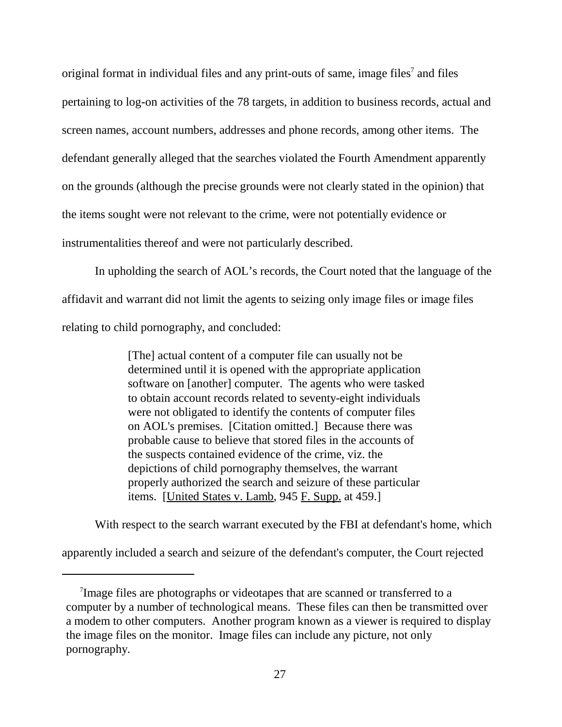original format in individual files and any print-outs of same, image files<sup>7</sup> and files pertaining to log-on activities of the 78 targets, in addition to business records, actual and screen names, account numbers, addresses and phone records, among other items. The defendant generally alleged that the searches violated the Fourth Amendment apparently on the grounds (although the precise grounds were not clearly stated in the opinion) that the items sought were not relevant to the crime, were not potentially evidence or instrumentalities thereof and were not particularly described.

In upholding the search of AOL's records, the Court noted that the language of the affidavit and warrant did not limit the agents to seizing only image files or image files relating to child pornography, and concluded:

> [The] actual content of a computer file can usually not be determined until it is opened with the appropriate application software on [another] computer. The agents who were tasked to obtain account records related to seventy-eight individuals were not obligated to identify the contents of computer files on AOL's premises. [Citation omitted.] Because there was probable cause to believe that stored files in the accounts of the suspects contained evidence of the crime, viz. the depictions of child pornography themselves, the warrant properly authorized the search and seizure of these particular items. [United States v. Lamb, 945 F. Supp. at 459.]

With respect to the search warrant executed by the FBI at defendant's home, which

apparently included a search and seizure of the defendant's computer, the Court rejected

<sup>&</sup>lt;sup>7</sup>Image files are photographs or videotapes that are scanned or transferred to a computer by a number of technological means. These files can then be transmitted over a modem to other computers. Another program known as a viewer is required to display the image files on the monitor. Image files can include any picture, not only pornography.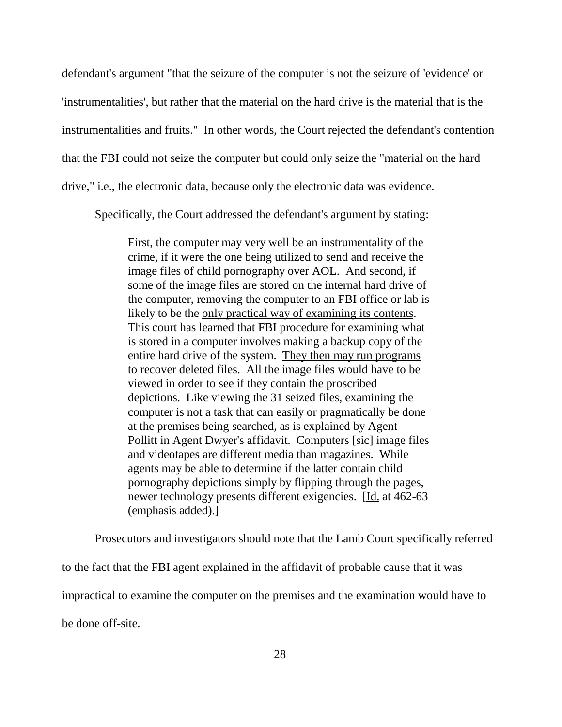defendant's argument "that the seizure of the computer is not the seizure of 'evidence' or 'instrumentalities', but rather that the material on the hard drive is the material that is the instrumentalities and fruits." In other words, the Court rejected the defendant's contention that the FBI could not seize the computer but could only seize the "material on the hard drive," i.e., the electronic data, because only the electronic data was evidence.

Specifically, the Court addressed the defendant's argument by stating:

First, the computer may very well be an instrumentality of the crime, if it were the one being utilized to send and receive the image files of child pornography over AOL. And second, if some of the image files are stored on the internal hard drive of the computer, removing the computer to an FBI office or lab is likely to be the only practical way of examining its contents. This court has learned that FBI procedure for examining what is stored in a computer involves making a backup copy of the entire hard drive of the system. They then may run programs to recover deleted files. All the image files would have to be viewed in order to see if they contain the proscribed depictions. Like viewing the 31 seized files, examining the computer is not a task that can easily or pragmatically be done at the premises being searched, as is explained by Agent Pollitt in Agent Dwyer's affidavit. Computers [sic] image files and videotapes are different media than magazines. While agents may be able to determine if the latter contain child pornography depictions simply by flipping through the pages, newer technology presents different exigencies. [Id. at 462-63 (emphasis added).]

Prosecutors and investigators should note that the Lamb Court specifically referred to the fact that the FBI agent explained in the affidavit of probable cause that it was impractical to examine the computer on the premises and the examination would have to be done off-site.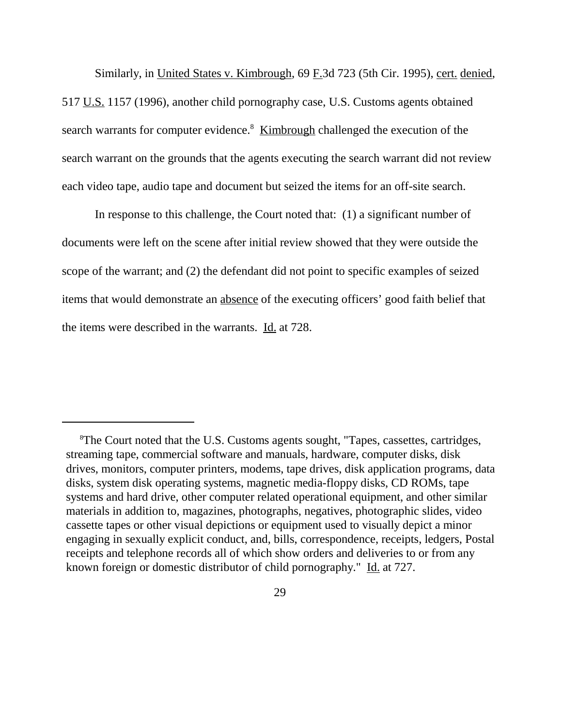Similarly, in United States v. Kimbrough, 69 F.3d 723 (5th Cir. 1995), cert. denied, 517 U.S. 1157 (1996), another child pornography case, U.S. Customs agents obtained search warrants for computer evidence.<sup>8</sup> Kimbrough challenged the execution of the search warrant on the grounds that the agents executing the search warrant did not review each video tape, audio tape and document but seized the items for an off-site search.

In response to this challenge, the Court noted that: (1) a significant number of documents were left on the scene after initial review showed that they were outside the scope of the warrant; and (2) the defendant did not point to specific examples of seized items that would demonstrate an absence of the executing officers' good faith belief that the items were described in the warrants. Id. at 728.

<sup>&</sup>lt;sup>8</sup>The Court noted that the U.S. Customs agents sought, "Tapes, cassettes, cartridges, streaming tape, commercial software and manuals, hardware, computer disks, disk drives, monitors, computer printers, modems, tape drives, disk application programs, data disks, system disk operating systems, magnetic media-floppy disks, CD ROMs, tape systems and hard drive, other computer related operational equipment, and other similar materials in addition to, magazines, photographs, negatives, photographic slides, video cassette tapes or other visual depictions or equipment used to visually depict a minor engaging in sexually explicit conduct, and, bills, correspondence, receipts, ledgers, Postal receipts and telephone records all of which show orders and deliveries to or from any known foreign or domestic distributor of child pornography." Id. at 727.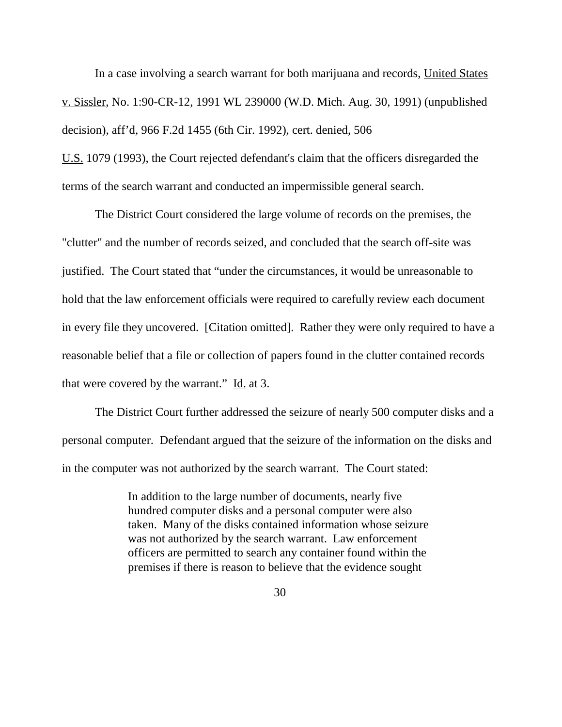In a case involving a search warrant for both marijuana and records, United States v. Sissler, No. 1:90-CR-12, 1991 WL 239000 (W.D. Mich. Aug. 30, 1991) (unpublished decision), aff'd, 966 F.2d 1455 (6th Cir. 1992), cert. denied, 506

U.S. 1079 (1993), the Court rejected defendant's claim that the officers disregarded the terms of the search warrant and conducted an impermissible general search.

The District Court considered the large volume of records on the premises, the "clutter" and the number of records seized, and concluded that the search off-site was justified. The Court stated that "under the circumstances, it would be unreasonable to hold that the law enforcement officials were required to carefully review each document in every file they uncovered. [Citation omitted]. Rather they were only required to have a reasonable belief that a file or collection of papers found in the clutter contained records that were covered by the warrant." Id. at 3.

The District Court further addressed the seizure of nearly 500 computer disks and a personal computer. Defendant argued that the seizure of the information on the disks and in the computer was not authorized by the search warrant. The Court stated:

> In addition to the large number of documents, nearly five hundred computer disks and a personal computer were also taken. Many of the disks contained information whose seizure was not authorized by the search warrant. Law enforcement officers are permitted to search any container found within the premises if there is reason to believe that the evidence sought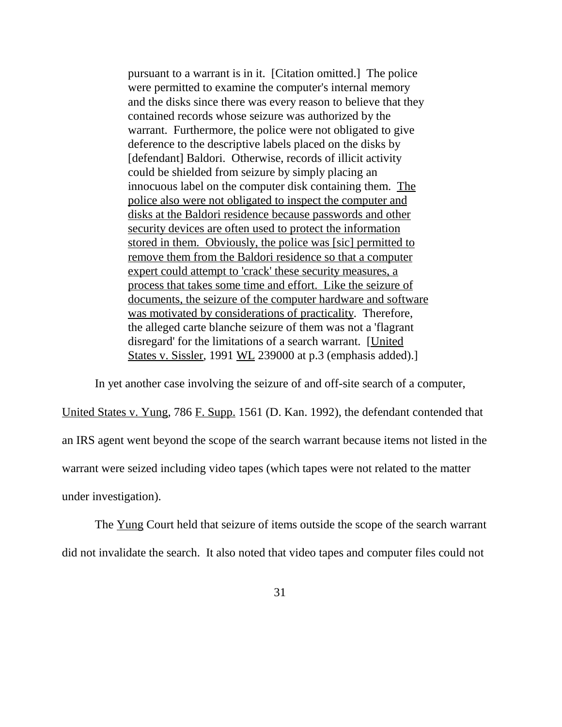pursuant to a warrant is in it. [Citation omitted.] The police were permitted to examine the computer's internal memory and the disks since there was every reason to believe that they contained records whose seizure was authorized by the warrant. Furthermore, the police were not obligated to give deference to the descriptive labels placed on the disks by [defendant] Baldori. Otherwise, records of illicit activity could be shielded from seizure by simply placing an innocuous label on the computer disk containing them. The police also were not obligated to inspect the computer and disks at the Baldori residence because passwords and other security devices are often used to protect the information stored in them. Obviously, the police was [sic] permitted to remove them from the Baldori residence so that a computer expert could attempt to 'crack' these security measures, a process that takes some time and effort. Like the seizure of documents, the seizure of the computer hardware and software was motivated by considerations of practicality. Therefore, the alleged carte blanche seizure of them was not a 'flagrant disregard' for the limitations of a search warrant. [United States v. Sissler, 1991 WL 239000 at p.3 (emphasis added).]

In yet another case involving the seizure of and off-site search of a computer,

United States v. Yung, 786 F. Supp. 1561 (D. Kan. 1992), the defendant contended that an IRS agent went beyond the scope of the search warrant because items not listed in the warrant were seized including video tapes (which tapes were not related to the matter under investigation).

The Yung Court held that seizure of items outside the scope of the search warrant did not invalidate the search. It also noted that video tapes and computer files could not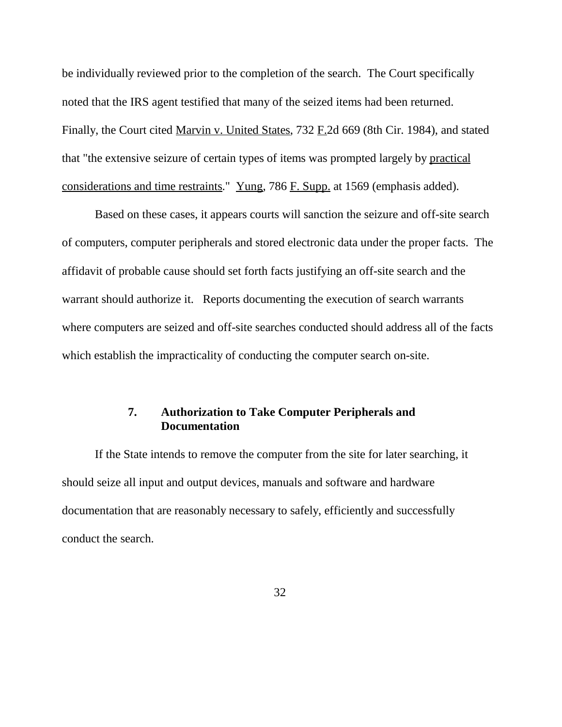be individually reviewed prior to the completion of the search. The Court specifically noted that the IRS agent testified that many of the seized items had been returned. Finally, the Court cited Marvin v. United States, 732 F.2d 669 (8th Cir. 1984), and stated that "the extensive seizure of certain types of items was prompted largely by practical considerations and time restraints." Yung, 786 F. Supp. at 1569 (emphasis added).

Based on these cases, it appears courts will sanction the seizure and off-site search of computers, computer peripherals and stored electronic data under the proper facts. The affidavit of probable cause should set forth facts justifying an off-site search and the warrant should authorize it. Reports documenting the execution of search warrants where computers are seized and off-site searches conducted should address all of the facts which establish the impracticality of conducting the computer search on-site.

# **7. Authorization to Take Computer Peripherals and Documentation**

If the State intends to remove the computer from the site for later searching, it should seize all input and output devices, manuals and software and hardware documentation that are reasonably necessary to safely, efficiently and successfully conduct the search.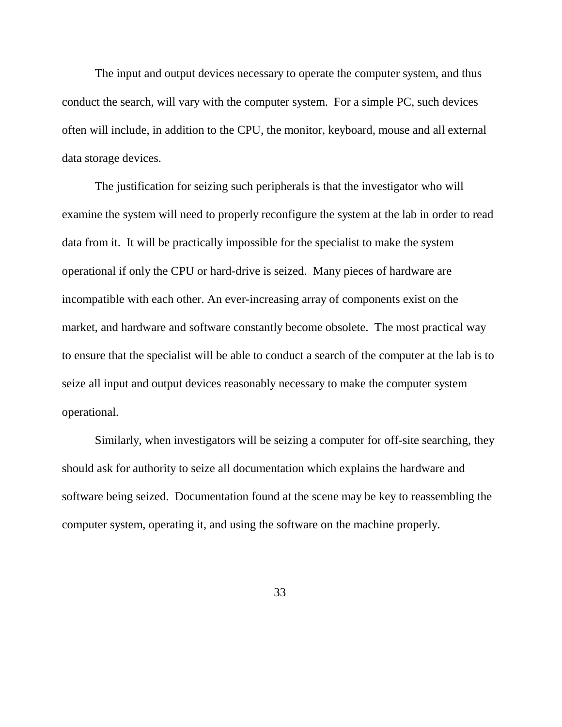The input and output devices necessary to operate the computer system, and thus conduct the search, will vary with the computer system. For a simple PC, such devices often will include, in addition to the CPU, the monitor, keyboard, mouse and all external data storage devices.

The justification for seizing such peripherals is that the investigator who will examine the system will need to properly reconfigure the system at the lab in order to read data from it. It will be practically impossible for the specialist to make the system operational if only the CPU or hard-drive is seized. Many pieces of hardware are incompatible with each other. An ever-increasing array of components exist on the market, and hardware and software constantly become obsolete. The most practical way to ensure that the specialist will be able to conduct a search of the computer at the lab is to seize all input and output devices reasonably necessary to make the computer system operational.

Similarly, when investigators will be seizing a computer for off-site searching, they should ask for authority to seize all documentation which explains the hardware and software being seized. Documentation found at the scene may be key to reassembling the computer system, operating it, and using the software on the machine properly.

33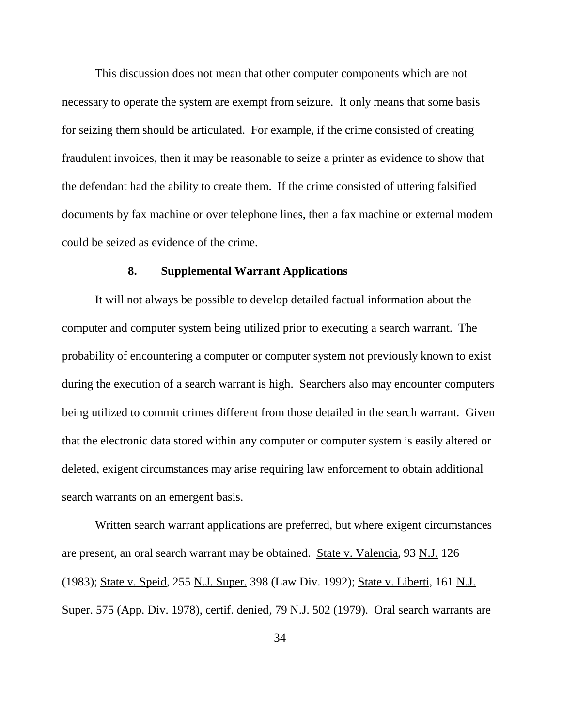This discussion does not mean that other computer components which are not necessary to operate the system are exempt from seizure. It only means that some basis for seizing them should be articulated. For example, if the crime consisted of creating fraudulent invoices, then it may be reasonable to seize a printer as evidence to show that the defendant had the ability to create them. If the crime consisted of uttering falsified documents by fax machine or over telephone lines, then a fax machine or external modem could be seized as evidence of the crime.

## **8. Supplemental Warrant Applications**

It will not always be possible to develop detailed factual information about the computer and computer system being utilized prior to executing a search warrant. The probability of encountering a computer or computer system not previously known to exist during the execution of a search warrant is high. Searchers also may encounter computers being utilized to commit crimes different from those detailed in the search warrant. Given that the electronic data stored within any computer or computer system is easily altered or deleted, exigent circumstances may arise requiring law enforcement to obtain additional search warrants on an emergent basis.

Written search warrant applications are preferred, but where exigent circumstances are present, an oral search warrant may be obtained. State v. Valencia, 93 N.J. 126 (1983); State v. Speid, 255 N.J. Super. 398 (Law Div. 1992); State v. Liberti, 161 N.J. Super. 575 (App. Div. 1978), certif. denied, 79 N.J. 502 (1979). Oral search warrants are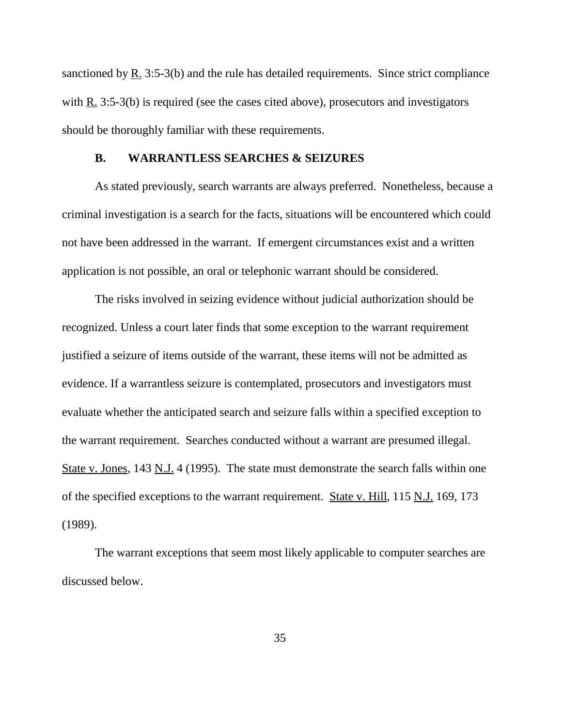sanctioned by R. 3:5-3(b) and the rule has detailed requirements. Since strict compliance with R. 3:5-3(b) is required (see the cases cited above), prosecutors and investigators should be thoroughly familiar with these requirements.

### **B. WARRANTLESS SEARCHES & SEIZURES**

As stated previously, search warrants are always preferred. Nonetheless, because a criminal investigation is a search for the facts, situations will be encountered which could not have been addressed in the warrant. If emergent circumstances exist and a written application is not possible, an oral or telephonic warrant should be considered.

The risks involved in seizing evidence without judicial authorization should be recognized. Unless a court later finds that some exception to the warrant requirement justified a seizure of items outside of the warrant, these items will not be admitted as evidence. If a warrantless seizure is contemplated, prosecutors and investigators must evaluate whether the anticipated search and seizure falls within a specified exception to the warrant requirement. Searches conducted without a warrant are presumed illegal. State v. Jones, 143 N.J. 4 (1995). The state must demonstrate the search falls within one of the specified exceptions to the warrant requirement. State v. Hill, 115 N.J. 169, 173 (1989).

The warrant exceptions that seem most likely applicable to computer searches are discussed below.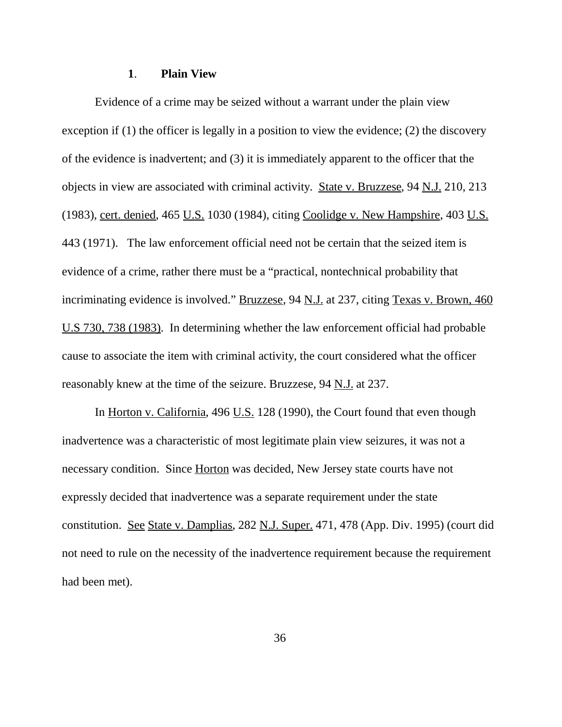## **1**. **Plain View**

Evidence of a crime may be seized without a warrant under the plain view exception if (1) the officer is legally in a position to view the evidence; (2) the discovery of the evidence is inadvertent; and (3) it is immediately apparent to the officer that the objects in view are associated with criminal activity. State v. Bruzzese, 94 N.J. 210, 213 (1983), cert. denied, 465 U.S. 1030 (1984), citing Coolidge v. New Hampshire, 403 U.S. 443 (1971). The law enforcement official need not be certain that the seized item is evidence of a crime, rather there must be a "practical, nontechnical probability that incriminating evidence is involved." Bruzzese, 94 N.J. at 237, citing Texas v. Brown, 460 U.S 730, 738 (1983). In determining whether the law enforcement official had probable cause to associate the item with criminal activity, the court considered what the officer reasonably knew at the time of the seizure. Bruzzese, 94 N.J. at 237.

In <u>Horton v. California</u>, 496 U.S. 128 (1990), the Court found that even though inadvertence was a characteristic of most legitimate plain view seizures, it was not a necessary condition. Since **Horton** was decided, New Jersey state courts have not expressly decided that inadvertence was a separate requirement under the state constitution. See State v. Damplias, 282 N.J. Super. 471, 478 (App. Div. 1995) (court did not need to rule on the necessity of the inadvertence requirement because the requirement had been met).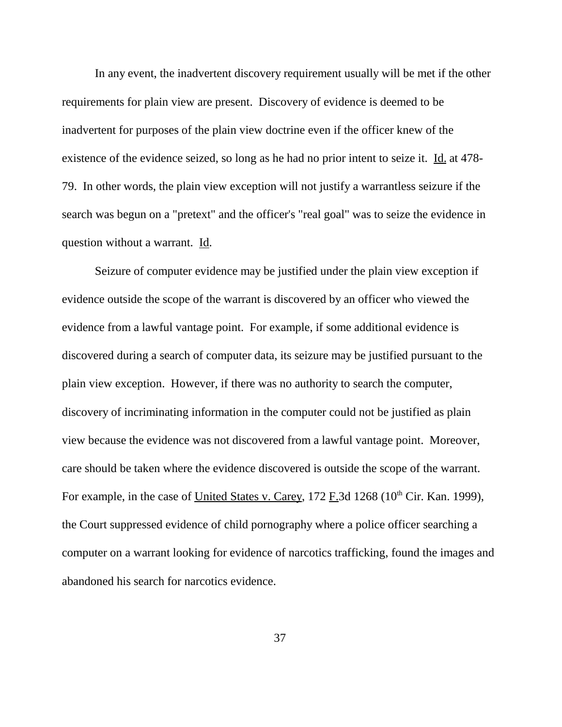In any event, the inadvertent discovery requirement usually will be met if the other requirements for plain view are present. Discovery of evidence is deemed to be inadvertent for purposes of the plain view doctrine even if the officer knew of the existence of the evidence seized, so long as he had no prior intent to seize it. Id. at 478-79. In other words, the plain view exception will not justify a warrantless seizure if the search was begun on a "pretext" and the officer's "real goal" was to seize the evidence in question without a warrant. Id.

Seizure of computer evidence may be justified under the plain view exception if evidence outside the scope of the warrant is discovered by an officer who viewed the evidence from a lawful vantage point. For example, if some additional evidence is discovered during a search of computer data, its seizure may be justified pursuant to the plain view exception. However, if there was no authority to search the computer, discovery of incriminating information in the computer could not be justified as plain view because the evidence was not discovered from a lawful vantage point. Moreover, care should be taken where the evidence discovered is outside the scope of the warrant. For example, in the case of United States v. Carey,  $172$  F.3d  $1268$  ( $10<sup>th</sup>$  Cir. Kan. 1999), the Court suppressed evidence of child pornography where a police officer searching a computer on a warrant looking for evidence of narcotics trafficking, found the images and abandoned his search for narcotics evidence.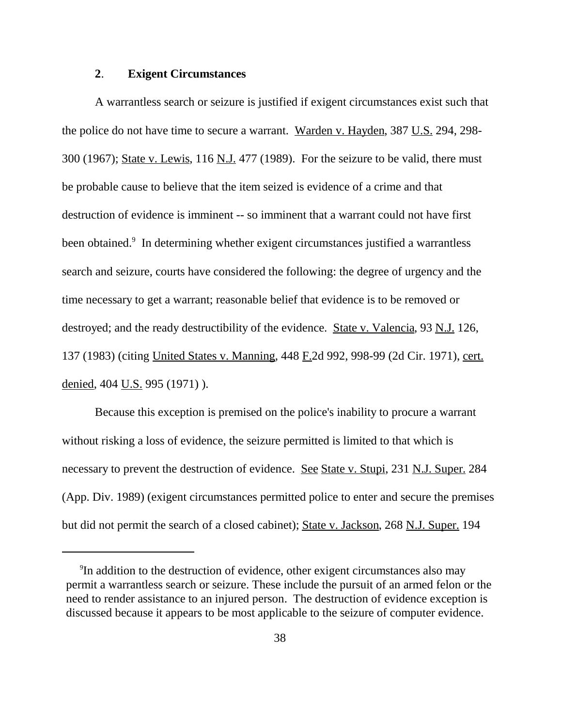## **2**. **Exigent Circumstances**

A warrantless search or seizure is justified if exigent circumstances exist such that the police do not have time to secure a warrant. Warden v. Hayden, 387 U.S. 294, 298-300 (1967); State v. Lewis, 116 N.J. 477 (1989). For the seizure to be valid, there must be probable cause to believe that the item seized is evidence of a crime and that destruction of evidence is imminent -- so imminent that a warrant could not have first been obtained.<sup>9</sup> In determining whether exigent circumstances justified a warrantless search and seizure, courts have considered the following: the degree of urgency and the time necessary to get a warrant; reasonable belief that evidence is to be removed or destroyed; and the ready destructibility of the evidence. State v. Valencia, 93 N.J. 126, 137 (1983) (citing United States v. Manning, 448 F.2d 992, 998-99 (2d Cir. 1971), cert. denied, 404 U.S. 995 (1971) ).

Because this exception is premised on the police's inability to procure a warrant without risking a loss of evidence, the seizure permitted is limited to that which is necessary to prevent the destruction of evidence. See State v. Stupi, 231 N.J. Super. 284 (App. Div. 1989) (exigent circumstances permitted police to enter and secure the premises but did not permit the search of a closed cabinet); State v. Jackson, 268 N.J. Super. 194

<sup>&</sup>lt;sup>9</sup>In addition to the destruction of evidence, other exigent circumstances also may permit a warrantless search or seizure. These include the pursuit of an armed felon or the need to render assistance to an injured person. The destruction of evidence exception is discussed because it appears to be most applicable to the seizure of computer evidence.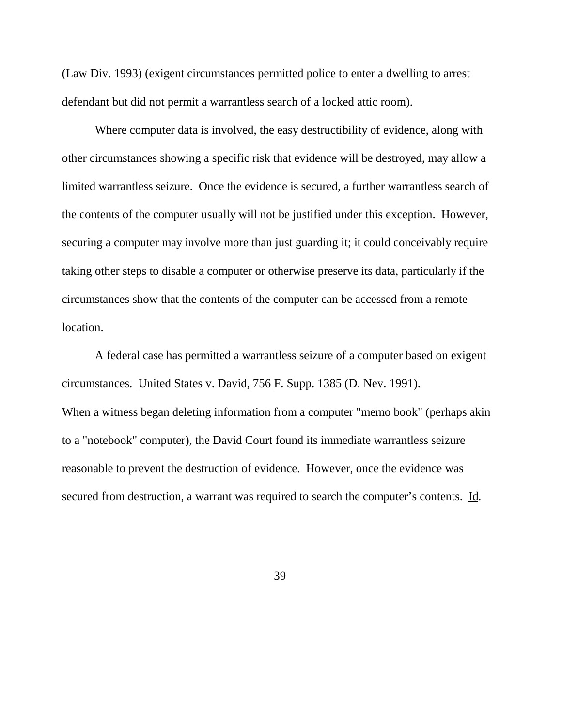(Law Div. 1993) (exigent circumstances permitted police to enter a dwelling to arrest defendant but did not permit a warrantless search of a locked attic room).

Where computer data is involved, the easy destructibility of evidence, along with other circumstances showing a specific risk that evidence will be destroyed, may allow a limited warrantless seizure. Once the evidence is secured, a further warrantless search of the contents of the computer usually will not be justified under this exception. However, securing a computer may involve more than just guarding it; it could conceivably require taking other steps to disable a computer or otherwise preserve its data, particularly if the circumstances show that the contents of the computer can be accessed from a remote location.

A federal case has permitted a warrantless seizure of a computer based on exigent circumstances. United States v. David, 756 F. Supp. 1385 (D. Nev. 1991). When a witness began deleting information from a computer "memo book" (perhaps akin to a "notebook" computer), the David Court found its immediate warrantless seizure reasonable to prevent the destruction of evidence. However, once the evidence was secured from destruction, a warrant was required to search the computer's contents. Id.

39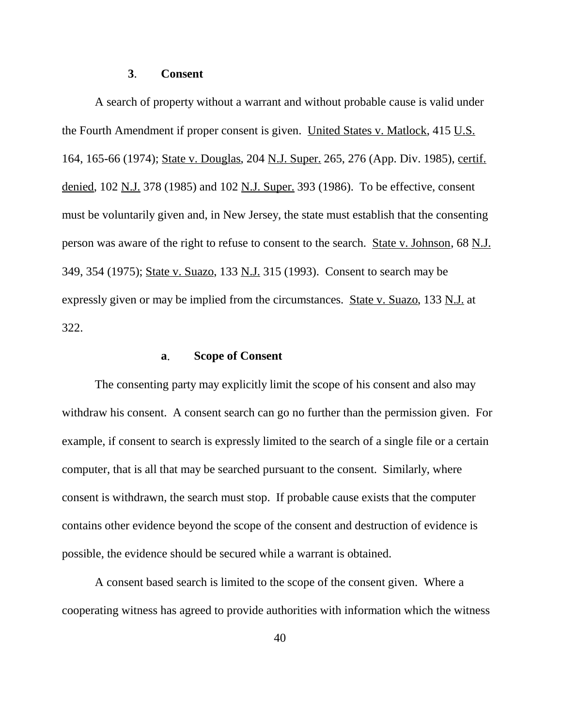## **3**. **Consent**

A search of property without a warrant and without probable cause is valid under the Fourth Amendment if proper consent is given. United States v. Matlock, 415 U.S. 164, 165-66 (1974); State v. Douglas, 204 N.J. Super. 265, 276 (App. Div. 1985), certif. denied, 102 N.J. 378 (1985) and 102 N.J. Super. 393 (1986). To be effective, consent must be voluntarily given and, in New Jersey, the state must establish that the consenting person was aware of the right to refuse to consent to the search. State v. Johnson, 68 N.J. 349, 354 (1975); State v. Suazo, 133 N.J. 315 (1993). Consent to search may be expressly given or may be implied from the circumstances. State v. Suazo, 133 N.J. at 322.

#### **a**. **Scope of Consent**

The consenting party may explicitly limit the scope of his consent and also may withdraw his consent. A consent search can go no further than the permission given. For example, if consent to search is expressly limited to the search of a single file or a certain computer, that is all that may be searched pursuant to the consent. Similarly, where consent is withdrawn, the search must stop. If probable cause exists that the computer contains other evidence beyond the scope of the consent and destruction of evidence is possible, the evidence should be secured while a warrant is obtained.

A consent based search is limited to the scope of the consent given. Where a cooperating witness has agreed to provide authorities with information which the witness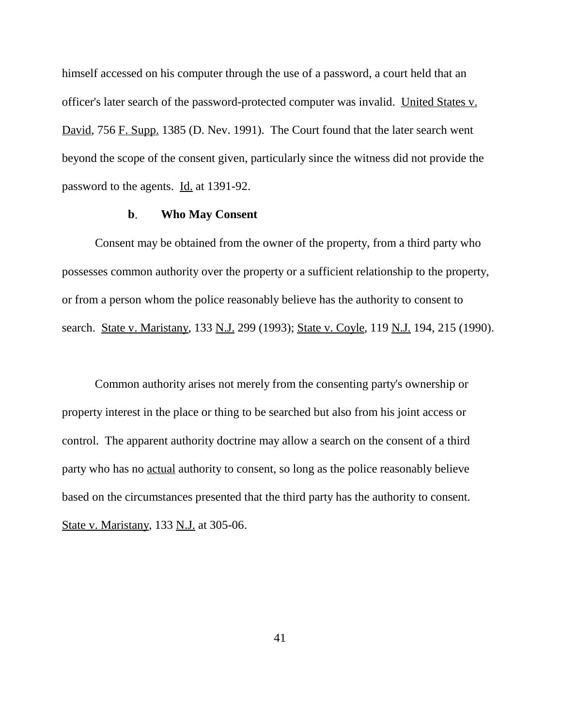himself accessed on his computer through the use of a password, a court held that an officer's later search of the password-protected computer was invalid. United States v. David, 756 F. Supp. 1385 (D. Nev. 1991). The Court found that the later search went beyond the scope of the consent given, particularly since the witness did not provide the password to the agents. Id. at 1391-92.

## **b**. **Who May Consent**

Consent may be obtained from the owner of the property, from a third party who possesses common authority over the property or a sufficient relationship to the property, or from a person whom the police reasonably believe has the authority to consent to search. State v. Maristany, 133 N.J. 299 (1993); State v. Coyle, 119 N.J. 194, 215 (1990).

Common authority arises not merely from the consenting party's ownership or property interest in the place or thing to be searched but also from his joint access or control. The apparent authority doctrine may allow a search on the consent of a third party who has no actual authority to consent, so long as the police reasonably believe based on the circumstances presented that the third party has the authority to consent. State v. Maristany, 133 N.J. at 305-06.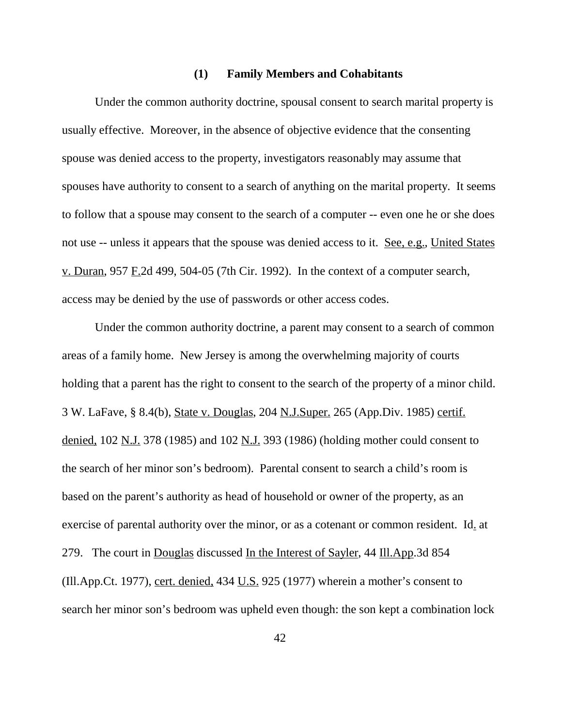#### **(1) Family Members and Cohabitants**

Under the common authority doctrine, spousal consent to search marital property is usually effective. Moreover, in the absence of objective evidence that the consenting spouse was denied access to the property, investigators reasonably may assume that spouses have authority to consent to a search of anything on the marital property. It seems to follow that a spouse may consent to the search of a computer -- even one he or she does not use -- unless it appears that the spouse was denied access to it. See, e.g., United States v. Duran, 957  $F.2d$  499, 504-05 (7th Cir. 1992). In the context of a computer search, access may be denied by the use of passwords or other access codes.

Under the common authority doctrine, a parent may consent to a search of common areas of a family home. New Jersey is among the overwhelming majority of courts holding that a parent has the right to consent to the search of the property of a minor child. 3 W. LaFave, § 8.4(b), State v. Douglas, 204 N.J.Super. 265 (App.Div. 1985) certif. denied, 102 N.J. 378 (1985) and 102 N.J. 393 (1986) (holding mother could consent to the search of her minor son's bedroom). Parental consent to search a child's room is based on the parent's authority as head of household or owner of the property, as an exercise of parental authority over the minor, or as a cotenant or common resident. Id. at 279. The court in Douglas discussed In the Interest of Sayler, 44 Ill.App. 3d 854 (Ill.App.Ct. 1977), cert. denied, 434 U.S. 925 (1977) wherein a mother's consent to search her minor son's bedroom was upheld even though: the son kept a combination lock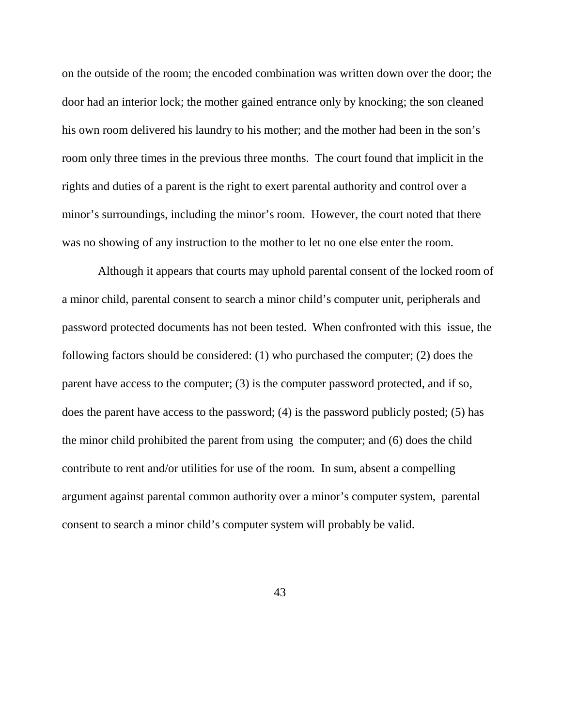on the outside of the room; the encoded combination was written down over the door; the door had an interior lock; the mother gained entrance only by knocking; the son cleaned his own room delivered his laundry to his mother; and the mother had been in the son's room only three times in the previous three months. The court found that implicit in the rights and duties of a parent is the right to exert parental authority and control over a minor's surroundings, including the minor's room. However, the court noted that there was no showing of any instruction to the mother to let no one else enter the room.

 Although it appears that courts may uphold parental consent of the locked room of a minor child, parental consent to search a minor child's computer unit, peripherals and password protected documents has not been tested. When confronted with this issue, the following factors should be considered: (1) who purchased the computer; (2) does the parent have access to the computer; (3) is the computer password protected, and if so, does the parent have access to the password; (4) is the password publicly posted; (5) has the minor child prohibited the parent from using the computer; and (6) does the child contribute to rent and/or utilities for use of the room. In sum, absent a compelling argument against parental common authority over a minor's computer system, parental consent to search a minor child's computer system will probably be valid.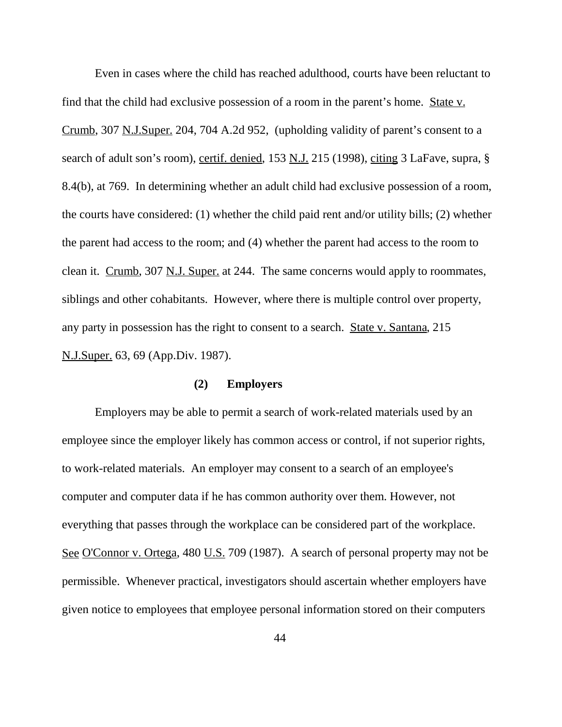Even in cases where the child has reached adulthood, courts have been reluctant to find that the child had exclusive possession of a room in the parent's home. State v. Crumb, 307 N.J.Super. 204, 704 A.2d 952, (upholding validity of parent's consent to a search of adult son's room), certif. denied, 153 N.J. 215 (1998), citing 3 LaFave, supra, § 8.4(b), at 769. In determining whether an adult child had exclusive possession of a room, the courts have considered: (1) whether the child paid rent and/or utility bills; (2) whether the parent had access to the room; and (4) whether the parent had access to the room to clean it. Crumb, 307 N.J. Super. at 244. The same concerns would apply to roommates, siblings and other cohabitants. However, where there is multiple control over property, any party in possession has the right to consent to a search. State v. Santana, 215 N.J.Super. 63, 69 (App.Div. 1987).

## **(2) Employers**

Employers may be able to permit a search of work-related materials used by an employee since the employer likely has common access or control, if not superior rights, to work-related materials. An employer may consent to a search of an employee's computer and computer data if he has common authority over them. However, not everything that passes through the workplace can be considered part of the workplace. See O'Connor v. Ortega, 480 U.S. 709 (1987). A search of personal property may not be permissible. Whenever practical, investigators should ascertain whether employers have given notice to employees that employee personal information stored on their computers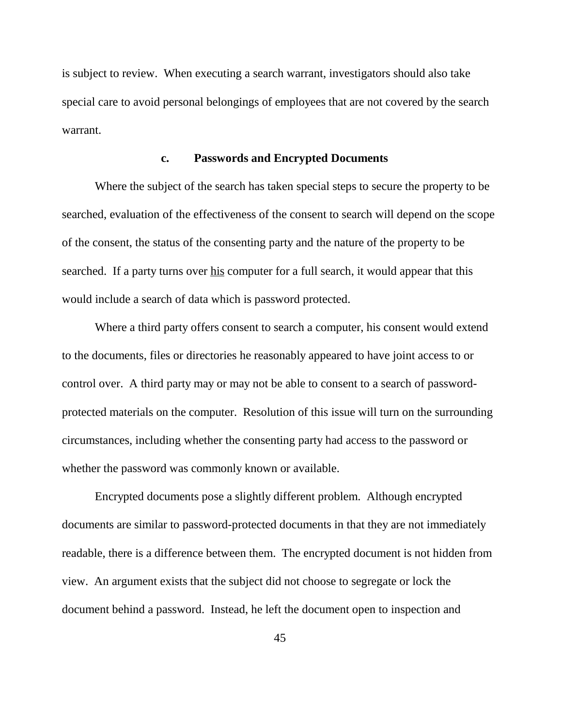is subject to review. When executing a search warrant, investigators should also take special care to avoid personal belongings of employees that are not covered by the search warrant.

## **c. Passwords and Encrypted Documents**

Where the subject of the search has taken special steps to secure the property to be searched, evaluation of the effectiveness of the consent to search will depend on the scope of the consent, the status of the consenting party and the nature of the property to be searched. If a party turns over his computer for a full search, it would appear that this would include a search of data which is password protected.

Where a third party offers consent to search a computer, his consent would extend to the documents, files or directories he reasonably appeared to have joint access to or control over. A third party may or may not be able to consent to a search of passwordprotected materials on the computer. Resolution of this issue will turn on the surrounding circumstances, including whether the consenting party had access to the password or whether the password was commonly known or available.

Encrypted documents pose a slightly different problem. Although encrypted documents are similar to password-protected documents in that they are not immediately readable, there is a difference between them. The encrypted document is not hidden from view. An argument exists that the subject did not choose to segregate or lock the document behind a password. Instead, he left the document open to inspection and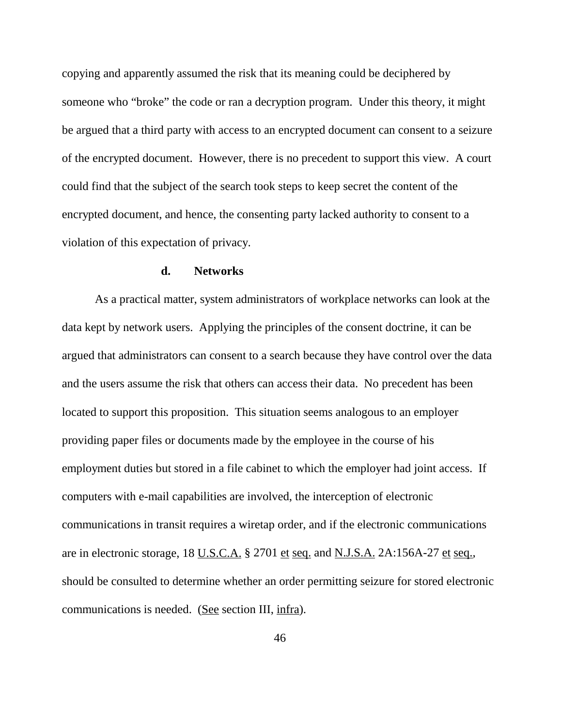copying and apparently assumed the risk that its meaning could be deciphered by someone who "broke" the code or ran a decryption program. Under this theory, it might be argued that a third party with access to an encrypted document can consent to a seizure of the encrypted document. However, there is no precedent to support this view. A court could find that the subject of the search took steps to keep secret the content of the encrypted document, and hence, the consenting party lacked authority to consent to a violation of this expectation of privacy.

#### **d. Networks**

As a practical matter, system administrators of workplace networks can look at the data kept by network users. Applying the principles of the consent doctrine, it can be argued that administrators can consent to a search because they have control over the data and the users assume the risk that others can access their data. No precedent has been located to support this proposition. This situation seems analogous to an employer providing paper files or documents made by the employee in the course of his employment duties but stored in a file cabinet to which the employer had joint access. If computers with e-mail capabilities are involved, the interception of electronic communications in transit requires a wiretap order, and if the electronic communications are in electronic storage, 18 U.S.C.A. § 2701 et seq. and N.J.S.A. 2A:156A-27 et seq., should be consulted to determine whether an order permitting seizure for stored electronic communications is needed. (See section III, infra).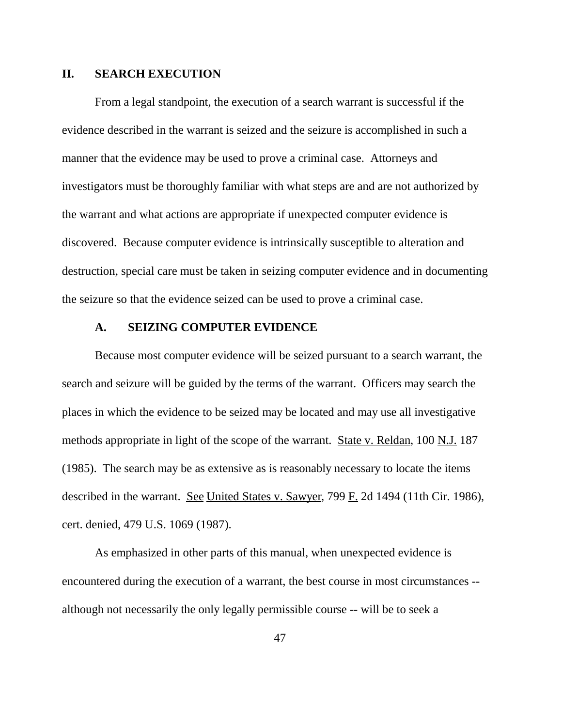#### **II. SEARCH EXECUTION**

From a legal standpoint, the execution of a search warrant is successful if the evidence described in the warrant is seized and the seizure is accomplished in such a manner that the evidence may be used to prove a criminal case. Attorneys and investigators must be thoroughly familiar with what steps are and are not authorized by the warrant and what actions are appropriate if unexpected computer evidence is discovered. Because computer evidence is intrinsically susceptible to alteration and destruction, special care must be taken in seizing computer evidence and in documenting the seizure so that the evidence seized can be used to prove a criminal case.

## **A. SEIZING COMPUTER EVIDENCE**

Because most computer evidence will be seized pursuant to a search warrant, the search and seizure will be guided by the terms of the warrant. Officers may search the places in which the evidence to be seized may be located and may use all investigative methods appropriate in light of the scope of the warrant. State v. Reldan, 100 N.J. 187 (1985). The search may be as extensive as is reasonably necessary to locate the items described in the warrant. See United States v. Sawyer, 799 F. 2d 1494 (11th Cir. 1986), cert. denied, 479 U.S. 1069 (1987).

As emphasized in other parts of this manual, when unexpected evidence is encountered during the execution of a warrant, the best course in most circumstances - although not necessarily the only legally permissible course -- will be to seek a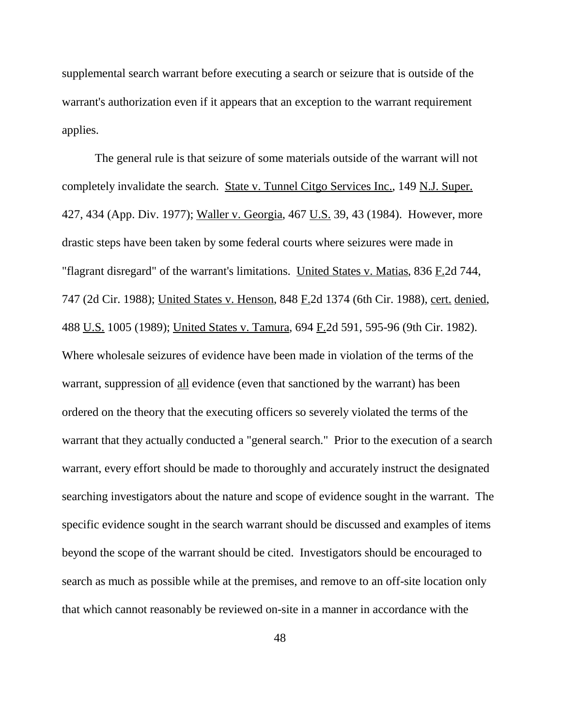supplemental search warrant before executing a search or seizure that is outside of the warrant's authorization even if it appears that an exception to the warrant requirement applies.

 The general rule is that seizure of some materials outside of the warrant will not completely invalidate the search. State v. Tunnel Citgo Services Inc., 149 N.J. Super. 427, 434 (App. Div. 1977); Waller v. Georgia, 467 U.S. 39, 43 (1984). However, more drastic steps have been taken by some federal courts where seizures were made in "flagrant disregard" of the warrant's limitations. United States v. Matias, 836 F.2d 744, 747 (2d Cir. 1988); United States v. Henson, 848 F.2d 1374 (6th Cir. 1988), cert. denied, 488 U.S. 1005 (1989); United States v. Tamura, 694 F.2d 591, 595-96 (9th Cir. 1982). Where wholesale seizures of evidence have been made in violation of the terms of the warrant, suppression of all evidence (even that sanctioned by the warrant) has been ordered on the theory that the executing officers so severely violated the terms of the warrant that they actually conducted a "general search." Prior to the execution of a search warrant, every effort should be made to thoroughly and accurately instruct the designated searching investigators about the nature and scope of evidence sought in the warrant. The specific evidence sought in the search warrant should be discussed and examples of items beyond the scope of the warrant should be cited. Investigators should be encouraged to search as much as possible while at the premises, and remove to an off-site location only that which cannot reasonably be reviewed on-site in a manner in accordance with the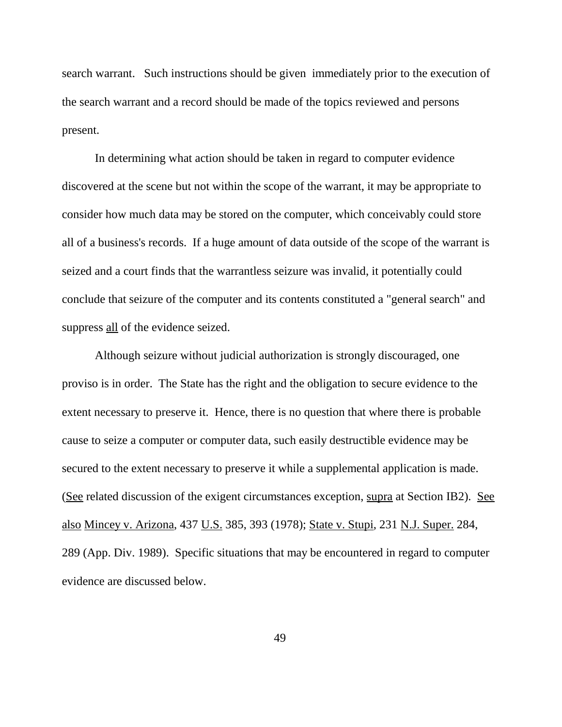search warrant. Such instructions should be given immediately prior to the execution of the search warrant and a record should be made of the topics reviewed and persons present.

In determining what action should be taken in regard to computer evidence discovered at the scene but not within the scope of the warrant, it may be appropriate to consider how much data may be stored on the computer, which conceivably could store all of a business's records. If a huge amount of data outside of the scope of the warrant is seized and a court finds that the warrantless seizure was invalid, it potentially could conclude that seizure of the computer and its contents constituted a "general search" and suppress all of the evidence seized.

 Although seizure without judicial authorization is strongly discouraged, one proviso is in order. The State has the right and the obligation to secure evidence to the extent necessary to preserve it. Hence, there is no question that where there is probable cause to seize a computer or computer data, such easily destructible evidence may be secured to the extent necessary to preserve it while a supplemental application is made. (See related discussion of the exigent circumstances exception, supra at Section IB2). See also Mincey v. Arizona, 437 U.S. 385, 393 (1978); State v. Stupi, 231 N.J. Super. 284, 289 (App. Div. 1989). Specific situations that may be encountered in regard to computer evidence are discussed below.

49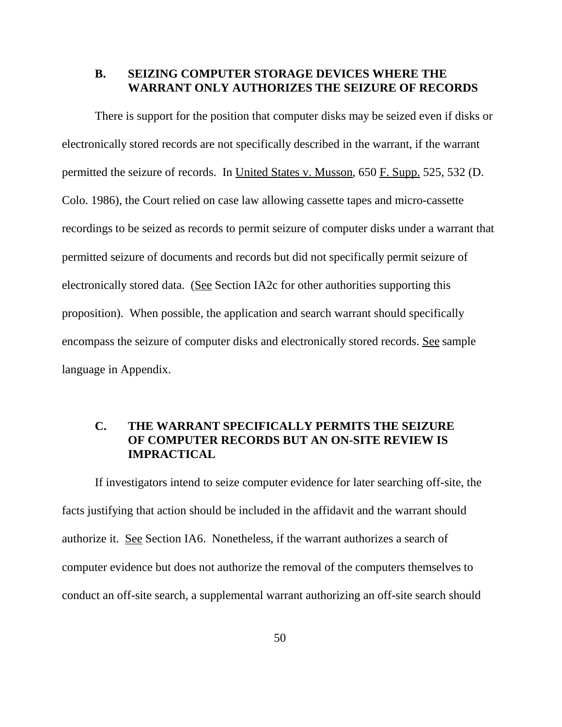## **B. SEIZING COMPUTER STORAGE DEVICES WHERE THE WARRANT ONLY AUTHORIZES THE SEIZURE OF RECORDS**

There is support for the position that computer disks may be seized even if disks or electronically stored records are not specifically described in the warrant, if the warrant permitted the seizure of records. In United States v. Musson, 650 F. Supp. 525, 532 (D. Colo. 1986), the Court relied on case law allowing cassette tapes and micro-cassette recordings to be seized as records to permit seizure of computer disks under a warrant that permitted seizure of documents and records but did not specifically permit seizure of electronically stored data. (See Section IA2c for other authorities supporting this proposition). When possible, the application and search warrant should specifically encompass the seizure of computer disks and electronically stored records. See sample language in Appendix.

# **C. THE WARRANT SPECIFICALLY PERMITS THE SEIZURE OF COMPUTER RECORDS BUT AN ON-SITE REVIEW IS IMPRACTICAL**

If investigators intend to seize computer evidence for later searching off-site, the facts justifying that action should be included in the affidavit and the warrant should authorize it. See Section IA6. Nonetheless, if the warrant authorizes a search of computer evidence but does not authorize the removal of the computers themselves to conduct an off-site search, a supplemental warrant authorizing an off-site search should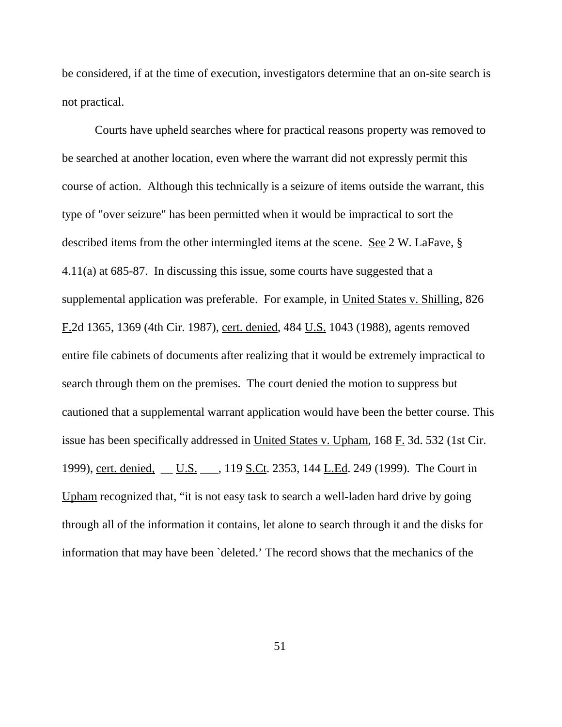be considered, if at the time of execution, investigators determine that an on-site search is not practical.

Courts have upheld searches where for practical reasons property was removed to be searched at another location, even where the warrant did not expressly permit this course of action. Although this technically is a seizure of items outside the warrant, this type of "over seizure" has been permitted when it would be impractical to sort the described items from the other intermingled items at the scene. See 2 W. LaFave, § 4.11(a) at 685-87. In discussing this issue, some courts have suggested that a supplemental application was preferable. For example, in United States v. Shilling, 826 F.2d 1365, 1369 (4th Cir. 1987), cert. denied, 484 U.S. 1043 (1988), agents removed entire file cabinets of documents after realizing that it would be extremely impractical to search through them on the premises. The court denied the motion to suppress but cautioned that a supplemental warrant application would have been the better course. This issue has been specifically addressed in United States v. Upham, 168 F. 3d. 532 (1st Cir. 1999), cert. denied, \_\_ U.S. \_\_, 119 S.Ct. 2353, 144 L.Ed. 249 (1999). The Court in Upham recognized that, "it is not easy task to search a well-laden hard drive by going through all of the information it contains, let alone to search through it and the disks for information that may have been `deleted.' The record shows that the mechanics of the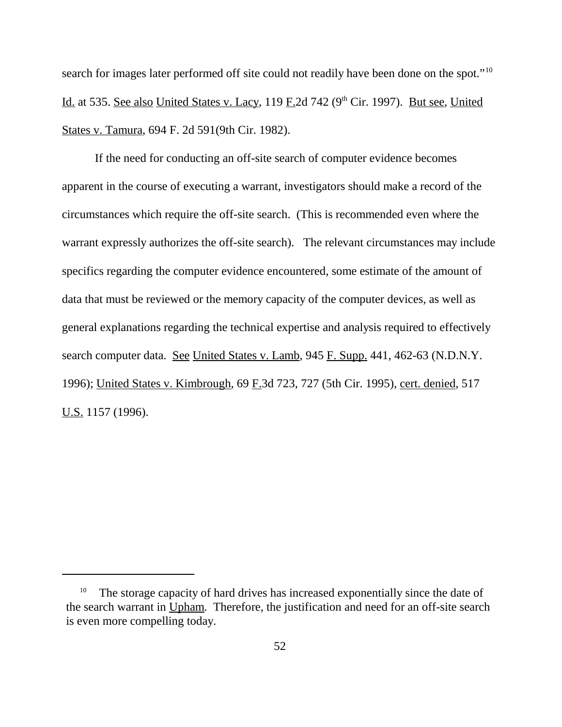search for images later performed off site could not readily have been done on the spot."<sup>10</sup> Id. at 535. See also United States v. Lacy, 119 F.2d 742 ( $9<sup>th</sup>$  Cir. 1997). But see, United States v. Tamura, 694 F. 2d 591(9th Cir. 1982).

If the need for conducting an off-site search of computer evidence becomes apparent in the course of executing a warrant, investigators should make a record of the circumstances which require the off-site search. (This is recommended even where the warrant expressly authorizes the off-site search). The relevant circumstances may include specifics regarding the computer evidence encountered, some estimate of the amount of data that must be reviewed or the memory capacity of the computer devices, as well as general explanations regarding the technical expertise and analysis required to effectively search computer data. See United States v. Lamb, 945 F. Supp. 441, 462-63 (N.D.N.Y.) 1996); United States v. Kimbrough, 69 F.3d 723, 727 (5th Cir. 1995), cert. denied, 517 U.S. 1157 (1996).

<sup>&</sup>lt;sup>10</sup> The storage capacity of hard drives has increased exponentially since the date of the search warrant in Upham. Therefore, the justification and need for an off-site search is even more compelling today.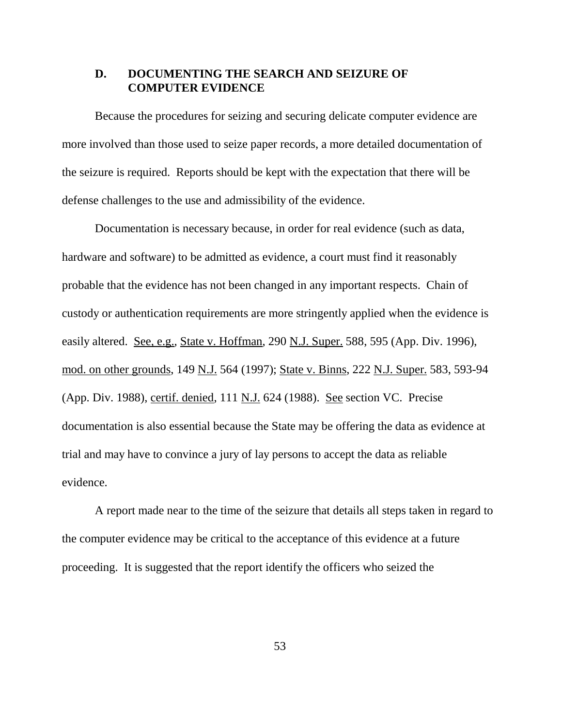## **D. DOCUMENTING THE SEARCH AND SEIZURE OF COMPUTER EVIDENCE**

Because the procedures for seizing and securing delicate computer evidence are more involved than those used to seize paper records, a more detailed documentation of the seizure is required. Reports should be kept with the expectation that there will be defense challenges to the use and admissibility of the evidence.

Documentation is necessary because, in order for real evidence (such as data, hardware and software) to be admitted as evidence, a court must find it reasonably probable that the evidence has not been changed in any important respects. Chain of custody or authentication requirements are more stringently applied when the evidence is easily altered. See, e.g., State v. Hoffman, 290 N.J. Super. 588, 595 (App. Div. 1996), mod. on other grounds, 149 N.J. 564 (1997); State v. Binns, 222 N.J. Super. 583, 593-94 (App. Div. 1988), certif. denied, 111 N.J. 624 (1988). See section VC. Precise documentation is also essential because the State may be offering the data as evidence at trial and may have to convince a jury of lay persons to accept the data as reliable evidence.

A report made near to the time of the seizure that details all steps taken in regard to the computer evidence may be critical to the acceptance of this evidence at a future proceeding. It is suggested that the report identify the officers who seized the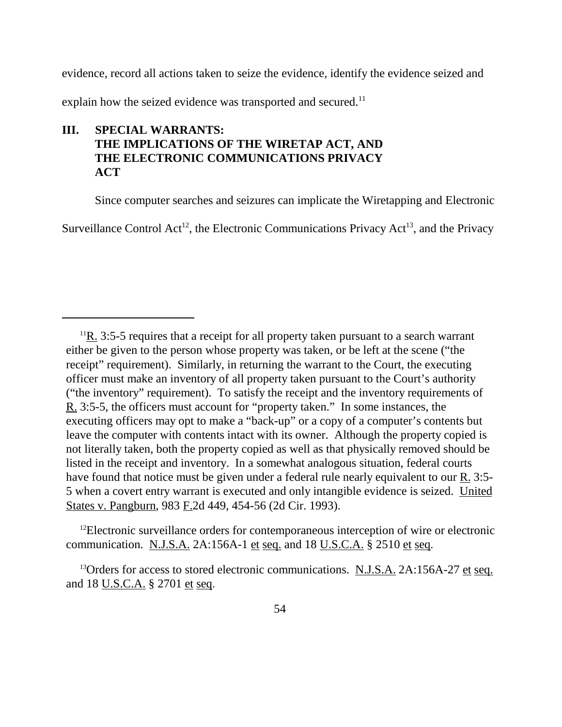evidence, record all actions taken to seize the evidence, identify the evidence seized and

explain how the seized evidence was transported and secured.<sup>11</sup>

# **III. SPECIAL WARRANTS: THE IMPLICATIONS OF THE WIRETAP ACT, AND THE ELECTRONIC COMMUNICATIONS PRIVACY ACT**

Since computer searches and seizures can implicate the Wiretapping and Electronic

Surveillance Control Act<sup>12</sup>, the Electronic Communications Privacy Act<sup>13</sup>, and the Privacy

<sup>12</sup>Electronic surveillance orders for contemporaneous interception of wire or electronic communication. N.J.S.A.  $2A:156A-1$  et seq. and  $18$  U.S.C.A. § 2510 et seq.

<sup>13</sup>Orders for access to stored electronic communications. N.J.S.A. 2A:156A-27 et seq. and 18 U.S.C.A. § 2701 et seq.

 $11R$ , 3:5-5 requires that a receipt for all property taken pursuant to a search warrant either be given to the person whose property was taken, or be left at the scene ("the receipt" requirement). Similarly, in returning the warrant to the Court, the executing officer must make an inventory of all property taken pursuant to the Court's authority ("the inventory" requirement). To satisfy the receipt and the inventory requirements of R. 3:5-5, the officers must account for "property taken." In some instances, the executing officers may opt to make a "back-up" or a copy of a computer's contents but leave the computer with contents intact with its owner. Although the property copied is not literally taken, both the property copied as well as that physically removed should be listed in the receipt and inventory. In a somewhat analogous situation, federal courts have found that notice must be given under a federal rule nearly equivalent to our R. 3:5- 5 when a covert entry warrant is executed and only intangible evidence is seized. United States v. Pangburn, 983 F.2d 449, 454-56 (2d Cir. 1993).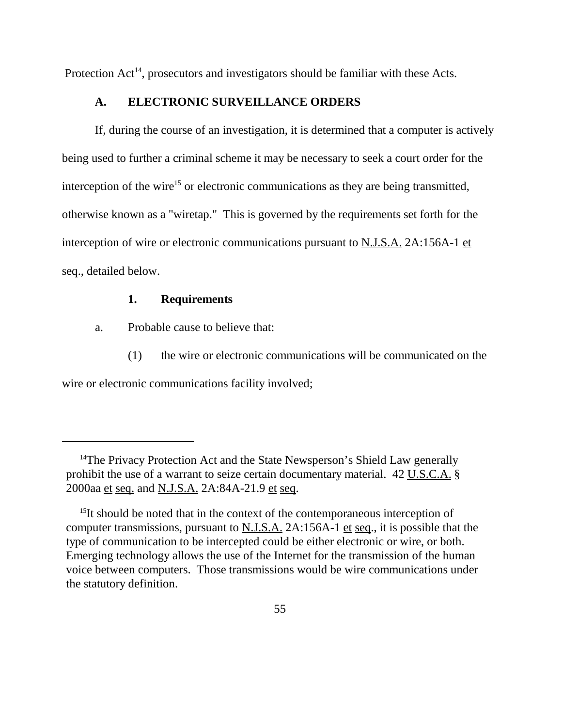Protection  $Act^{14}$ , prosecutors and investigators should be familiar with these Acts.

## **A. ELECTRONIC SURVEILLANCE ORDERS**

If, during the course of an investigation, it is determined that a computer is actively being used to further a criminal scheme it may be necessary to seek a court order for the interception of the wire<sup>15</sup> or electronic communications as they are being transmitted, otherwise known as a "wiretap." This is governed by the requirements set forth for the interception of wire or electronic communications pursuant to  $N.J.S.A. 2A:156A-1$  et seq., detailed below.

## **1. Requirements**

- a. Probable cause to believe that:
	- (1) the wire or electronic communications will be communicated on the

wire or electronic communications facility involved;

<sup>&</sup>lt;sup>14</sup>The Privacy Protection Act and the State Newsperson's Shield Law generally prohibit the use of a warrant to seize certain documentary material. 42 U.S.C.A. § 2000aa et seq. and N.J.S.A. 2A:84A-21.9 et seq.

<sup>&</sup>lt;sup>15</sup>It should be noted that in the context of the contemporaneous interception of computer transmissions, pursuant to N.J.S.A. 2A:156A-1 et seq., it is possible that the type of communication to be intercepted could be either electronic or wire, or both. Emerging technology allows the use of the Internet for the transmission of the human voice between computers. Those transmissions would be wire communications under the statutory definition.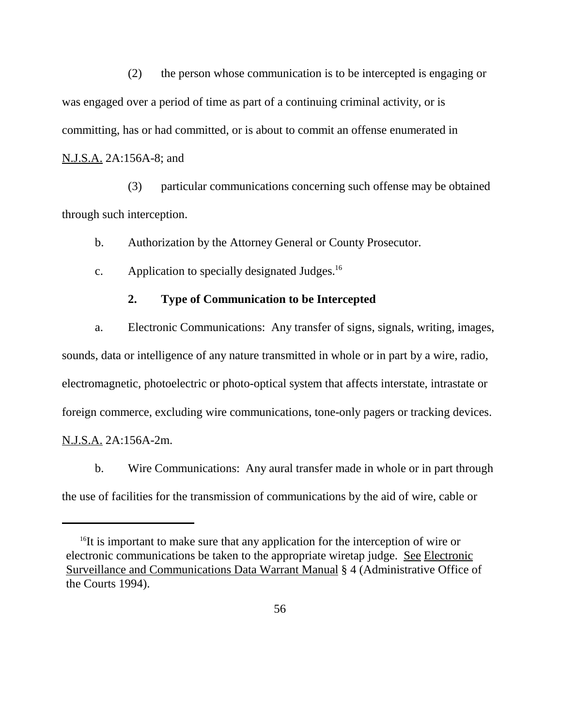(2) the person whose communication is to be intercepted is engaging or was engaged over a period of time as part of a continuing criminal activity, or is committing, has or had committed, or is about to commit an offense enumerated in N.J.S.A. 2A:156A-8; and

(3) particular communications concerning such offense may be obtained through such interception.

b. Authorization by the Attorney General or County Prosecutor.

c. Application to specially designated Judges.16

## **2. Type of Communication to be Intercepted**

a. Electronic Communications: Any transfer of signs, signals, writing, images, sounds, data or intelligence of any nature transmitted in whole or in part by a wire, radio, electromagnetic, photoelectric or photo-optical system that affects interstate, intrastate or foreign commerce, excluding wire communications, tone-only pagers or tracking devices. N.J.S.A. 2A:156A-2m.

b. Wire Communications: Any aural transfer made in whole or in part through the use of facilities for the transmission of communications by the aid of wire, cable or

<sup>&</sup>lt;sup>16</sup>It is important to make sure that any application for the interception of wire or electronic communications be taken to the appropriate wiretap judge. See Electronic Surveillance and Communications Data Warrant Manual § 4 (Administrative Office of the Courts 1994).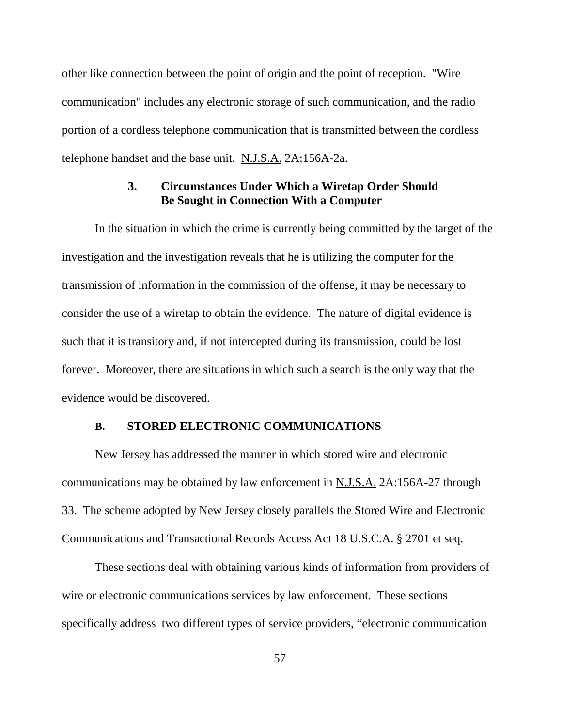other like connection between the point of origin and the point of reception. "Wire communication" includes any electronic storage of such communication, and the radio portion of a cordless telephone communication that is transmitted between the cordless telephone handset and the base unit. N.J.S.A. 2A:156A-2a.

## **3. Circumstances Under Which a Wiretap Order Should Be Sought in Connection With a Computer**

In the situation in which the crime is currently being committed by the target of the investigation and the investigation reveals that he is utilizing the computer for the transmission of information in the commission of the offense, it may be necessary to consider the use of a wiretap to obtain the evidence. The nature of digital evidence is such that it is transitory and, if not intercepted during its transmission, could be lost forever. Moreover, there are situations in which such a search is the only way that the evidence would be discovered.

## **B. STORED ELECTRONIC COMMUNICATIONS**

New Jersey has addressed the manner in which stored wire and electronic communications may be obtained by law enforcement in  $N.J.S.A. 2A:156A-27$  through 33. The scheme adopted by New Jersey closely parallels the Stored Wire and Electronic Communications and Transactional Records Access Act 18 U.S.C.A. § 2701 et seq.

These sections deal with obtaining various kinds of information from providers of wire or electronic communications services by law enforcement. These sections specifically address two different types of service providers, "electronic communication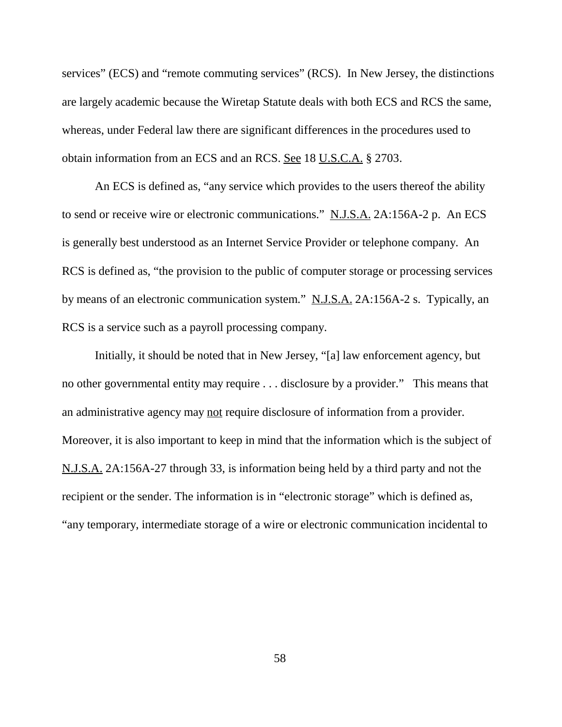services" (ECS) and "remote commuting services" (RCS). In New Jersey, the distinctions are largely academic because the Wiretap Statute deals with both ECS and RCS the same, whereas, under Federal law there are significant differences in the procedures used to obtain information from an ECS and an RCS. See 18 U.S.C.A. § 2703.

An ECS is defined as, "any service which provides to the users thereof the ability to send or receive wire or electronic communications." N.J.S.A. 2A:156A-2 p. An ECS is generally best understood as an Internet Service Provider or telephone company. An RCS is defined as, "the provision to the public of computer storage or processing services by means of an electronic communication system." N.J.S.A. 2A:156A-2 s. Typically, an RCS is a service such as a payroll processing company.

Initially, it should be noted that in New Jersey, "[a] law enforcement agency, but no other governmental entity may require . . . disclosure by a provider." This means that an administrative agency may not require disclosure of information from a provider. Moreover, it is also important to keep in mind that the information which is the subject of N.J.S.A. 2A:156A-27 through 33, is information being held by a third party and not the recipient or the sender. The information is in "electronic storage" which is defined as, "any temporary, intermediate storage of a wire or electronic communication incidental to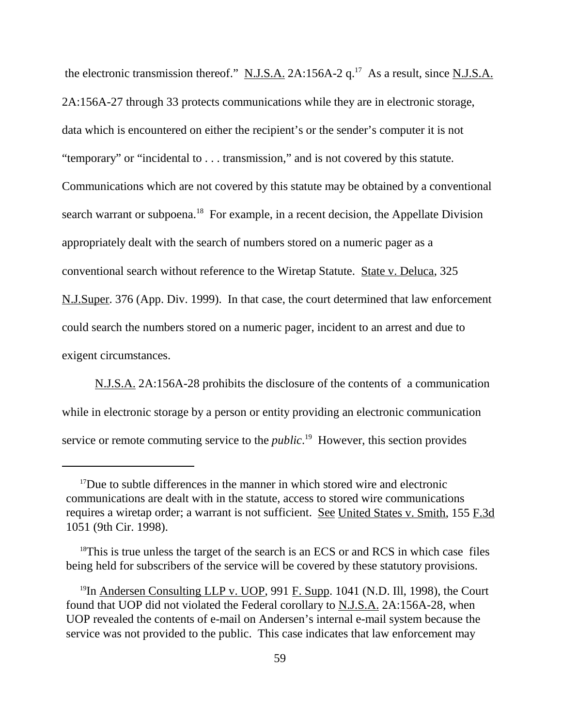the electronic transmission thereof."  $N.J.S.A.$  2A:156A-2 q.<sup>17</sup> As a result, since N.J.S.A. 2A:156A-27 through 33 protects communications while they are in electronic storage, data which is encountered on either the recipient's or the sender's computer it is not "temporary" or "incidental to . . . transmission," and is not covered by this statute. Communications which are not covered by this statute may be obtained by a conventional search warrant or subpoena.<sup>18</sup> For example, in a recent decision, the Appellate Division appropriately dealt with the search of numbers stored on a numeric pager as a conventional search without reference to the Wiretap Statute. State v. Deluca, 325 N.J.Super. 376 (App. Div. 1999). In that case, the court determined that law enforcement could search the numbers stored on a numeric pager, incident to an arrest and due to exigent circumstances.

N.J.S.A. 2A:156A-28 prohibits the disclosure of the contents of a communication while in electronic storage by a person or entity providing an electronic communication service or remote commuting service to the *public*. 19 However, this section provides

<sup>&</sup>lt;sup>17</sup>Due to subtle differences in the manner in which stored wire and electronic communications are dealt with in the statute, access to stored wire communications requires a wiretap order; a warrant is not sufficient. See United States v. Smith, 155 F.3d 1051 (9th Cir. 1998).

 $18$ This is true unless the target of the search is an ECS or and RCS in which case files being held for subscribers of the service will be covered by these statutory provisions.

 $19$ In Andersen Consulting LLP v. UOP, 991 F. Supp. 1041 (N.D. Ill, 1998), the Court found that UOP did not violated the Federal corollary to N.J.S.A. 2A:156A-28, when UOP revealed the contents of e-mail on Andersen's internal e-mail system because the service was not provided to the public. This case indicates that law enforcement may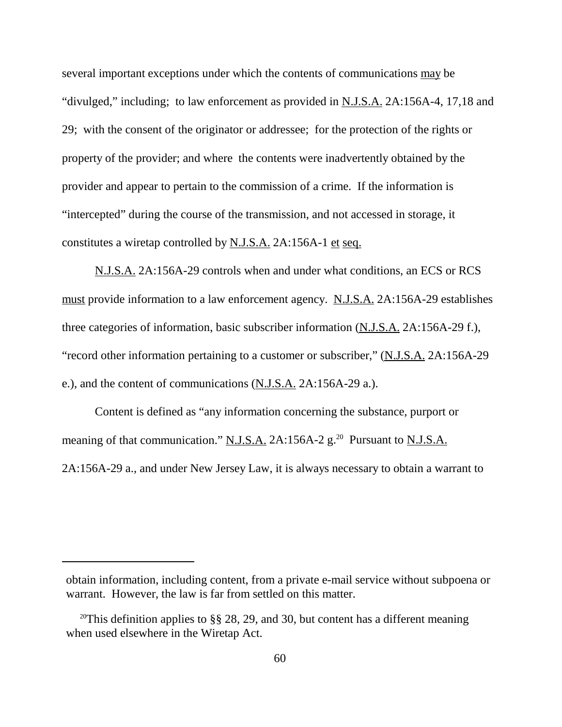several important exceptions under which the contents of communications may be "divulged," including; to law enforcement as provided in N.J.S.A. 2A:156A-4, 17,18 and 29; with the consent of the originator or addressee; for the protection of the rights or property of the provider; and where the contents were inadvertently obtained by the provider and appear to pertain to the commission of a crime. If the information is "intercepted" during the course of the transmission, and not accessed in storage, it constitutes a wiretap controlled by N.J.S.A. 2A:156A-1 et seq.

N.J.S.A. 2A:156A-29 controls when and under what conditions, an ECS or RCS must provide information to a law enforcement agency. N.J.S.A. 2A:156A-29 establishes three categories of information, basic subscriber information  $(N.J.S.A. 2A:156A-29 f.),$ "record other information pertaining to a customer or subscriber," (N.J.S.A. 2A:156A-29 e.), and the content of communications (N.J.S.A. 2A:156A-29 a.).

Content is defined as "any information concerning the substance, purport or meaning of that communication." N.J.S.A. 2A:156A-2  $g$ <sup>20</sup> Pursuant to N.J.S.A. 2A:156A-29 a., and under New Jersey Law, it is always necessary to obtain a warrant to

obtain information, including content, from a private e-mail service without subpoena or warrant. However, the law is far from settled on this matter.

<sup>&</sup>lt;sup>20</sup>This definition applies to §§ 28, 29, and 30, but content has a different meaning when used elsewhere in the Wiretap Act.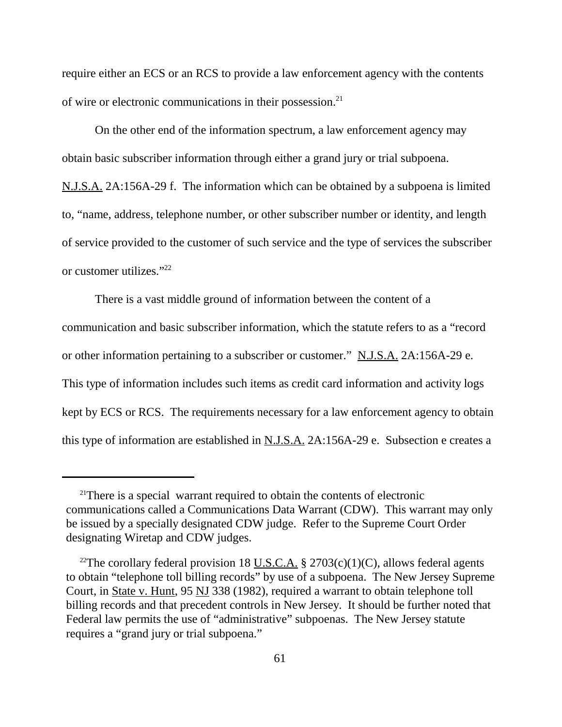require either an ECS or an RCS to provide a law enforcement agency with the contents of wire or electronic communications in their possession.<sup>21</sup>

On the other end of the information spectrum, a law enforcement agency may obtain basic subscriber information through either a grand jury or trial subpoena.

N.J.S.A. 2A:156A-29 f. The information which can be obtained by a subpoena is limited to, "name, address, telephone number, or other subscriber number or identity, and length of service provided to the customer of such service and the type of services the subscriber or customer utilizes."22

There is a vast middle ground of information between the content of a communication and basic subscriber information, which the statute refers to as a "record or other information pertaining to a subscriber or customer." N.J.S.A. 2A:156A-29 e. This type of information includes such items as credit card information and activity logs kept by ECS or RCS. The requirements necessary for a law enforcement agency to obtain this type of information are established in N.J.S.A. 2A:156A-29 e. Subsection e creates a

<sup>&</sup>lt;sup>21</sup>There is a special warrant required to obtain the contents of electronic communications called a Communications Data Warrant (CDW). This warrant may only be issued by a specially designated CDW judge. Refer to the Supreme Court Order designating Wiretap and CDW judges.

<sup>&</sup>lt;sup>22</sup>The corollary federal provision 18 <u>U.S.C.A.</u> § 2703(c)(1)(C), allows federal agents to obtain "telephone toll billing records" by use of a subpoena. The New Jersey Supreme Court, in State v. Hunt, 95 NJ 338 (1982), required a warrant to obtain telephone toll billing records and that precedent controls in New Jersey. It should be further noted that Federal law permits the use of "administrative" subpoenas. The New Jersey statute requires a "grand jury or trial subpoena."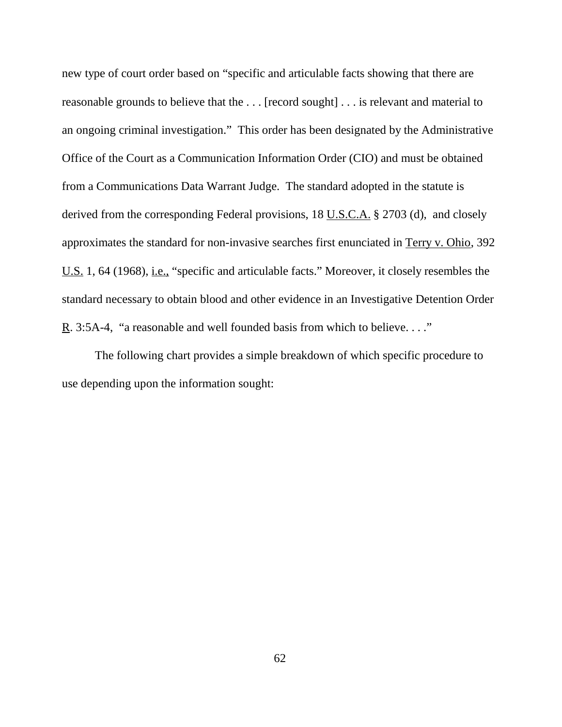new type of court order based on "specific and articulable facts showing that there are reasonable grounds to believe that the . . . [record sought] . . . is relevant and material to an ongoing criminal investigation." This order has been designated by the Administrative Office of the Court as a Communication Information Order (CIO) and must be obtained from a Communications Data Warrant Judge. The standard adopted in the statute is derived from the corresponding Federal provisions, 18 U.S.C.A. § 2703 (d), and closely approximates the standard for non-invasive searches first enunciated in Terry v. Ohio, 392 U.S. 1, 64 (1968), *i.e.*, "specific and articulable facts." Moreover, it closely resembles the standard necessary to obtain blood and other evidence in an Investigative Detention Order R. 3:5A-4, "a reasonable and well founded basis from which to believe...."

The following chart provides a simple breakdown of which specific procedure to use depending upon the information sought: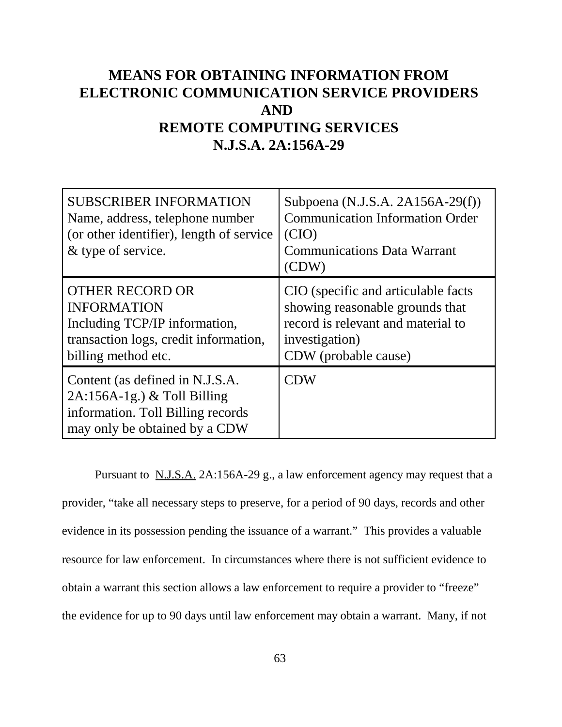# **MEANS FOR OBTAINING INFORMATION FROM ELECTRONIC COMMUNICATION SERVICE PROVIDERS AND REMOTE COMPUTING SERVICES N.J.S.A. 2A:156A-29**

| <b>SUBSCRIBER INFORMATION</b><br>Name, address, telephone number<br>(or other identifier), length of service<br>& type of service.            | Subpoena $(N.J.S.A. 2A156A-29(f))$<br><b>Communication Information Order</b><br>(CIO)<br><b>Communications Data Warrant</b><br>(CDW)                    |
|-----------------------------------------------------------------------------------------------------------------------------------------------|---------------------------------------------------------------------------------------------------------------------------------------------------------|
| <b>OTHER RECORD OR</b><br><b>INFORMATION</b><br>Including TCP/IP information,<br>transaction logs, credit information,<br>billing method etc. | CIO (specific and articulable facts)<br>showing reasonable grounds that<br>record is relevant and material to<br>investigation)<br>CDW (probable cause) |
| Content (as defined in N.J.S.A.<br>$2A:156A-1g.$ ) & Toll Billing<br>information. Toll Billing records<br>may only be obtained by a CDW       | CDW                                                                                                                                                     |

Pursuant to N.J.S.A. 2A:156A-29 g., a law enforcement agency may request that a provider, "take all necessary steps to preserve, for a period of 90 days, records and other evidence in its possession pending the issuance of a warrant." This provides a valuable resource for law enforcement. In circumstances where there is not sufficient evidence to obtain a warrant this section allows a law enforcement to require a provider to "freeze" the evidence for up to 90 days until law enforcement may obtain a warrant. Many, if not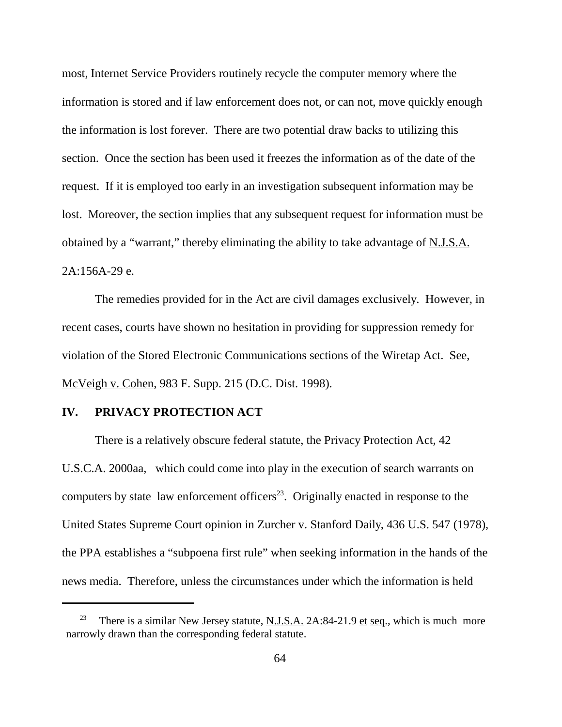most, Internet Service Providers routinely recycle the computer memory where the information is stored and if law enforcement does not, or can not, move quickly enough the information is lost forever. There are two potential draw backs to utilizing this section. Once the section has been used it freezes the information as of the date of the request. If it is employed too early in an investigation subsequent information may be lost. Moreover, the section implies that any subsequent request for information must be obtained by a "warrant," thereby eliminating the ability to take advantage of N.J.S.A. 2A:156A-29 e.

The remedies provided for in the Act are civil damages exclusively. However, in recent cases, courts have shown no hesitation in providing for suppression remedy for violation of the Stored Electronic Communications sections of the Wiretap Act. See, McVeigh v. Cohen, 983 F. Supp. 215 (D.C. Dist. 1998).

## **IV. PRIVACY PROTECTION ACT**

There is a relatively obscure federal statute, the Privacy Protection Act, 42 U.S.C.A. 2000aa, which could come into play in the execution of search warrants on computers by state law enforcement officers<sup>23</sup>. Originally enacted in response to the United States Supreme Court opinion in Zurcher v. Stanford Daily, 436 U.S. 547 (1978), the PPA establishes a "subpoena first rule" when seeking information in the hands of the news media. Therefore, unless the circumstances under which the information is held

There is a similar New Jersey statute, N.J.S.A. 2A:84-21.9 et seq., which is much more narrowly drawn than the corresponding federal statute.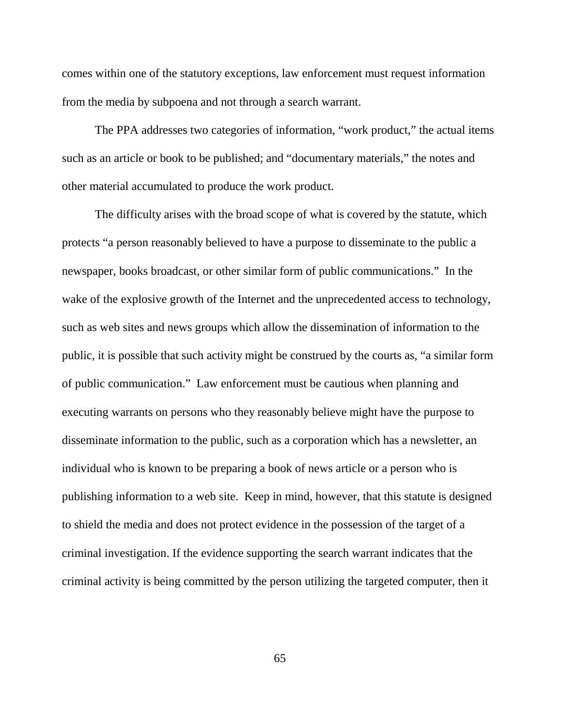comes within one of the statutory exceptions, law enforcement must request information from the media by subpoena and not through a search warrant.

The PPA addresses two categories of information, "work product," the actual items such as an article or book to be published; and "documentary materials," the notes and other material accumulated to produce the work product.

The difficulty arises with the broad scope of what is covered by the statute, which protects "a person reasonably believed to have a purpose to disseminate to the public a newspaper, books broadcast, or other similar form of public communications." In the wake of the explosive growth of the Internet and the unprecedented access to technology, such as web sites and news groups which allow the dissemination of information to the public, it is possible that such activity might be construed by the courts as, "a similar form of public communication." Law enforcement must be cautious when planning and executing warrants on persons who they reasonably believe might have the purpose to disseminate information to the public, such as a corporation which has a newsletter, an individual who is known to be preparing a book of news article or a person who is publishing information to a web site. Keep in mind, however, that this statute is designed to shield the media and does not protect evidence in the possession of the target of a criminal investigation. If the evidence supporting the search warrant indicates that the criminal activity is being committed by the person utilizing the targeted computer, then it

65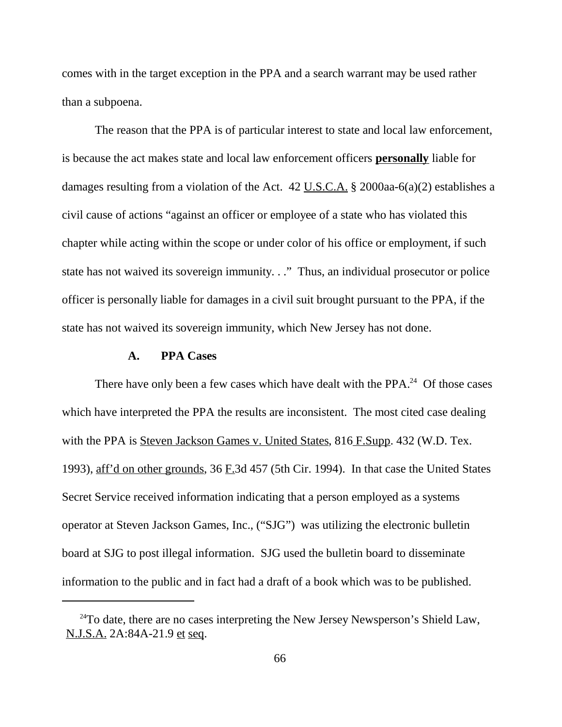comes with in the target exception in the PPA and a search warrant may be used rather than a subpoena.

The reason that the PPA is of particular interest to state and local law enforcement, is because the act makes state and local law enforcement officers **personally** liable for damages resulting from a violation of the Act. 42 U.S.C.A. § 2000aa-6(a)(2) establishes a civil cause of actions "against an officer or employee of a state who has violated this chapter while acting within the scope or under color of his office or employment, if such state has not waived its sovereign immunity. . ." Thus, an individual prosecutor or police officer is personally liable for damages in a civil suit brought pursuant to the PPA, if the state has not waived its sovereign immunity, which New Jersey has not done.

## **A. PPA Cases**

There have only been a few cases which have dealt with the PPA.<sup>24</sup> Of those cases which have interpreted the PPA the results are inconsistent. The most cited case dealing with the PPA is Steven Jackson Games v. United States, 816 F.Supp. 432 (W.D. Tex. 1993), aff'd on other grounds, 36 F.3d 457 (5th Cir. 1994). In that case the United States Secret Service received information indicating that a person employed as a systems operator at Steven Jackson Games, Inc., ("SJG") was utilizing the electronic bulletin board at SJG to post illegal information. SJG used the bulletin board to disseminate information to the public and in fact had a draft of a book which was to be published.

 $24$ To date, there are no cases interpreting the New Jersey Newsperson's Shield Law, N.J.S.A. 2A:84A-21.9 et seq.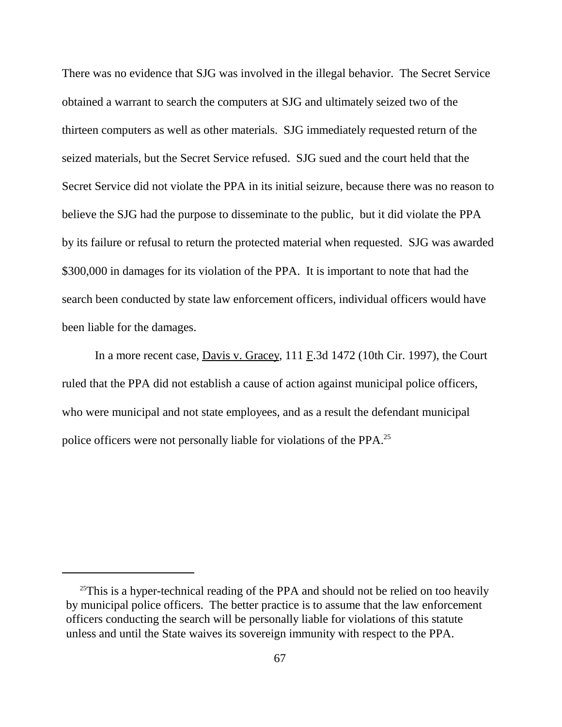There was no evidence that SJG was involved in the illegal behavior. The Secret Service obtained a warrant to search the computers at SJG and ultimately seized two of the thirteen computers as well as other materials. SJG immediately requested return of the seized materials, but the Secret Service refused. SJG sued and the court held that the Secret Service did not violate the PPA in its initial seizure, because there was no reason to believe the SJG had the purpose to disseminate to the public, but it did violate the PPA by its failure or refusal to return the protected material when requested. SJG was awarded \$300,000 in damages for its violation of the PPA. It is important to note that had the search been conducted by state law enforcement officers, individual officers would have been liable for the damages.

In a more recent case, Davis v. Gracey,  $111 \text{ F}$ .3d  $1472$  (10th Cir. 1997), the Court ruled that the PPA did not establish a cause of action against municipal police officers, who were municipal and not state employees, and as a result the defendant municipal police officers were not personally liable for violations of the PPA.<sup>25</sup>

 $25$ This is a hyper-technical reading of the PPA and should not be relied on too heavily by municipal police officers. The better practice is to assume that the law enforcement officers conducting the search will be personally liable for violations of this statute unless and until the State waives its sovereign immunity with respect to the PPA.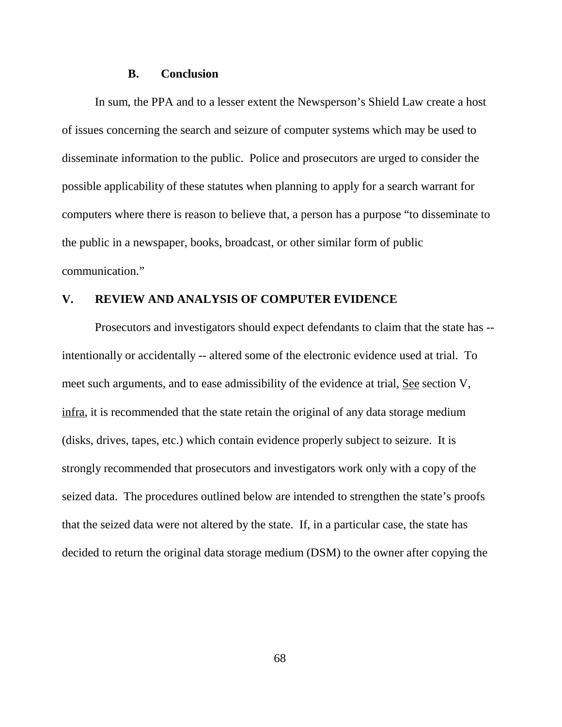#### **B. Conclusion**

In sum, the PPA and to a lesser extent the Newsperson's Shield Law create a host of issues concerning the search and seizure of computer systems which may be used to disseminate information to the public. Police and prosecutors are urged to consider the possible applicability of these statutes when planning to apply for a search warrant for computers where there is reason to believe that, a person has a purpose "to disseminate to the public in a newspaper, books, broadcast, or other similar form of public communication."

## **V. REVIEW AND ANALYSIS OF COMPUTER EVIDENCE**

Prosecutors and investigators should expect defendants to claim that the state has - intentionally or accidentally -- altered some of the electronic evidence used at trial. To meet such arguments, and to ease admissibility of the evidence at trial, See section V, infra, it is recommended that the state retain the original of any data storage medium (disks, drives, tapes, etc.) which contain evidence properly subject to seizure. It is strongly recommended that prosecutors and investigators work only with a copy of the seized data. The procedures outlined below are intended to strengthen the state's proofs that the seized data were not altered by the state. If, in a particular case, the state has decided to return the original data storage medium (DSM) to the owner after copying the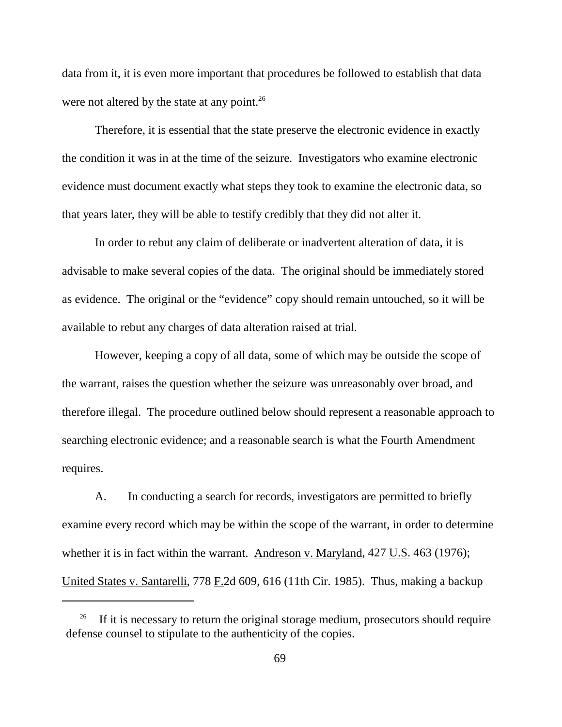data from it, it is even more important that procedures be followed to establish that data were not altered by the state at any point. $^{26}$ 

Therefore, it is essential that the state preserve the electronic evidence in exactly the condition it was in at the time of the seizure. Investigators who examine electronic evidence must document exactly what steps they took to examine the electronic data, so that years later, they will be able to testify credibly that they did not alter it.

In order to rebut any claim of deliberate or inadvertent alteration of data, it is advisable to make several copies of the data. The original should be immediately stored as evidence. The original or the "evidence" copy should remain untouched, so it will be available to rebut any charges of data alteration raised at trial.

However, keeping a copy of all data, some of which may be outside the scope of the warrant, raises the question whether the seizure was unreasonably over broad, and therefore illegal. The procedure outlined below should represent a reasonable approach to searching electronic evidence; and a reasonable search is what the Fourth Amendment requires.

A. In conducting a search for records, investigators are permitted to briefly examine every record which may be within the scope of the warrant, in order to determine whether it is in fact within the warrant. Andreson v. Maryland, 427 U.S. 463 (1976); United States v. Santarelli, 778  $E$  2d 609, 616 (11th Cir. 1985). Thus, making a backup

If it is necessary to return the original storage medium, prosecutors should require defense counsel to stipulate to the authenticity of the copies.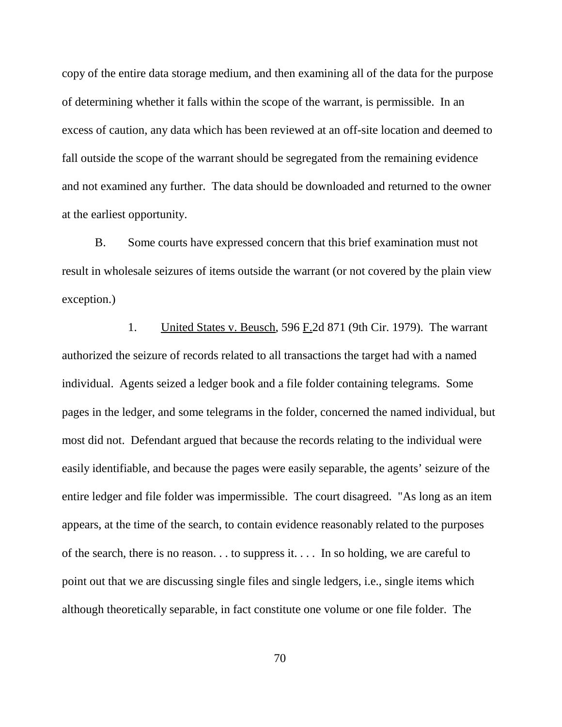copy of the entire data storage medium, and then examining all of the data for the purpose of determining whether it falls within the scope of the warrant, is permissible. In an excess of caution, any data which has been reviewed at an off-site location and deemed to fall outside the scope of the warrant should be segregated from the remaining evidence and not examined any further. The data should be downloaded and returned to the owner at the earliest opportunity.

B. Some courts have expressed concern that this brief examination must not result in wholesale seizures of items outside the warrant (or not covered by the plain view exception.)

1. United States v. Beusch, 596 F.2d 871 (9th Cir. 1979). The warrant authorized the seizure of records related to all transactions the target had with a named individual. Agents seized a ledger book and a file folder containing telegrams. Some pages in the ledger, and some telegrams in the folder, concerned the named individual, but most did not. Defendant argued that because the records relating to the individual were easily identifiable, and because the pages were easily separable, the agents' seizure of the entire ledger and file folder was impermissible. The court disagreed. "As long as an item appears, at the time of the search, to contain evidence reasonably related to the purposes of the search, there is no reason. . . to suppress it. . . . In so holding, we are careful to point out that we are discussing single files and single ledgers, i.e., single items which although theoretically separable, in fact constitute one volume or one file folder. The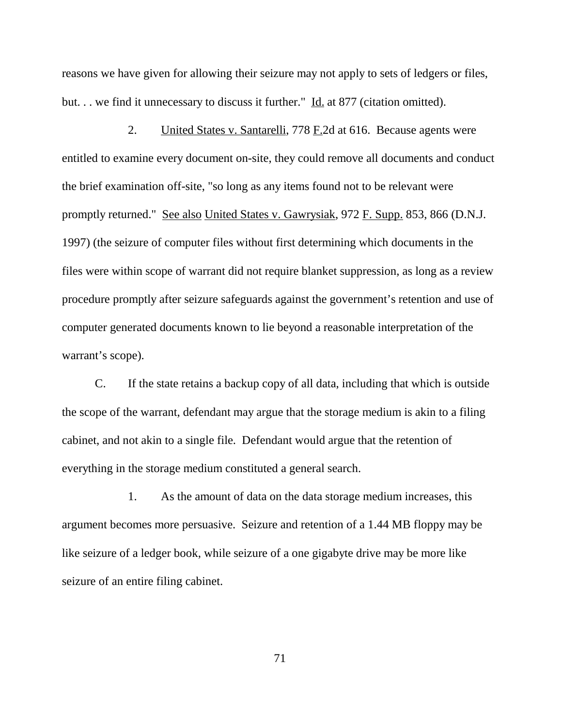reasons we have given for allowing their seizure may not apply to sets of ledgers or files, but. . . we find it unnecessary to discuss it further." Id. at 877 (citation omitted).

2. United States v. Santarelli, 778 F.2d at 616. Because agents were entitled to examine every document on-site, they could remove all documents and conduct the brief examination off-site, "so long as any items found not to be relevant were promptly returned." See also United States v. Gawrysiak, 972 F. Supp. 853, 866 (D.N.J.) 1997) (the seizure of computer files without first determining which documents in the files were within scope of warrant did not require blanket suppression, as long as a review procedure promptly after seizure safeguards against the government's retention and use of computer generated documents known to lie beyond a reasonable interpretation of the warrant's scope).

C. If the state retains a backup copy of all data, including that which is outside the scope of the warrant, defendant may argue that the storage medium is akin to a filing cabinet, and not akin to a single file. Defendant would argue that the retention of everything in the storage medium constituted a general search.

1. As the amount of data on the data storage medium increases, this argument becomes more persuasive. Seizure and retention of a 1.44 MB floppy may be like seizure of a ledger book, while seizure of a one gigabyte drive may be more like seizure of an entire filing cabinet.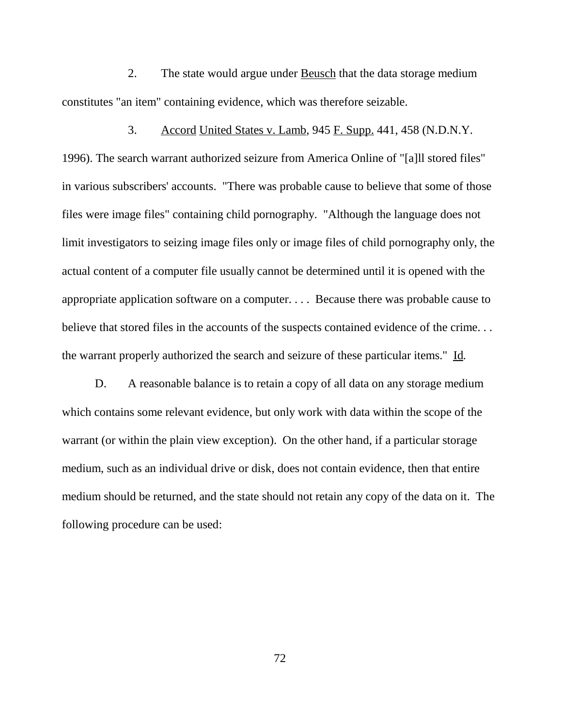2. The state would argue under Beusch that the data storage medium constitutes "an item" containing evidence, which was therefore seizable.

3. Accord United States v. Lamb, 945 F. Supp. 441, 458 (N.D.N.Y. 1996). The search warrant authorized seizure from America Online of "[a]ll stored files" in various subscribers' accounts. "There was probable cause to believe that some of those files were image files" containing child pornography. "Although the language does not limit investigators to seizing image files only or image files of child pornography only, the actual content of a computer file usually cannot be determined until it is opened with the appropriate application software on a computer. . . . Because there was probable cause to believe that stored files in the accounts of the suspects contained evidence of the crime... the warrant properly authorized the search and seizure of these particular items." Id.

D. A reasonable balance is to retain a copy of all data on any storage medium which contains some relevant evidence, but only work with data within the scope of the warrant (or within the plain view exception). On the other hand, if a particular storage medium, such as an individual drive or disk, does not contain evidence, then that entire medium should be returned, and the state should not retain any copy of the data on it. The following procedure can be used: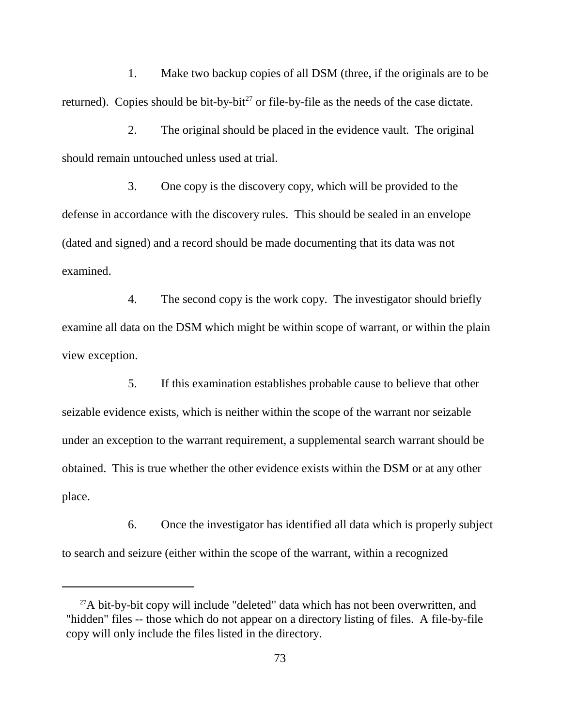1. Make two backup copies of all DSM (three, if the originals are to be returned). Copies should be bit-by-bit<sup>27</sup> or file-by-file as the needs of the case dictate.

2. The original should be placed in the evidence vault. The original should remain untouched unless used at trial.

3. One copy is the discovery copy, which will be provided to the defense in accordance with the discovery rules. This should be sealed in an envelope (dated and signed) and a record should be made documenting that its data was not examined.

4. The second copy is the work copy. The investigator should briefly examine all data on the DSM which might be within scope of warrant, or within the plain view exception.

5. If this examination establishes probable cause to believe that other seizable evidence exists, which is neither within the scope of the warrant nor seizable under an exception to the warrant requirement, a supplemental search warrant should be obtained. This is true whether the other evidence exists within the DSM or at any other place.

6. Once the investigator has identified all data which is properly subject to search and seizure (either within the scope of the warrant, within a recognized

<sup>&</sup>lt;sup>27</sup>A bit-by-bit copy will include "deleted" data which has not been overwritten, and "hidden" files -- those which do not appear on a directory listing of files. A file-by-file copy will only include the files listed in the directory.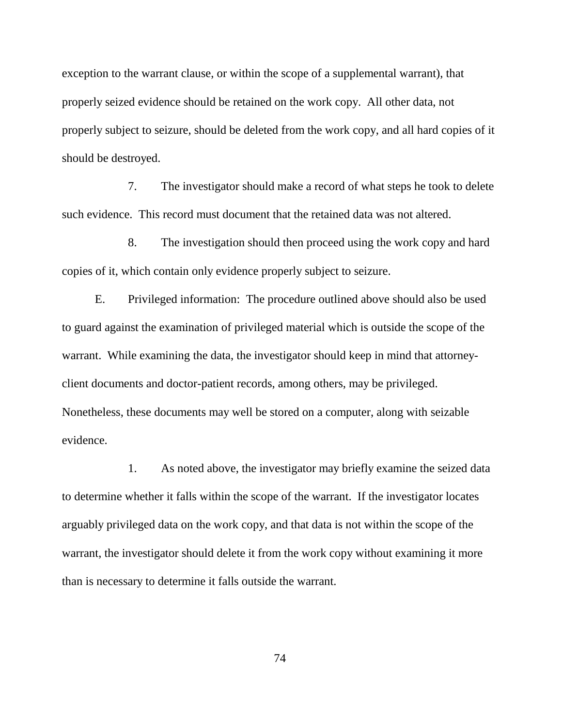exception to the warrant clause, or within the scope of a supplemental warrant), that properly seized evidence should be retained on the work copy. All other data, not properly subject to seizure, should be deleted from the work copy, and all hard copies of it should be destroyed.

7. The investigator should make a record of what steps he took to delete such evidence. This record must document that the retained data was not altered.

8. The investigation should then proceed using the work copy and hard copies of it, which contain only evidence properly subject to seizure.

E. Privileged information: The procedure outlined above should also be used to guard against the examination of privileged material which is outside the scope of the warrant. While examining the data, the investigator should keep in mind that attorneyclient documents and doctor-patient records, among others, may be privileged. Nonetheless, these documents may well be stored on a computer, along with seizable evidence.

1. As noted above, the investigator may briefly examine the seized data to determine whether it falls within the scope of the warrant. If the investigator locates arguably privileged data on the work copy, and that data is not within the scope of the warrant, the investigator should delete it from the work copy without examining it more than is necessary to determine it falls outside the warrant.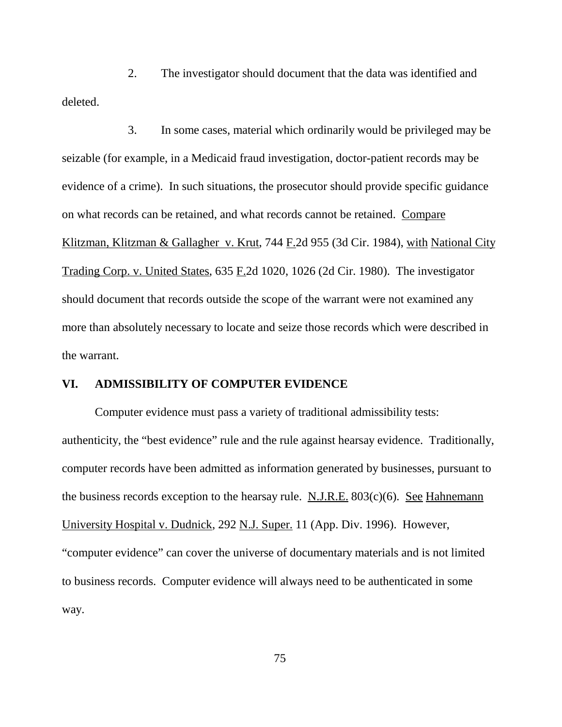2. The investigator should document that the data was identified and deleted.

3. In some cases, material which ordinarily would be privileged may be seizable (for example, in a Medicaid fraud investigation, doctor-patient records may be evidence of a crime). In such situations, the prosecutor should provide specific guidance on what records can be retained, and what records cannot be retained. Compare Klitzman, Klitzman & Gallagher v. Krut, 744 F.2d 955 (3d Cir. 1984), with National City Trading Corp. v. United States, 635 F.2d 1020, 1026 (2d Cir. 1980). The investigator should document that records outside the scope of the warrant were not examined any more than absolutely necessary to locate and seize those records which were described in the warrant.

### **VI. ADMISSIBILITY OF COMPUTER EVIDENCE**

Computer evidence must pass a variety of traditional admissibility tests: authenticity, the "best evidence" rule and the rule against hearsay evidence. Traditionally, computer records have been admitted as information generated by businesses, pursuant to the business records exception to the hearsay rule. N.J.R.E. 803(c)(6). See Hahnemann University Hospital v. Dudnick, 292 N.J. Super. 11 (App. Div. 1996). However, "computer evidence" can cover the universe of documentary materials and is not limited to business records. Computer evidence will always need to be authenticated in some way.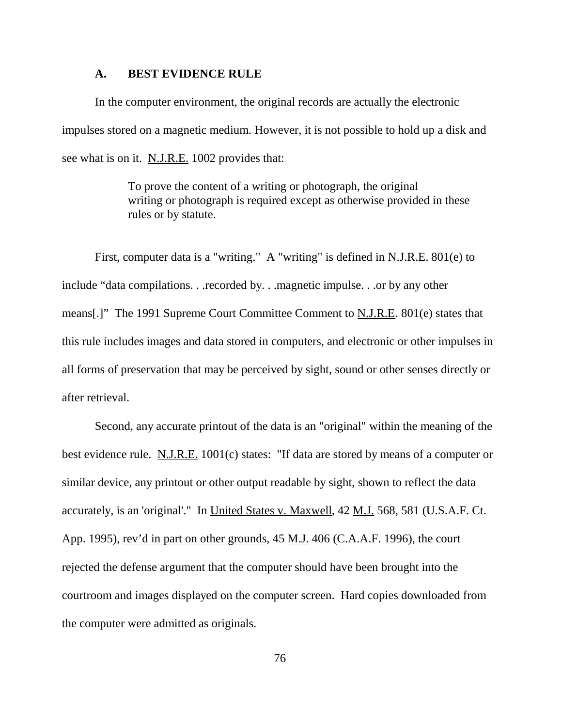### **A. BEST EVIDENCE RULE**

In the computer environment, the original records are actually the electronic impulses stored on a magnetic medium. However, it is not possible to hold up a disk and see what is on it. N.J.R.E. 1002 provides that:

> To prove the content of a writing or photograph, the original writing or photograph is required except as otherwise provided in these rules or by statute.

First, computer data is a "writing." A "writing" is defined in <u>N.J.R.E.</u> 801(e) to include "data compilations. . .recorded by. . .magnetic impulse. . .or by any other means[.]" The 1991 Supreme Court Committee Comment to N.J.R.E. 801(e) states that this rule includes images and data stored in computers, and electronic or other impulses in all forms of preservation that may be perceived by sight, sound or other senses directly or after retrieval.

Second, any accurate printout of the data is an "original" within the meaning of the best evidence rule. N.J.R.E. 1001(c) states: "If data are stored by means of a computer or similar device, any printout or other output readable by sight, shown to reflect the data accurately, is an 'original'." In United States v. Maxwell, 42 M.J. 568, 581 (U.S.A.F. Ct. App. 1995), <u>rev'd in part on other grounds</u>, 45 <u>M.J.</u> 406 (C.A.A.F. 1996), the court rejected the defense argument that the computer should have been brought into the courtroom and images displayed on the computer screen. Hard copies downloaded from the computer were admitted as originals.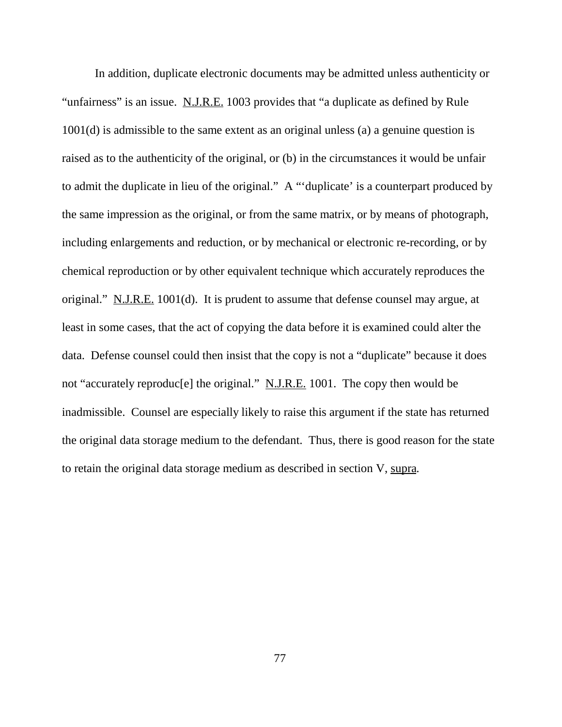In addition, duplicate electronic documents may be admitted unless authenticity or "unfairness" is an issue. N.J.R.E. 1003 provides that "a duplicate as defined by Rule 1001(d) is admissible to the same extent as an original unless (a) a genuine question is raised as to the authenticity of the original, or (b) in the circumstances it would be unfair to admit the duplicate in lieu of the original." A "'duplicate' is a counterpart produced by the same impression as the original, or from the same matrix, or by means of photograph, including enlargements and reduction, or by mechanical or electronic re-recording, or by chemical reproduction or by other equivalent technique which accurately reproduces the original." N.J.R.E. 1001(d). It is prudent to assume that defense counsel may argue, at least in some cases, that the act of copying the data before it is examined could alter the data. Defense counsel could then insist that the copy is not a "duplicate" because it does not "accurately reproduc[e] the original." N.J.R.E. 1001. The copy then would be inadmissible. Counsel are especially likely to raise this argument if the state has returned the original data storage medium to the defendant. Thus, there is good reason for the state to retain the original data storage medium as described in section V, supra.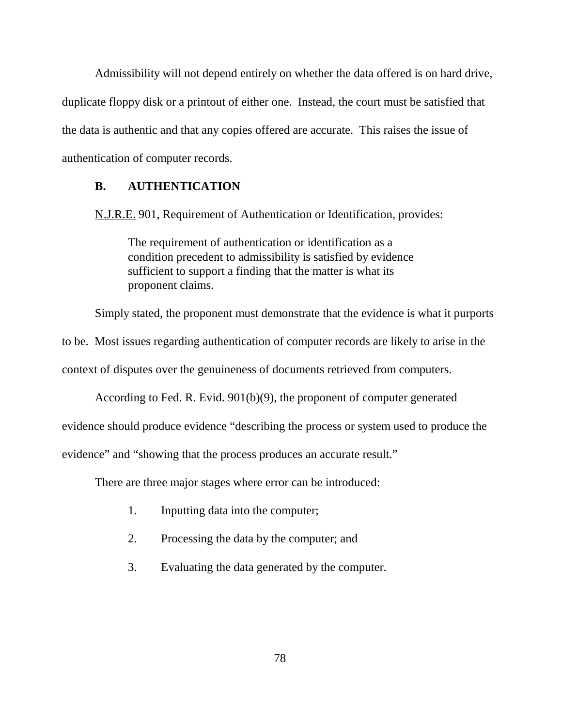Admissibility will not depend entirely on whether the data offered is on hard drive, duplicate floppy disk or a printout of either one. Instead, the court must be satisfied that the data is authentic and that any copies offered are accurate. This raises the issue of authentication of computer records.

### **B. AUTHENTICATION**

N.J.R.E. 901, Requirement of Authentication or Identification, provides:

The requirement of authentication or identification as a condition precedent to admissibility is satisfied by evidence sufficient to support a finding that the matter is what its proponent claims.

Simply stated, the proponent must demonstrate that the evidence is what it purports

to be. Most issues regarding authentication of computer records are likely to arise in the

context of disputes over the genuineness of documents retrieved from computers.

According to Fed. R. Evid. 901(b)(9), the proponent of computer generated

evidence should produce evidence "describing the process or system used to produce the

evidence" and "showing that the process produces an accurate result."

There are three major stages where error can be introduced:

- 1. Inputting data into the computer;
- 2. Processing the data by the computer; and
- 3. Evaluating the data generated by the computer.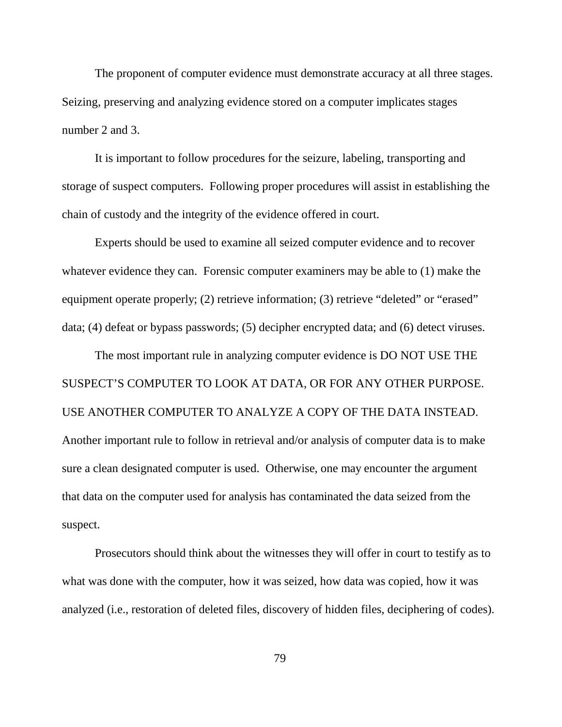The proponent of computer evidence must demonstrate accuracy at all three stages. Seizing, preserving and analyzing evidence stored on a computer implicates stages number 2 and 3.

It is important to follow procedures for the seizure, labeling, transporting and storage of suspect computers. Following proper procedures will assist in establishing the chain of custody and the integrity of the evidence offered in court.

Experts should be used to examine all seized computer evidence and to recover whatever evidence they can. Forensic computer examiners may be able to (1) make the equipment operate properly; (2) retrieve information; (3) retrieve "deleted" or "erased" data; (4) defeat or bypass passwords; (5) decipher encrypted data; and (6) detect viruses.

The most important rule in analyzing computer evidence is DO NOT USE THE SUSPECT'S COMPUTER TO LOOK AT DATA, OR FOR ANY OTHER PURPOSE. USE ANOTHER COMPUTER TO ANALYZE A COPY OF THE DATA INSTEAD. Another important rule to follow in retrieval and/or analysis of computer data is to make sure a clean designated computer is used. Otherwise, one may encounter the argument that data on the computer used for analysis has contaminated the data seized from the suspect.

Prosecutors should think about the witnesses they will offer in court to testify as to what was done with the computer, how it was seized, how data was copied, how it was analyzed (i.e., restoration of deleted files, discovery of hidden files, deciphering of codes).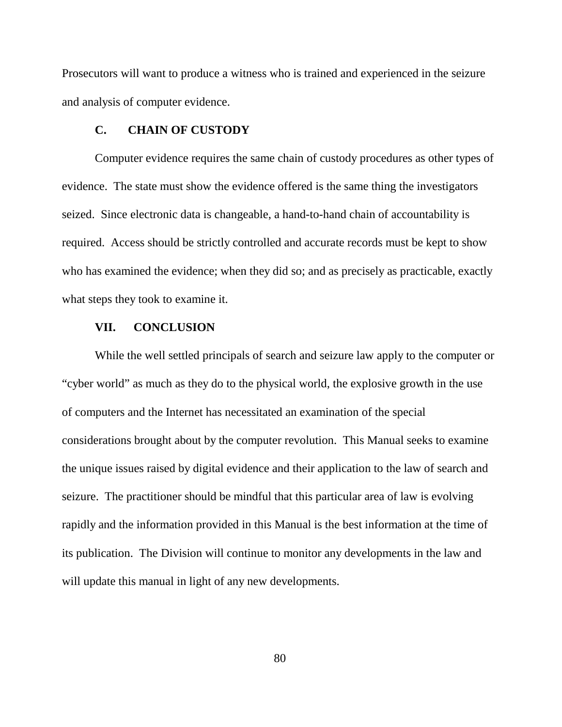Prosecutors will want to produce a witness who is trained and experienced in the seizure and analysis of computer evidence.

### **C. CHAIN OF CUSTODY**

Computer evidence requires the same chain of custody procedures as other types of evidence. The state must show the evidence offered is the same thing the investigators seized. Since electronic data is changeable, a hand-to-hand chain of accountability is required. Access should be strictly controlled and accurate records must be kept to show who has examined the evidence; when they did so; and as precisely as practicable, exactly what steps they took to examine it.

### **VII. CONCLUSION**

While the well settled principals of search and seizure law apply to the computer or "cyber world" as much as they do to the physical world, the explosive growth in the use of computers and the Internet has necessitated an examination of the special considerations brought about by the computer revolution. This Manual seeks to examine the unique issues raised by digital evidence and their application to the law of search and seizure. The practitioner should be mindful that this particular area of law is evolving rapidly and the information provided in this Manual is the best information at the time of its publication. The Division will continue to monitor any developments in the law and will update this manual in light of any new developments.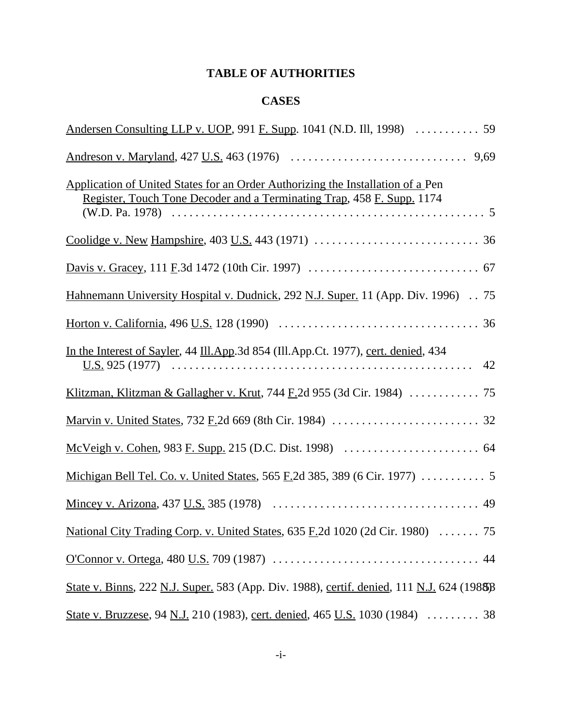# **TABLE OF AUTHORITIES**

# **CASES**

| Application of United States for an Order Authorizing the Installation of a Pen<br>Register, Touch Tone Decoder and a Terminating Trap, 458 F. Supp. 1174 |
|-----------------------------------------------------------------------------------------------------------------------------------------------------------|
|                                                                                                                                                           |
|                                                                                                                                                           |
| Hahnemann University Hospital v. Dudnick, 292 N.J. Super. 11 (App. Div. 1996) . 75                                                                        |
|                                                                                                                                                           |
| In the Interest of Sayler, 44 Ill.App.3d 854 (Ill.App.Ct. 1977), cert. denied, 434<br>42                                                                  |
|                                                                                                                                                           |
|                                                                                                                                                           |
|                                                                                                                                                           |
|                                                                                                                                                           |
|                                                                                                                                                           |
| National City Trading Corp. v. United States, 635 F.2d 1020 (2d Cir. 1980) 75                                                                             |
|                                                                                                                                                           |
| State v. Binns, 222 N.J. Super. 583 (App. Div. 1988), certif. denied, 111 N.J. 624 (1988)                                                                 |
| State v. Bruzzese, 94 N.J. 210 (1983), cert. denied, 465 U.S. 1030 (1984)  38                                                                             |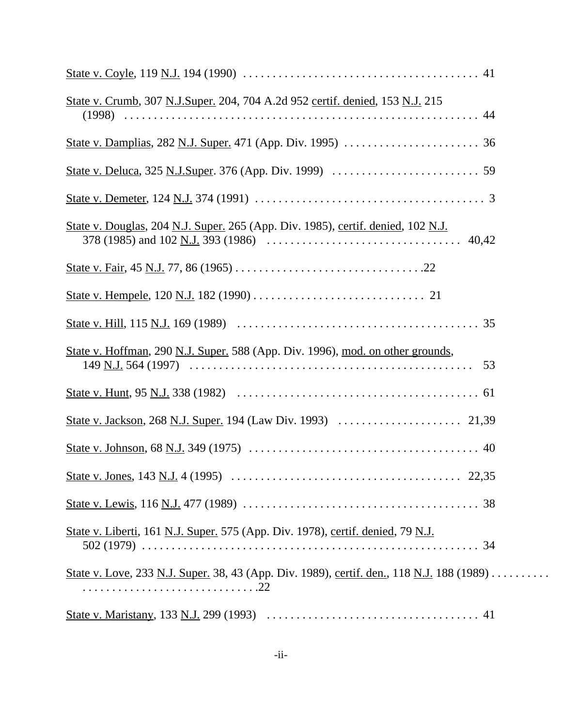| State v. Crumb, 307 N.J.Super. 204, 704 A.2d 952 certif. denied, 153 N.J. 215             |  |
|-------------------------------------------------------------------------------------------|--|
|                                                                                           |  |
|                                                                                           |  |
|                                                                                           |  |
| State v. Douglas, 204 N.J. Super. 265 (App. Div. 1985), certif. denied, 102 N.J.          |  |
|                                                                                           |  |
|                                                                                           |  |
|                                                                                           |  |
| State v. Hoffman, 290 N.J. Super. 588 (App. Div. 1996), mod. on other grounds,<br>53      |  |
|                                                                                           |  |
|                                                                                           |  |
|                                                                                           |  |
|                                                                                           |  |
|                                                                                           |  |
| State v. Liberti, 161 N.J. Super. 575 (App. Div. 1978), certif. denied, 79 N.J.           |  |
| State v. Love, 233 N.J. Super. 38, 43 (App. Div. 1989), certif. den., 118 N.J. 188 (1989) |  |
|                                                                                           |  |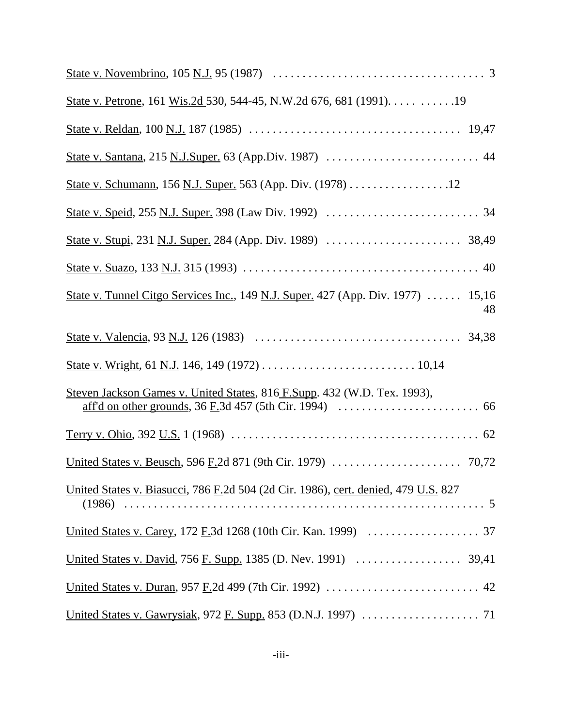| State v. Petrone, 161 Wis.2d 530, 544-45, N.W.2d 676, 681 (1991). 19                   |
|----------------------------------------------------------------------------------------|
|                                                                                        |
|                                                                                        |
| State v. Schumann, 156 N.J. Super. 563 (App. Div. (1978) 12                            |
|                                                                                        |
|                                                                                        |
|                                                                                        |
| State v. Tunnel Citgo Services Inc., 149 N.J. Super. 427 (App. Div. 1977)  15,16<br>48 |
|                                                                                        |
|                                                                                        |
| Steven Jackson Games v. United States, 816 F.Supp. 432 (W.D. Tex. 1993),               |
|                                                                                        |
|                                                                                        |
| United States v. Biasucci, 786 F.2d 504 (2d Cir. 1986), cert. denied, 479 U.S. 827     |
|                                                                                        |
|                                                                                        |
|                                                                                        |
|                                                                                        |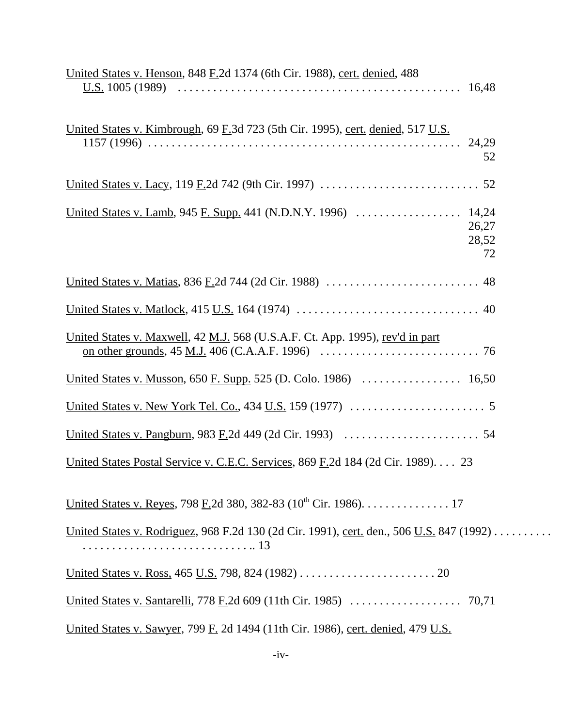| <u>United States v. Henson, 848 F.2d 1374</u> (6th Cir. 1988), cert. denied, 488                                                                                                                                          |  |
|---------------------------------------------------------------------------------------------------------------------------------------------------------------------------------------------------------------------------|--|
| United States v. Kimbrough, 69 F.3d 723 (5th Cir. 1995), cert. denied, 517 U.S.<br>52                                                                                                                                     |  |
|                                                                                                                                                                                                                           |  |
| 26,27<br>28,52<br>72                                                                                                                                                                                                      |  |
|                                                                                                                                                                                                                           |  |
|                                                                                                                                                                                                                           |  |
| United States v. Maxwell, 42 M.J. 568 (U.S.A.F. Ct. App. 1995), rev'd in part<br><u>on other grounds</u> , $45$ <u>M.J.</u> $406$ (C.A.A.F. 1996) $\ldots \ldots \ldots \ldots \ldots \ldots \ldots \ldots \ldots \ldots$ |  |
|                                                                                                                                                                                                                           |  |
|                                                                                                                                                                                                                           |  |
|                                                                                                                                                                                                                           |  |
| <u>United States Postal Service v. C.E.C. Services</u> , 869 F.2d 184 (2d Cir. 1989). 23                                                                                                                                  |  |
| United States v. Reyes, 798 F.2d 380, 382-83 (10 <sup>th</sup> Cir. 1986). 17                                                                                                                                             |  |
| <u>United States v. Rodriguez</u> , 968 F.2d 130 (2d Cir. 1991), cert. den., 506 U.S. 847 (1992)                                                                                                                          |  |
|                                                                                                                                                                                                                           |  |
|                                                                                                                                                                                                                           |  |
| <u>United States v. Sawyer</u> , 799 F. 2d 1494 (11th Cir. 1986), cert. denied, 479 U.S.                                                                                                                                  |  |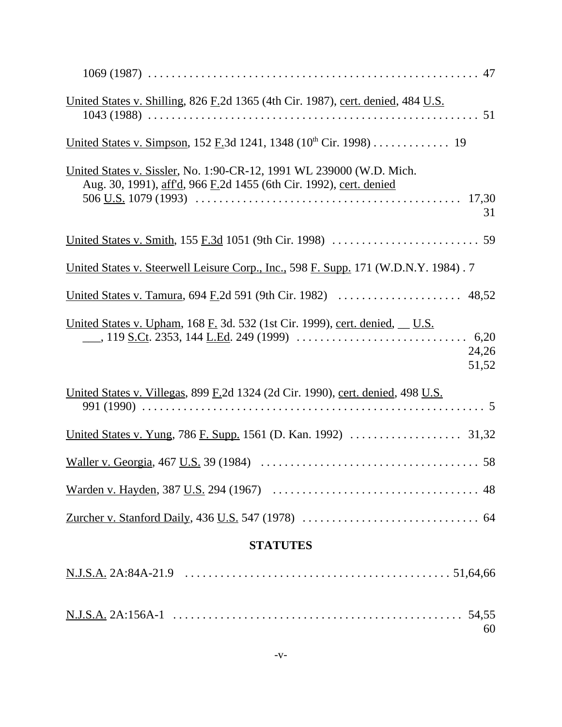| United States v. Shilling, 826 F.2d 1365 (4th Cir. 1987), cert. denied, 484 U.S.                                                                 |
|--------------------------------------------------------------------------------------------------------------------------------------------------|
| <u>United States v. Simpson, 152 F.</u> 3d 1241, 1348 ( $10^{th}$ Cir. 1998) 19                                                                  |
| United States v. Sissler, No. 1:90-CR-12, 1991 WL 239000 (W.D. Mich.<br>Aug. 30, 1991), aff'd, 966 F.2d 1455 (6th Cir. 1992), cert. denied<br>31 |
|                                                                                                                                                  |
| <u>United States v. Steerwell Leisure Corp., Inc., 598 F. Supp.</u> 171 (W.D.N.Y. 1984). 7                                                       |
|                                                                                                                                                  |
| <u>United States v. Upham, 168 F.</u> 3d. 532 (1st Cir. 1999), cert. denied, U.S.<br>24,26<br>51,52                                              |
| United States v. Villegas, 899 F.2d 1324 (2d Cir. 1990), cert. denied, 498 U.S.                                                                  |
|                                                                                                                                                  |
|                                                                                                                                                  |
|                                                                                                                                                  |
|                                                                                                                                                  |
| <b>STATUTES</b>                                                                                                                                  |
|                                                                                                                                                  |
| 60                                                                                                                                               |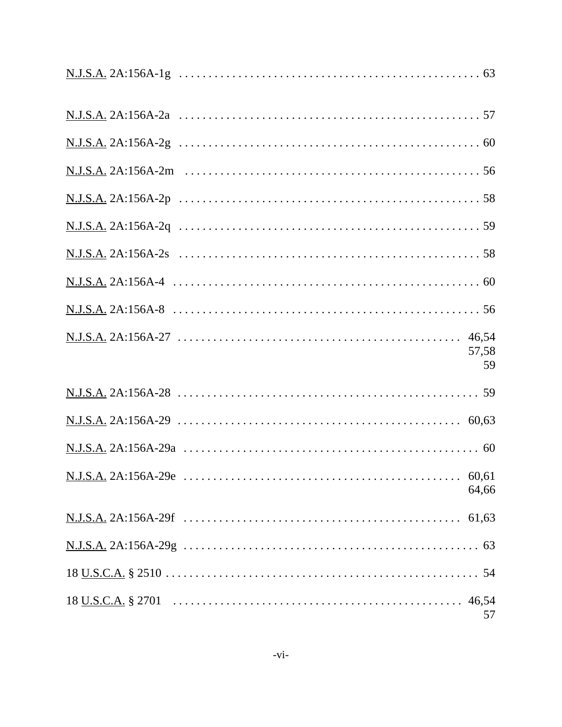| 57,58<br>59 |
|-------------|
|             |
|             |
|             |
| 64,66       |
|             |
|             |
|             |
| 57          |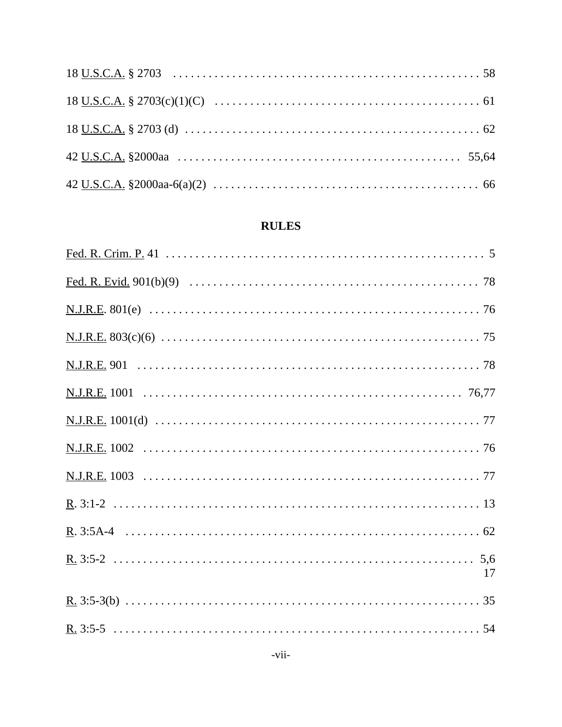# **RULES**

| 17 |
|----|
|    |
|    |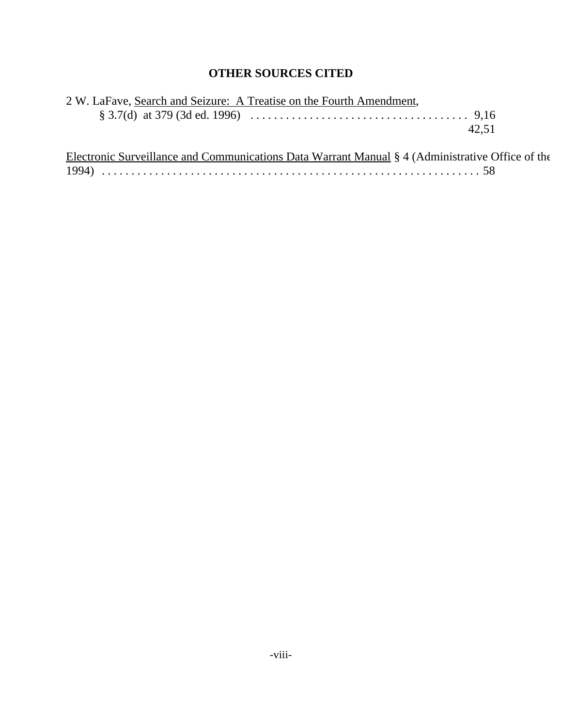# **OTHER SOURCES CITED**

| 2 W. LaFave, Search and Seizure: A Treatise on the Fourth Amendment, |
|----------------------------------------------------------------------|
|                                                                      |
| 42.51                                                                |

| Electronic Surveillance and Communications Data Warrant Manual § 4 (Administrative Office of the |  |
|--------------------------------------------------------------------------------------------------|--|
|                                                                                                  |  |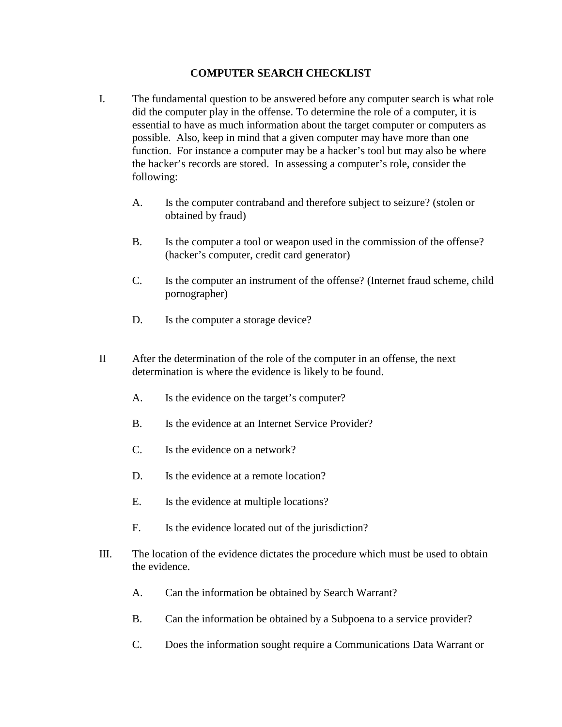### **COMPUTER SEARCH CHECKLIST**

- I. The fundamental question to be answered before any computer search is what role did the computer play in the offense. To determine the role of a computer, it is essential to have as much information about the target computer or computers as possible. Also, keep in mind that a given computer may have more than one function. For instance a computer may be a hacker's tool but may also be where the hacker's records are stored. In assessing a computer's role, consider the following:
	- A. Is the computer contraband and therefore subject to seizure? (stolen or obtained by fraud)
	- B. Is the computer a tool or weapon used in the commission of the offense? (hacker's computer, credit card generator)
	- C. Is the computer an instrument of the offense? (Internet fraud scheme, child pornographer)
	- D. Is the computer a storage device?
- II After the determination of the role of the computer in an offense, the next determination is where the evidence is likely to be found.
	- A. Is the evidence on the target's computer?
	- B. Is the evidence at an Internet Service Provider?
	- C. Is the evidence on a network?
	- D. Is the evidence at a remote location?
	- E. Is the evidence at multiple locations?
	- F. Is the evidence located out of the jurisdiction?
- III. The location of the evidence dictates the procedure which must be used to obtain the evidence.
	- A. Can the information be obtained by Search Warrant?
	- B. Can the information be obtained by a Subpoena to a service provider?
	- C. Does the information sought require a Communications Data Warrant or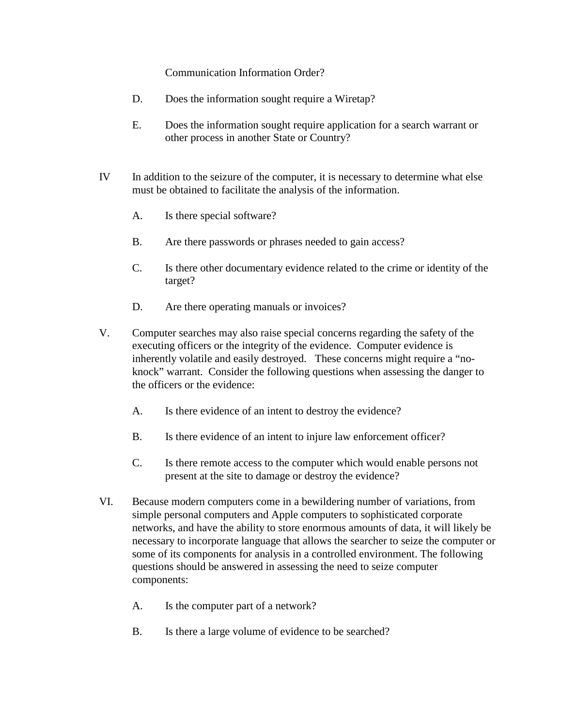### Communication Information Order?

- D. Does the information sought require a Wiretap?
- E. Does the information sought require application for a search warrant or other process in another State or Country?
- IV In addition to the seizure of the computer, it is necessary to determine what else must be obtained to facilitate the analysis of the information.
	- A. Is there special software?
	- B. Are there passwords or phrases needed to gain access?
	- C. Is there other documentary evidence related to the crime or identity of the target?
	- D. Are there operating manuals or invoices?
- V. Computer searches may also raise special concerns regarding the safety of the executing officers or the integrity of the evidence. Computer evidence is inherently volatile and easily destroyed. These concerns might require a "noknock" warrant. Consider the following questions when assessing the danger to the officers or the evidence:
	- A. Is there evidence of an intent to destroy the evidence?
	- B. Is there evidence of an intent to injure law enforcement officer?
	- C. Is there remote access to the computer which would enable persons not present at the site to damage or destroy the evidence?
- VI. Because modern computers come in a bewildering number of variations, from simple personal computers and Apple computers to sophisticated corporate networks, and have the ability to store enormous amounts of data, it will likely be necessary to incorporate language that allows the searcher to seize the computer or some of its components for analysis in a controlled environment. The following questions should be answered in assessing the need to seize computer components:
	- A. Is the computer part of a network?
	- B. Is there a large volume of evidence to be searched?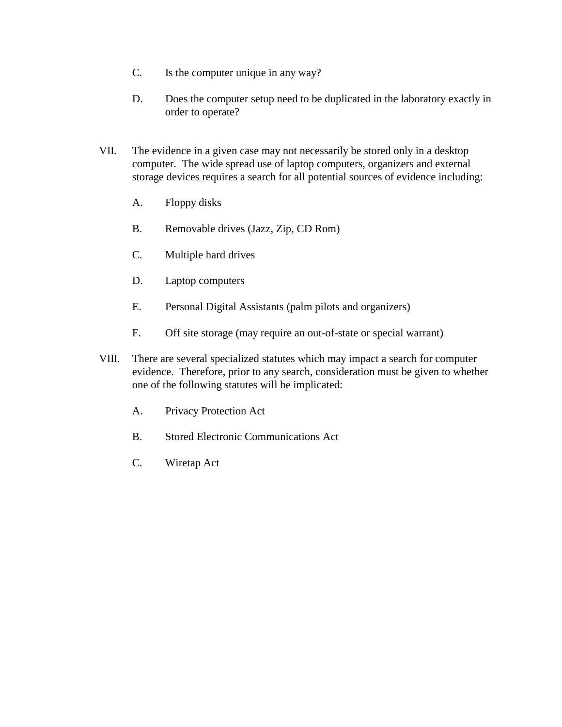- C. Is the computer unique in any way?
- D. Does the computer setup need to be duplicated in the laboratory exactly in order to operate?
- VII. The evidence in a given case may not necessarily be stored only in a desktop computer. The wide spread use of laptop computers, organizers and external storage devices requires a search for all potential sources of evidence including:
	- A. Floppy disks
	- B. Removable drives (Jazz, Zip, CD Rom)
	- C. Multiple hard drives
	- D. Laptop computers
	- E. Personal Digital Assistants (palm pilots and organizers)
	- F. Off site storage (may require an out-of-state or special warrant)
- VIII. There are several specialized statutes which may impact a search for computer evidence. Therefore, prior to any search, consideration must be given to whether one of the following statutes will be implicated:
	- A. Privacy Protection Act
	- B. Stored Electronic Communications Act
	- C. Wiretap Act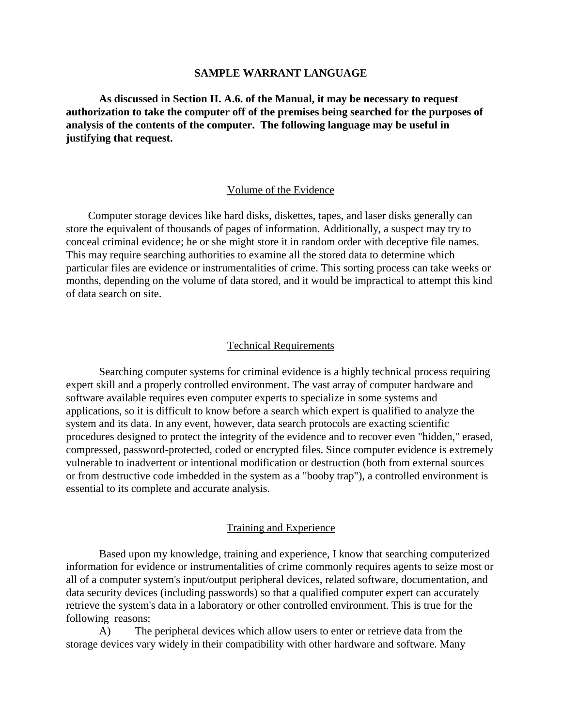#### **SAMPLE WARRANT LANGUAGE**

**As discussed in Section II. A.6. of the Manual, it may be necessary to request authorization to take the computer off of the premises being searched for the purposes of analysis of the contents of the computer. The following language may be useful in justifying that request.**

#### Volume of the Evidence

 Computer storage devices like hard disks, diskettes, tapes, and laser disks generally can store the equivalent of thousands of pages of information. Additionally, a suspect may try to conceal criminal evidence; he or she might store it in random order with deceptive file names. This may require searching authorities to examine all the stored data to determine which particular files are evidence or instrumentalities of crime. This sorting process can take weeks or months, depending on the volume of data stored, and it would be impractical to attempt this kind of data search on site.

#### Technical Requirements

Searching computer systems for criminal evidence is a highly technical process requiring expert skill and a properly controlled environment. The vast array of computer hardware and software available requires even computer experts to specialize in some systems and applications, so it is difficult to know before a search which expert is qualified to analyze the system and its data. In any event, however, data search protocols are exacting scientific procedures designed to protect the integrity of the evidence and to recover even "hidden," erased, compressed, password-protected, coded or encrypted files. Since computer evidence is extremely vulnerable to inadvertent or intentional modification or destruction (both from external sources or from destructive code imbedded in the system as a "booby trap"), a controlled environment is essential to its complete and accurate analysis.

#### Training and Experience

Based upon my knowledge, training and experience, I know that searching computerized information for evidence or instrumentalities of crime commonly requires agents to seize most or all of a computer system's input/output peripheral devices, related software, documentation, and data security devices (including passwords) so that a qualified computer expert can accurately retrieve the system's data in a laboratory or other controlled environment. This is true for the following reasons:

A) The peripheral devices which allow users to enter or retrieve data from the storage devices vary widely in their compatibility with other hardware and software. Many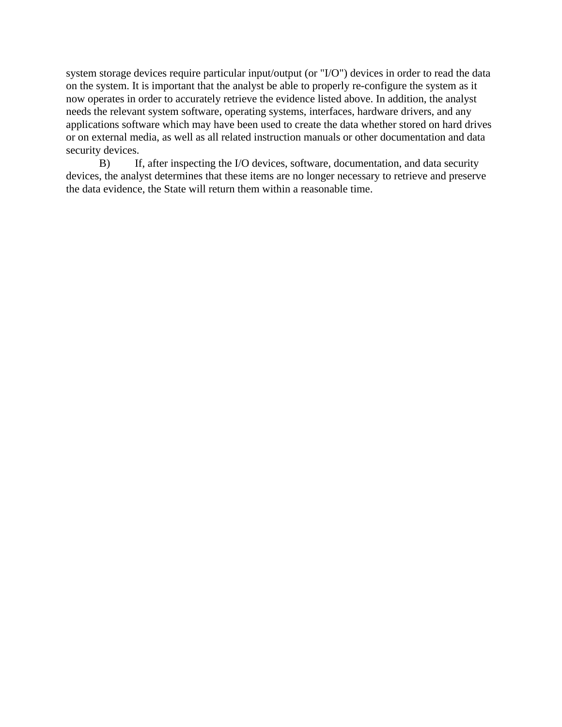system storage devices require particular input/output (or "I/O") devices in order to read the data on the system. It is important that the analyst be able to properly re-configure the system as it now operates in order to accurately retrieve the evidence listed above. In addition, the analyst needs the relevant system software, operating systems, interfaces, hardware drivers, and any applications software which may have been used to create the data whether stored on hard drives or on external media, as well as all related instruction manuals or other documentation and data security devices.

B) If, after inspecting the I/O devices, software, documentation, and data security devices, the analyst determines that these items are no longer necessary to retrieve and preserve the data evidence, the State will return them within a reasonable time.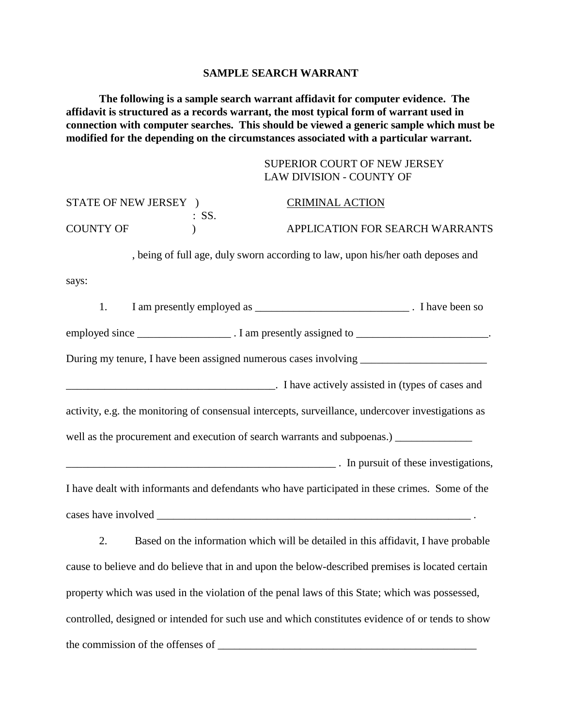#### **SAMPLE SEARCH WARRANT**

**The following is a sample search warrant affidavit for computer evidence. The affidavit is structured as a records warrant, the most typical form of warrant used in connection with computer searches. This should be viewed a generic sample which must be modified for the depending on the circumstances associated with a particular warrant.** 

| SUPERIOR COURT OF NEW JERSEY |
|------------------------------|
| LAW DIVISION - COUNTY OF     |

| STATE OF NEW JERSEY ) |                  | <b>CRIMINAL ACTION</b>                                                                                                     |                                 |
|-----------------------|------------------|----------------------------------------------------------------------------------------------------------------------------|---------------------------------|
| <b>COUNTY OF</b>      | $\therefore$ SS. |                                                                                                                            | APPLICATION FOR SEARCH WARRANTS |
|                       |                  | , being of full age, duly sworn according to law, upon his/her oath deposes and                                            |                                 |
| says:                 |                  |                                                                                                                            |                                 |
| 1.                    |                  |                                                                                                                            |                                 |
|                       |                  | employed since ________________________. I am presently assigned to __________________________.                            |                                 |
|                       |                  |                                                                                                                            |                                 |
|                       |                  | Thave actively assisted in (types of cases and $\overline{\phantom{a}}$ ). I have actively assisted in (types of cases and |                                 |
|                       |                  | activity, e.g. the monitoring of consensual intercepts, surveillance, undercover investigations as                         |                                 |
|                       |                  | well as the procurement and execution of search warrants and subpoenas.) ______________                                    |                                 |
|                       |                  | in pursuit of these investigations,                                                                                        |                                 |
|                       |                  | I have dealt with informants and defendants who have participated in these crimes. Some of the                             |                                 |
|                       |                  |                                                                                                                            |                                 |
| 2.                    |                  | Based on the information which will be detailed in this affidavit, I have probable                                         |                                 |
|                       |                  | cause to believe and do believe that in and upon the below-described premises is located certain                           |                                 |
|                       |                  | property which was used in the violation of the penal laws of this State; which was possessed,                             |                                 |

controlled, designed or intended for such use and which constitutes evidence of or tends to show the commission of the offenses of \_\_\_\_\_\_\_\_\_\_\_\_\_\_\_\_\_\_\_\_\_\_\_\_\_\_\_\_\_\_\_\_\_\_\_\_\_\_\_\_\_\_\_\_\_\_\_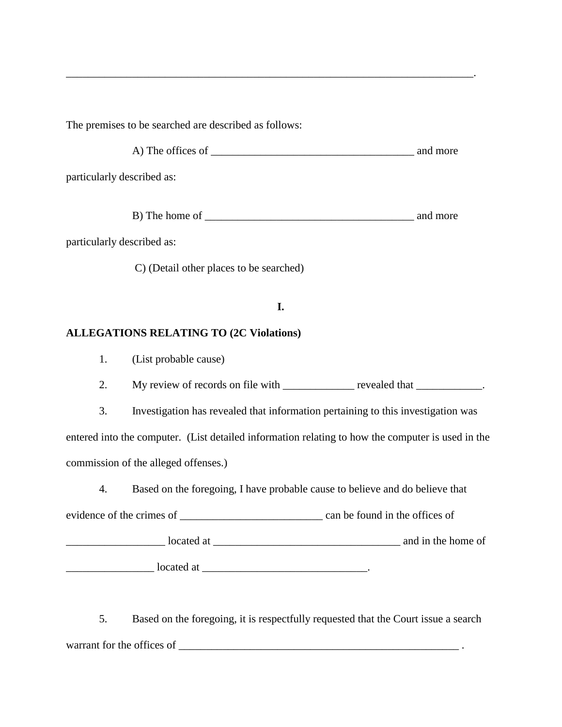The premises to be searched are described as follows:

A) The offices of \_\_\_\_\_\_\_\_\_\_\_\_\_\_\_\_\_\_\_\_\_\_\_\_\_\_\_\_\_\_\_\_\_\_\_\_\_ and more

\_\_\_\_\_\_\_\_\_\_\_\_\_\_\_\_\_\_\_\_\_\_\_\_\_\_\_\_\_\_\_\_\_\_\_\_\_\_\_\_\_\_\_\_\_\_\_\_\_\_\_\_\_\_\_\_\_\_\_\_\_\_\_\_\_\_\_\_\_\_\_\_\_\_.

particularly described as:

B) The home of \_\_\_\_\_\_\_\_\_\_\_\_\_\_\_\_\_\_\_\_\_\_\_\_\_\_\_\_\_\_\_\_\_\_\_\_\_\_ and more

particularly described as:

C) (Detail other places to be searched)

## **I.**

## **ALLEGATIONS RELATING TO (2C Violations)**

1. (List probable cause)

2. My review of records on file with \_\_\_\_\_\_\_\_\_\_\_\_\_ revealed that \_\_\_\_\_\_\_\_\_\_\_.

3. Investigation has revealed that information pertaining to this investigation was entered into the computer. (List detailed information relating to how the computer is used in the commission of the alleged offenses.)

4. Based on the foregoing, I have probable cause to believe and do believe that

evidence of the crimes of \_\_\_\_\_\_\_\_\_\_\_\_\_\_\_\_\_\_\_\_\_\_\_\_\_\_ can be found in the offices of

\_\_\_\_\_\_\_\_\_\_\_\_\_\_\_\_\_\_ located at \_\_\_\_\_\_\_\_\_\_\_\_\_\_\_\_\_\_\_\_\_\_\_\_\_\_\_\_\_\_\_\_\_\_ and in the home of \_\_\_\_\_\_\_\_\_\_\_\_\_\_\_\_ located at \_\_\_\_\_\_\_\_\_\_\_\_\_\_\_\_\_\_\_\_\_\_\_\_\_\_\_\_\_\_.

5. Based on the foregoing, it is respectfully requested that the Court issue a search warrant for the offices of \_\_\_\_\_\_\_\_\_\_\_\_\_\_\_\_\_\_\_\_\_\_\_\_\_\_\_\_\_\_\_\_\_\_\_\_\_\_\_\_\_\_\_\_\_\_\_\_\_\_\_ .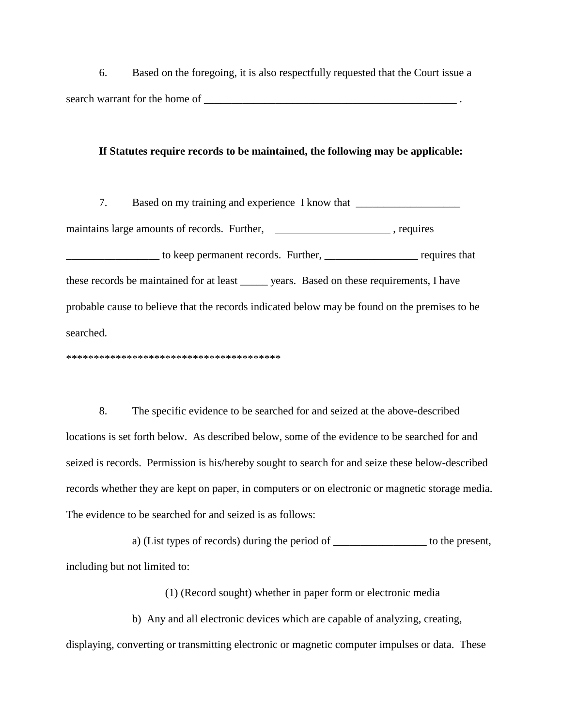6. Based on the foregoing, it is also respectfully requested that the Court issue a search warrant for the home of \_\_\_\_\_\_\_\_\_\_\_\_\_\_\_\_\_\_\_\_\_\_\_\_\_\_\_\_\_\_\_\_\_\_\_\_\_\_\_\_\_\_\_\_\_\_ .

#### **If Statutes require records to be maintained, the following may be applicable:**

7. Based on my training and experience I know that \_\_\_\_\_\_\_\_\_\_\_\_\_\_\_\_\_\_\_\_\_\_\_\_\_\_\_\_\_ maintains large amounts of records. Further, exercise requires to keep permanent records. Further, equires that these records be maintained for at least \_\_\_\_\_ years. Based on these requirements, I have probable cause to believe that the records indicated below may be found on the premises to be searched.

\*\*\*\*\*\*\*\*\*\*\*\*\*\*\*\*\*\*\*\*\*\*\*\*\*\*\*\*\*\*\*\*\*\*\*\*\*\*\*

8. The specific evidence to be searched for and seized at the above-described locations is set forth below. As described below, some of the evidence to be searched for and seized is records. Permission is his/hereby sought to search for and seize these below-described records whether they are kept on paper, in computers or on electronic or magnetic storage media. The evidence to be searched for and seized is as follows:

a) (List types of records) during the period of the present, including but not limited to:

(1) (Record sought) whether in paper form or electronic media

b) Any and all electronic devices which are capable of analyzing, creating, displaying, converting or transmitting electronic or magnetic computer impulses or data. These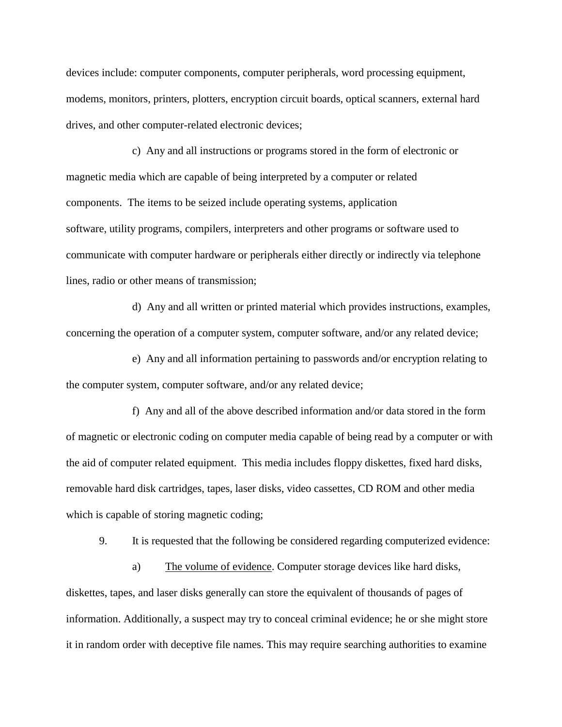devices include: computer components, computer peripherals, word processing equipment, modems, monitors, printers, plotters, encryption circuit boards, optical scanners, external hard drives, and other computer-related electronic devices;

c) Any and all instructions or programs stored in the form of electronic or magnetic media which are capable of being interpreted by a computer or related components. The items to be seized include operating systems, application software, utility programs, compilers, interpreters and other programs or software used to communicate with computer hardware or peripherals either directly or indirectly via telephone lines, radio or other means of transmission;

d) Any and all written or printed material which provides instructions, examples, concerning the operation of a computer system, computer software, and/or any related device;

e) Any and all information pertaining to passwords and/or encryption relating to the computer system, computer software, and/or any related device;

f) Any and all of the above described information and/or data stored in the form of magnetic or electronic coding on computer media capable of being read by a computer or with the aid of computer related equipment. This media includes floppy diskettes, fixed hard disks, removable hard disk cartridges, tapes, laser disks, video cassettes, CD ROM and other media which is capable of storing magnetic coding;

9. It is requested that the following be considered regarding computerized evidence:

a) The volume of evidence. Computer storage devices like hard disks, diskettes, tapes, and laser disks generally can store the equivalent of thousands of pages of information. Additionally, a suspect may try to conceal criminal evidence; he or she might store it in random order with deceptive file names. This may require searching authorities to examine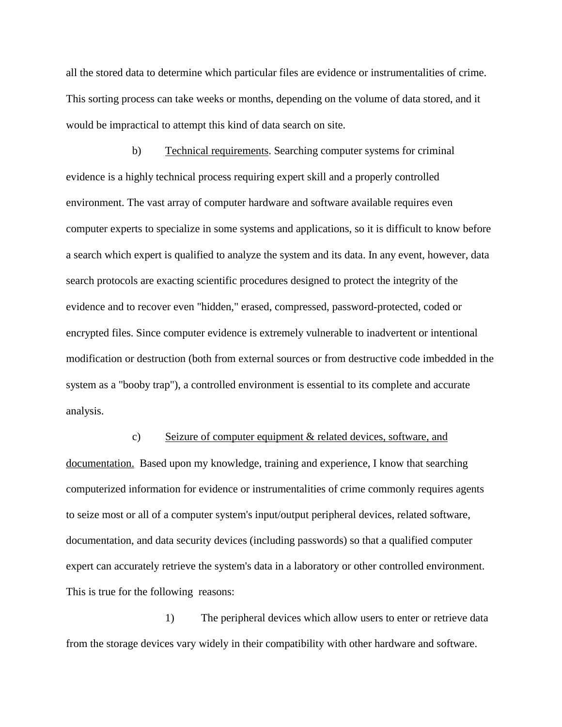all the stored data to determine which particular files are evidence or instrumentalities of crime. This sorting process can take weeks or months, depending on the volume of data stored, and it would be impractical to attempt this kind of data search on site.

b) Technical requirements. Searching computer systems for criminal evidence is a highly technical process requiring expert skill and a properly controlled environment. The vast array of computer hardware and software available requires even computer experts to specialize in some systems and applications, so it is difficult to know before a search which expert is qualified to analyze the system and its data. In any event, however, data search protocols are exacting scientific procedures designed to protect the integrity of the evidence and to recover even "hidden," erased, compressed, password-protected, coded or encrypted files. Since computer evidence is extremely vulnerable to inadvertent or intentional modification or destruction (both from external sources or from destructive code imbedded in the system as a "booby trap"), a controlled environment is essential to its complete and accurate analysis.

#### c) Seizure of computer equipment & related devices, software, and

documentation. Based upon my knowledge, training and experience, I know that searching computerized information for evidence or instrumentalities of crime commonly requires agents to seize most or all of a computer system's input/output peripheral devices, related software, documentation, and data security devices (including passwords) so that a qualified computer expert can accurately retrieve the system's data in a laboratory or other controlled environment. This is true for the following reasons:

1) The peripheral devices which allow users to enter or retrieve data from the storage devices vary widely in their compatibility with other hardware and software.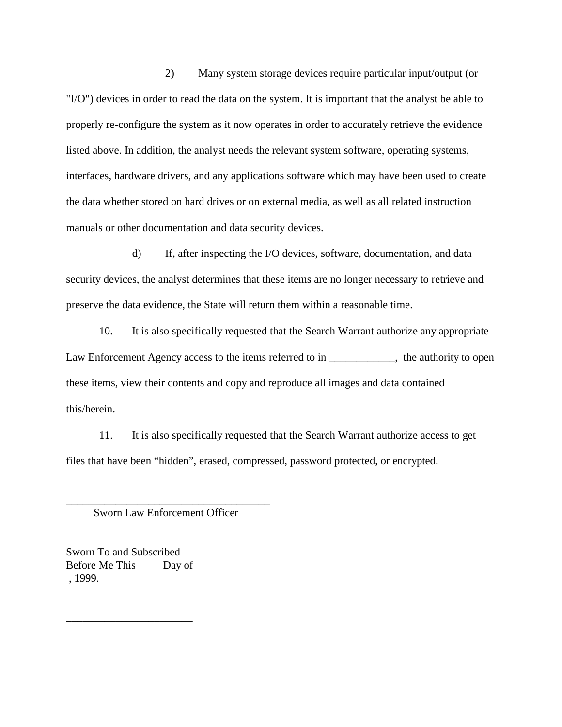2) Many system storage devices require particular input/output (or "I/O") devices in order to read the data on the system. It is important that the analyst be able to properly re-configure the system as it now operates in order to accurately retrieve the evidence listed above. In addition, the analyst needs the relevant system software, operating systems, interfaces, hardware drivers, and any applications software which may have been used to create the data whether stored on hard drives or on external media, as well as all related instruction manuals or other documentation and data security devices.

d) If, after inspecting the I/O devices, software, documentation, and data security devices, the analyst determines that these items are no longer necessary to retrieve and preserve the data evidence, the State will return them within a reasonable time.

10. It is also specifically requested that the Search Warrant authorize any appropriate Law Enforcement Agency access to the items referred to in \_\_\_\_\_\_\_\_\_\_, the authority to open these items, view their contents and copy and reproduce all images and data contained this/herein.

11. It is also specifically requested that the Search Warrant authorize access to get files that have been "hidden", erased, compressed, password protected, or encrypted.

\_\_\_\_\_\_\_\_\_\_\_\_\_\_\_\_\_\_\_\_\_\_\_\_\_\_\_\_\_\_\_\_\_\_\_\_\_ Sworn Law Enforcement Officer

Sworn To and Subscribed Before Me This Day of , 1999.

\_\_\_\_\_\_\_\_\_\_\_\_\_\_\_\_\_\_\_\_\_\_\_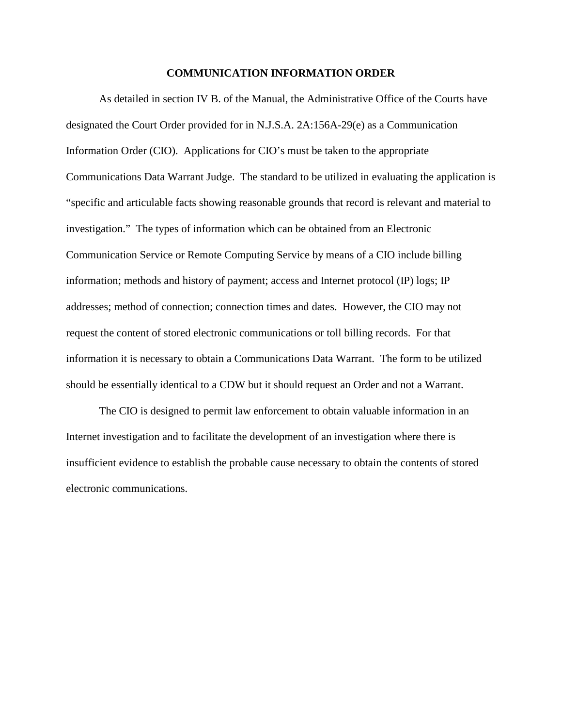#### **COMMUNICATION INFORMATION ORDER**

As detailed in section IV B. of the Manual, the Administrative Office of the Courts have designated the Court Order provided for in N.J.S.A. 2A:156A-29(e) as a Communication Information Order (CIO). Applications for CIO's must be taken to the appropriate Communications Data Warrant Judge. The standard to be utilized in evaluating the application is "specific and articulable facts showing reasonable grounds that record is relevant and material to investigation." The types of information which can be obtained from an Electronic Communication Service or Remote Computing Service by means of a CIO include billing information; methods and history of payment; access and Internet protocol (IP) logs; IP addresses; method of connection; connection times and dates. However, the CIO may not request the content of stored electronic communications or toll billing records. For that information it is necessary to obtain a Communications Data Warrant. The form to be utilized should be essentially identical to a CDW but it should request an Order and not a Warrant.

The CIO is designed to permit law enforcement to obtain valuable information in an Internet investigation and to facilitate the development of an investigation where there is insufficient evidence to establish the probable cause necessary to obtain the contents of stored electronic communications.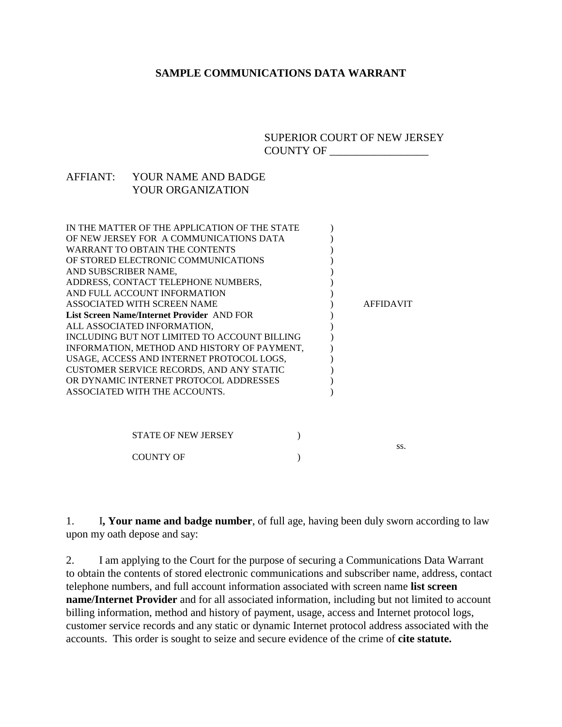### **SAMPLE COMMUNICATIONS DATA WARRANT**

SUPERIOR COURT OF NEW JERSEY COUNTY OF \_\_\_\_\_\_\_\_\_\_\_\_\_\_\_\_\_\_

### AFFIANT: YOUR NAME AND BADGE YOUR ORGANIZATION

| IN THE MATTER OF THE APPLICATION OF THE STATE |                  |
|-----------------------------------------------|------------------|
| OF NEW JERSEY FOR A COMMUNICATIONS DATA       |                  |
| <b>WARRANT TO OBTAIN THE CONTENTS</b>         |                  |
| OF STORED ELECTRONIC COMMUNICATIONS           |                  |
| AND SUBSCRIBER NAME,                          |                  |
| ADDRESS, CONTACT TELEPHONE NUMBERS,           |                  |
| AND FULL ACCOUNT INFORMATION                  |                  |
| ASSOCIATED WITH SCREEN NAME                   | <b>AFFIDAVIT</b> |
| List Screen Name/Internet Provider AND FOR    |                  |
| ALL ASSOCIATED INFORMATION,                   |                  |
| INCLUDING BUT NOT LIMITED TO ACCOUNT BILLING  |                  |
| INFORMATION, METHOD AND HISTORY OF PAYMENT,   |                  |
| USAGE, ACCESS AND INTERNET PROTOCOL LOGS,     |                  |
| CUSTOMER SERVICE RECORDS, AND ANY STATIC      |                  |
| OR DYNAMIC INTERNET PROTOCOL ADDRESSES        |                  |
| ASSOCIATED WITH THE ACCOUNTS.                 |                  |
|                                               |                  |
|                                               |                  |
|                                               |                  |
| <b>STATE OF NEW JERSEY</b>                    |                  |

ss. COUNTY OF  $\qquad \qquad$  )

1. I**, Your name and badge number**, of full age, having been duly sworn according to law upon my oath depose and say:

2. I am applying to the Court for the purpose of securing a Communications Data Warrant to obtain the contents of stored electronic communications and subscriber name, address, contact telephone numbers, and full account information associated with screen name **list screen name/Internet Provider** and for all associated information, including but not limited to account billing information, method and history of payment, usage, access and Internet protocol logs, customer service records and any static or dynamic Internet protocol address associated with the accounts. This order is sought to seize and secure evidence of the crime of **cite statute.**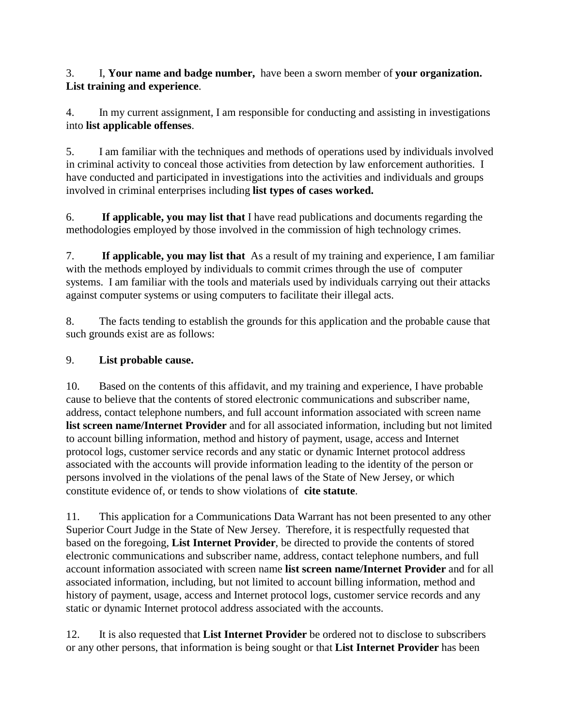3. I, **Your name and badge number,** have been a sworn member of **your organization. List training and experience**.

4. In my current assignment, I am responsible for conducting and assisting in investigations into **list applicable offenses**.

5. I am familiar with the techniques and methods of operations used by individuals involved in criminal activity to conceal those activities from detection by law enforcement authorities. I have conducted and participated in investigations into the activities and individuals and groups involved in criminal enterprises including **list types of cases worked.**

6. **If applicable, you may list that** I have read publications and documents regarding the methodologies employed by those involved in the commission of high technology crimes.

7. **If applicable, you may list that** As a result of my training and experience, I am familiar with the methods employed by individuals to commit crimes through the use of computer systems. I am familiar with the tools and materials used by individuals carrying out their attacks against computer systems or using computers to facilitate their illegal acts.

8. The facts tending to establish the grounds for this application and the probable cause that such grounds exist are as follows:

# 9. **List probable cause.**

10. Based on the contents of this affidavit, and my training and experience, I have probable cause to believe that the contents of stored electronic communications and subscriber name, address, contact telephone numbers, and full account information associated with screen name **list screen name/Internet Provider** and for all associated information, including but not limited to account billing information, method and history of payment, usage, access and Internet protocol logs, customer service records and any static or dynamic Internet protocol address associated with the accounts will provide information leading to the identity of the person or persons involved in the violations of the penal laws of the State of New Jersey, or which constitute evidence of, or tends to show violations of **cite statute**.

11. This application for a Communications Data Warrant has not been presented to any other Superior Court Judge in the State of New Jersey. Therefore, it is respectfully requested that based on the foregoing, **List Internet Provider**, be directed to provide the contents of stored electronic communications and subscriber name, address, contact telephone numbers, and full account information associated with screen name **list screen name/Internet Provider** and for all associated information, including, but not limited to account billing information, method and history of payment, usage, access and Internet protocol logs, customer service records and any static or dynamic Internet protocol address associated with the accounts.

12. It is also requested that **List Internet Provider** be ordered not to disclose to subscribers or any other persons, that information is being sought or that **List Internet Provider** has been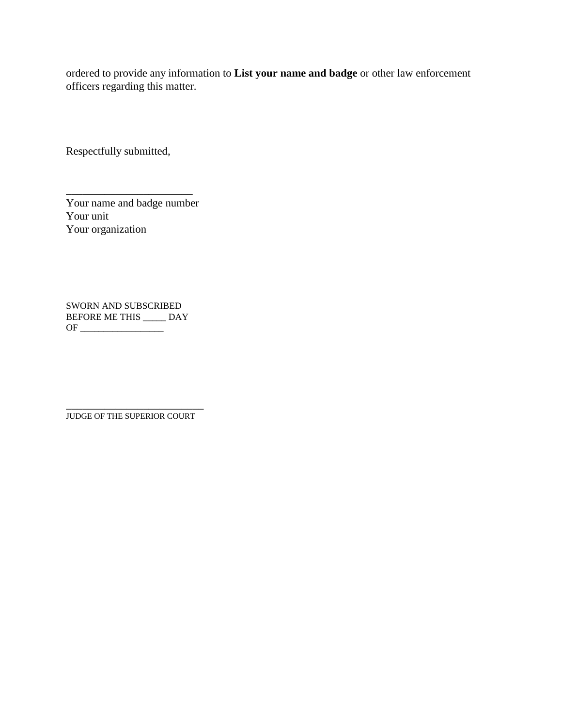ordered to provide any information to **List your name and badge** or other law enforcement officers regarding this matter.

Respectfully submitted,

Your name and badge number Your unit Your organization

\_\_\_\_\_\_\_\_\_\_\_\_\_\_\_\_\_\_\_\_\_\_\_

SWORN AND SUBSCRIBED BEFORE ME THIS \_\_\_\_\_ DAY OF \_\_\_\_\_\_\_\_\_\_\_\_\_\_\_\_\_\_

\_\_\_\_\_\_\_\_\_\_\_\_\_\_\_\_\_\_\_\_\_\_\_\_\_ JUDGE OF THE SUPERIOR COURT